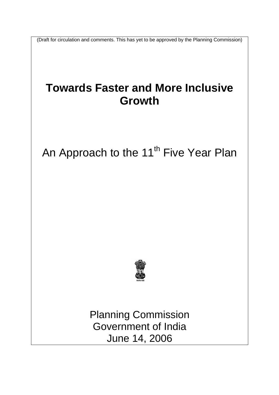(Draft for circulation and comments. This has yet to be approved by the Planning Commission)

# **Towards Faster and More Inclusive Growth**

# An Approach to the 11<sup>th</sup> Five Year Plan



Planning Commission Government of India June 14, 2006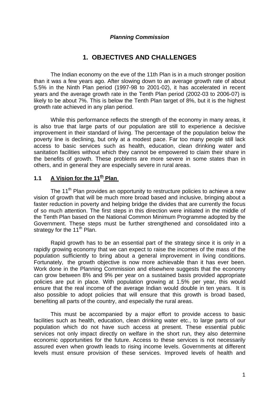## *Planning Commission*

## **1. OBJECTIVES AND CHALLENGES**

 The Indian economy on the eve of the 11th Plan is in a much stronger position than it was a few years ago. After slowing down to an average growth rate of about 5.5% in the Ninth Plan period (1997-98 to 2001-02), it has accelerated in recent years and the average growth rate in the Tenth Plan period (2002-03 to 2006-07) is likely to be about 7%. This is below the Tenth Plan target of 8%, but it is the highest growth rate achieved in any plan period.

 While this performance reflects the strength of the economy in many areas, it is also true that large parts of our population are still to experience a decisive improvement in their standard of living. The percentage of the population below the poverty line is declining, but only at a modest pace. Far too many people still lack access to basic services such as health, education, clean drinking water and sanitation facilities without which they cannot be empowered to claim their share in the benefits of growth. These problems are more severe in some states than in others, and in general they are especially severe in rural areas.

## **1.1** A Vision for the 11<sup>th</sup> Plan

The 11<sup>th</sup> Plan provides an opportunity to restructure policies to achieve a new vision of growth that will be much more broad based and inclusive, bringing about a faster reduction in poverty and helping bridge the divides that are currently the focus of so much attention. The first steps in this direction were initiated in the middle of the Tenth Plan based on the National Common Minimum Programme adopted by the Government. These steps must be further strengthened and consolidated into a strategy for the  $11<sup>th</sup>$  Plan.

 Rapid growth has to be an essential part of the strategy since it is only in a rapidly growing economy that we can expect to raise the incomes of the mass of the population sufficiently to bring about a general improvement in living conditions. Fortunately, the growth objective is now more achievable than it has ever been. Work done in the Planning Commission and elsewhere suggests that the economy can grow between 8% and 9% per year on a sustained basis provided appropriate policies are put in place. With population growing at 1.5% per year, this would ensure that the real income of the average Indian would double in ten years. It is also possible to adopt policies that will ensure that this growth is broad based, benefiting all parts of the country, and especially the rural areas.

 This must be accompanied by a major effort to provide access to basic facilities such as health, education, clean drinking water etc., to large parts of our population which do not have such access at present. These essential public services not only impact directly on welfare in the short run, they also determine economic opportunities for the future. Access to these services is not necessarily assured even when growth leads to rising income levels. Governments at different levels must ensure provision of these services. Improved levels of health and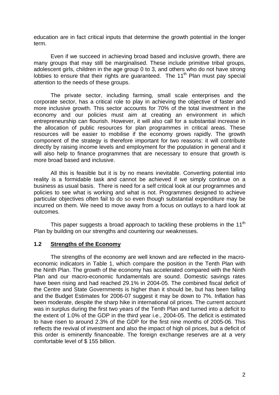education are in fact critical inputs that determine the growth potential in the longer term.

 Even if we succeed in achieving broad based and inclusive growth, there are many groups that may still be marginalised. These include primitive tribal groups, adolescent girls, children in the age group 0 to 3, and others who do not have strong lobbies to ensure that their rights are quaranteed. The 11<sup>th</sup> Plan must pay special attention to the needs of these groups.

 The private sector, including farming, small scale enterprises and the corporate sector, has a critical role to play in achieving the objective of faster and more inclusive growth. This sector accounts for 70% of the total investment in the economy and our policies must aim at creating an environment in which entrepreneurship can flourish. However, it will also call for a substantial increase in the allocation of public resources for plan programmes in critical areas. These resources will be easier to mobilise if the economy grows rapidly. The growth component of the strategy is therefore important for two reasons: it will contribute directly by raising income levels and employment for the population in general and it will also help to finance programmes that are necessary to ensure that growth is more broad based and inclusive.

 All this is feasible but it is by no means inevitable. Converting potential into reality is a formidable task and cannot be achieved if we simply continue on a business as usual basis. There is need for a self critical look at our programmes and policies to see what is working and what is not. Programmes designed to achieve particular objectives often fail to do so even though substantial expenditure may be incurred on them. We need to move away from a focus on outlays to a hard look at outcomes.

This paper suggests a broad approach to tackling these problems in the 11<sup>th</sup> Plan by building on our strengths and countering our weaknesses.

## **1.2 Strengths of the Economy**

The strengths of the economy are well known and are reflected in the macroeconomic indicators in Table 1, which compare the position in the Tenth Plan with the Ninth Plan. The growth of the economy has accelerated compared with the Ninth Plan and our macro-economic fundamentals are sound. Domestic savings rates have been rising and had reached 29.1% in 2004-05. The combined fiscal deficit of the Centre and State Governments is higher than it should be, but has been falling and the Budget Estimates for 2006-07 suggest it may be down to 7%. Inflation has been moderate, despite the sharp hike in international oil prices. The current account was in surplus during the first two years of the Tenth Plan and turned into a deficit to the extent of 1.0% of the GDP in the third year i.e., 2004-05. The deficit is estimated to have risen to around 2.3% of the GDP for the first nine months of 2005-06. This reflects the revival of investment and also the impact of high oil prices, but a deficit of this order is eminently financeable. The foreign exchange reserves are at a very comfortable level of \$ 155 billion.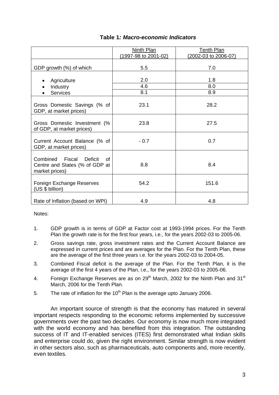|                                                                                             | Ninth Plan<br>(1997-98 to 2001-02) | <b>Tenth Plan</b><br>(2002-03 to 2006-07) |
|---------------------------------------------------------------------------------------------|------------------------------------|-------------------------------------------|
| GDP growth (%) of which                                                                     | 5.5                                | 7.0                                       |
| Agriculture                                                                                 | 2.0                                | 1.8                                       |
| Industry                                                                                    | 4.6                                | 8.0                                       |
| <b>Services</b>                                                                             | 8.1                                | 8.9                                       |
| Gross Domestic Savings (% of<br>GDP, at market prices)                                      | 23.1                               | 28.2                                      |
| Gross Domestic Investment (%<br>of GDP, at market prices)                                   | 23.8                               | 27.5                                      |
| Current Account Balance (% of<br>GDP, at market prices)                                     | $-0.7$                             | 0.7                                       |
| Combined Fiscal<br><b>Deficit</b><br>Ωf<br>Centre and States (% of GDP at<br>market prices) | 8.8                                | 8.4                                       |
| Foreign Exchange Reserves<br>(US \$ billion)                                                | 54.2                               | 151.6                                     |
| Rate of Inflation (based on WPI)                                                            | 4.9                                | 4.8                                       |

## **Table 1***: Macro-economic Indicators*

Notes:

- 1. GDP growth is in terms of GDP at Factor cost at 1993-1994 prices. For the Tenth Plan the growth rate is for the first four years, i.e., for the years 2002-03 to 2005-06.
- 2. Gross savings rate, gross investment rates and the Current Account Balance are expressed in current prices and are averages for the Plan. For the Tenth Plan, these are the average of the first three years i.e. for the years 2002-03 to 2004-05.
- 3. Combined Fiscal deficit is the average of the Plan. For the Tenth Plan, it is the average of the first 4 years of the Plan, i.e., for the years 2002-03 to 2005-06.
- 4. Foreign Exchange Reserves are as on  $29<sup>th</sup>$  March, 2002 for the Ninth Plan and 31<sup>st</sup> March, 2006 for the Tenth Plan.
- 5. The rate of inflation for the  $10<sup>th</sup>$  Plan is the average upto January 2006.

An important source of strength is that the economy has matured in several important respects responding to the economic reforms implemented by successive governments over the past two decades. Our economy is now much more integrated with the world economy and has benefited from this integration. The outstanding success of IT and IT-enabled services (ITES) first demonstrated what Indian skills and enterprise could do, given the right environment. Similar strength is now evident in other sectors also, such as pharmaceuticals, auto components and, more recently, even textiles.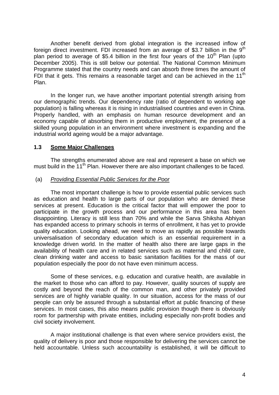Another benefit derived from global integration is the increased inflow of foreign direct investment. FDI increased from an average of \$3.7 billion in the  $9<sup>th</sup>$ plan period to average of \$5.4 billion in the first four years of the  $10<sup>th</sup>$  Plan (upto December 2005). This is still below our potential. The National Common Minimum Programme stated that the country needs and can absorb three times the amount of FDI that it gets. This remains a reasonable target and can be achieved in the  $11<sup>th</sup>$ Plan.

In the longer run, we have another important potential strength arising from our demographic trends. Our dependency rate (ratio of dependent to working age population) is falling whereas it is rising in industrialised countries and even in China. Properly handled, with an emphasis on human resource development and an economy capable of absorbing them in productive employment, the presence of a skilled young population in an environment where investment is expanding and the industrial world ageing would be a major advantage.

## **1.3 Some Major Challenges**

The strengths enumerated above are real and represent a base on which we must build in the 11<sup>th</sup> Plan. However there are also important challenges to be faced.

## (a) *Providing Essential Public Services for the Poor*

 The most important challenge is how to provide essential public services such as education and health to large parts of our population who are denied these services at present. Education is the critical factor that will empower the poor to participate in the growth process and our performance in this area has been disappointing. Literacy is still less than 70% and while the Sarva Shiksha Abhiyan has expanded access to primary schools in terms of enrollment, it has yet to provide quality education. Looking ahead, we need to move as rapidly as possible towards universalisation of secondary education which is an essential requirement in a knowledge driven world. In the matter of health also there are large gaps in the availability of health care and in related services such as maternal and child care, clean drinking water and access to basic sanitation facilities for the mass of our population especially the poor do not have even minimum access.

 Some of these services, e.g. education and curative health, are available in the market to those who can afford to pay. However, quality sources of supply are costly and beyond the reach of the common man, and other privately provided services are of highly variable quality. In our situation, access for the mass of our people can only be assured through a substantial effort at public financing of these services. In most cases, this also means public provision though there is obviously room for partnership with private entities, including especially non-profit bodies and civil society involvement.

 A major institutional challenge is that even where service providers exist, the quality of delivery is poor and those responsible for delivering the services cannot be held accountable. Unless such accountability is established, it will be difficult to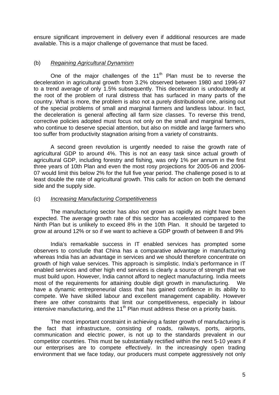ensure significant improvement in delivery even if additional resources are made available. This is a major challenge of governance that must be faced.

## (b) *Regaining Agricultural Dynamism*

One of the major challenges of the  $11<sup>th</sup>$  Plan must be to reverse the deceleration in agricultural growth from 3.2% observed between 1980 and 1996-97 to a trend average of only 1.5% subsequently. This deceleration is undoubtedly at the root of the problem of rural distress that has surfaced in many parts of the country. What is more, the problem is also not a purely distributional one, arising out of the special problems of small and marginal farmers and landless labour. In fact, the deceleration is general affecting all farm size classes. To reverse this trend, corrective policies adopted must focus not only on the small and marginal farmers, who continue to deserve special attention, but also on middle and large farmers who too suffer from productivity stagnation arising from a variety of constraints.

 A second green revolution is urgently needed to raise the growth rate of agricultural GDP to around 4%. This is not an easy task since actual growth of agricultural GDP, including forestry and fishing, was only 1% per annum in the first three years of 10th Plan and even the most rosy projections for 2005-06 and 2006- 07 would limit this below 2% for the full five year period. The challenge posed is to at least double the rate of agricultural growth. This calls for action on both the demand side and the supply side.

#### (c) *Increasing Manufacturing Competitivenes*s

 The manufacturing sector has also not grown as rapidly as might have been expected. The average growth rate of this sector has accelerated compared to the Ninth Plan but is unlikely to exceed 8% in the 10th Plan. It should be targeted to grow at around 12% or so if we want to achieve a GDP growth of between 8 and 9%

 India's remarkable success in IT enabled services has prompted some observers to conclude that China has a comparative advantage in manufacturing whereas India has an advantage in services and we should therefore concentrate on growth of high value services. This approach is simplistic. India's performance in IT enabled services and other high end services is clearly a source of strength that we must build upon. However, India cannot afford to neglect manufacturing. India meets most of the requirements for attaining double digit growth in manufacturing. We have a dynamic entrepreneurial class that has gained confidence in its ability to compete. We have skilled labour and excellent management capability. However there are other constraints that limit our competitiveness, especially in labour intensive manufacturing, and the 11<sup>th</sup> Plan must address these on a priority basis.

 The most important constraint in achieving a faster growth of manufacturing is the fact that infrastructure, consisting of roads, railways, ports, airports, communication and electric power, is not up to the standards prevalent in our competitor countries. This must be substantially rectified within the next 5-10 years if our enterprises are to compete effectively. In the increasingly open trading environment that we face today, our producers must compete aggressively not only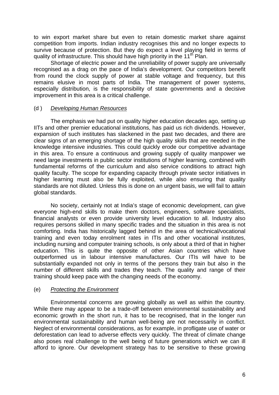to win export market share but even to retain domestic market share against competition from imports. Indian industry recognises this and no longer expects to survive because of protection. But they do expect a level playing field in terms of quality of infrastructure. This should have high priority in the 11<sup>th</sup> Plan.

 Shortage of electric power and the unreliability of power supply are universally recognised as a drag on the pace of India's development. Our competitors benefit from round the clock supply of power at stable voltage and frequency, but this remains elusive in most parts of India. The management of power systems, especially distribution, is the responsibility of state governments and a decisive improvement in this area is a critical challenge.

## (d ) *Developing Human Resources*

 The emphasis we had put on quality higher education decades ago, setting up IITs and other premier educational institutions, has paid us rich dividends. However, expansion of such institutes has slackened in the past two decades, and there are clear signs of an emerging shortage of the high quality skills that are needed in the knowledge intensive industries. This could quickly erode our competitive advantage in this area. To ensure a continuous and growing supply of quality manpower we need large investments in public sector institutions of higher learning, combined with fundamental reforms of the curriculum and also service conditions to attract high quality faculty. The scope for expanding capacity through private sector initiatives in higher learning must also be fully exploited, while also ensuring that quality standards are not diluted. Unless this is done on an urgent basis, we will fail to attain global standards.

 No society, certainly not at India's stage of economic development, can give everyone high-end skills to make them doctors, engineers, software specialists, financial analysts or even provide university level education to all. Industry also requires persons skilled in many specific trades and the situation in this area is not comforting. India has historically lagged behind in the area of technical/vocational training and even today enrolment rates in ITIs and other vocational institutes, including nursing and computer training schools, is only about a third of that in higher education. This is quite the opposite of other Asian countries which have outperformed us in labour intensive manufactures. Our ITIs will have to be substantially expanded not only in terms of the persons they train but also in the number of different skills and trades they teach. The quality and range of their training should keep pace with the changing needs of the economy.

## (e) *Protecting the Environment*

 Environmental concerns are growing globally as well as within the country. While there may appear to be a trade-off between environmental sustainability and economic growth in the short run, it has to be recognised, that in the longer run environmental sustainability and human well-being are not necessarily in conflict. Neglect of environmental considerations, as for example, in profligate use of water or deforestation can lead to adverse effects very quickly. The threat of climate change also poses real challenge to the well being of future generations which we can ill afford to ignore. Our development strategy has to be sensitive to these growing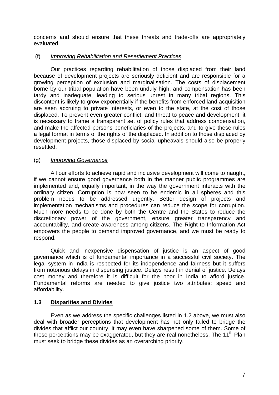concerns and should ensure that these threats and trade-offs are appropriately evaluated.

## (f) *Improving Rehabilitation and Resettlement Practices*

 Our practices regarding rehabilitation of those displaced from their land because of development projects are seriously deficient and are responsible for a growing perception of exclusion and marginalisation. The costs of displacement borne by our tribal population have been unduly high, and compensation has been tardy and inadequate, leading to serious unrest in many tribal regions. This discontent is likely to grow exponentially if the benefits from enforced land acquisition are seen accruing to private interests, or even to the state, at the cost of those displaced. To prevent even greater conflict, and threat to peace and development, it is necessary to frame a transparent set of policy rules that address compensation, and make the affected persons beneficiaries of the projects, and to give these rules a legal format in terms of the rights of the displaced. In addition to those displaced by development projects, those displaced by social upheavals should also be properly resettled.

## (g) *Improving Governance*

 All our efforts to achieve rapid and inclusive development will come to naught, if we cannot ensure good governance both in the manner public programmes are implemented and, equally important, in the way the government interacts with the ordinary citizen. Corruption is now seen to be endemic in all spheres and this problem needs to be addressed urgently. Better design of projects and implementation mechanisms and procedures can reduce the scope for corruption. Much more needs to be done by both the Centre and the States to reduce the discretionary power of the government, ensure greater transparency and accountability, and create awareness among citizens. The Right to Information Act empowers the people to demand improved governance, and we must be ready to respond.

 Quick and inexpensive dispensation of justice is an aspect of good governance which is of fundamental importance in a successful civil society. The legal system in India is respected for its independence and fairness but it suffers from notorious delays in dispensing justice. Delays result in denial of justice. Delays cost money and therefore it is difficult for the poor in India to afford justice. Fundamental reforms are needed to give justice two attributes: speed and affordability.

## **1.3 Disparities and Divides**

 Even as we address the specific challenges listed in 1.2 above, we must also deal with broader perceptions that development has not only failed to bridge the divides that afflict our country, it may even have sharpened some of them. Some of these perceptions may be exaggerated, but they are real nonetheless. The  $11<sup>th</sup>$  Plan must seek to bridge these divides as an overarching priority.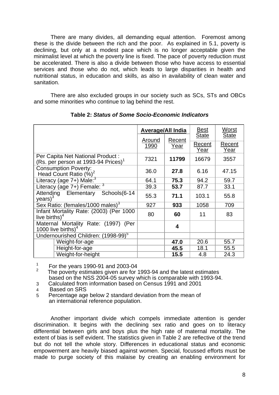There are many divides, all demanding equal attention. Foremost among these is the divide between the rich and the poor. As explained in 5.1, poverty is declining, but only at a modest pace which is no longer acceptable given the minimalist level at which the poverty line is fixed. The pace of poverty reduction must be accelerated. There is also a divide between those who have access to essential services and those who do not, which leads to large disparities in health and nutritional status, in education and skills, as also in availability of clean water and sanitation.

 There are also excluded groups in our society such as SCs, STs and OBCs and some minorities who continue to lag behind the rest.

|                                                                                     |                | <b>Average/All India</b> |                                | Worst<br><b>State</b> |
|-------------------------------------------------------------------------------------|----------------|--------------------------|--------------------------------|-----------------------|
|                                                                                     | Around<br>1990 | Recent<br><u>Year</u>    | <b>State</b><br>Recent<br>Year | Recent<br>Year        |
| Per Capita Net National Product:<br>(Rs. per person at 1993-94 Prices) <sup>1</sup> | 7321           | 11799                    | 16679                          | 3557                  |
| Consumption Poverty:<br>Head Count Ratio (%) <sup>2</sup>                           | 36.0           | 27.8                     | 6.16                           | 47.15                 |
| Literacy (age 7+) Male: <sup>3</sup>                                                | 64.1           | 75.3                     | 94.2                           | 59.7                  |
| Literacy (age 7+) Female: 3                                                         | 39.3           | 53.7                     | 87.7                           | 33.1                  |
| <b>Attending Elementary</b><br>Schools (6-14<br>$years)^3$                          | 55.3           | 71.1                     | 103.1                          | 55.8                  |
| Sex Ratio: (females/1000 males) <sup>3</sup>                                        | 927            | 933                      | 1058                           | 709                   |
| Infant Mortality Rate: (2003) (Per 1000<br>live births) $4$                         | 80             | 60                       | 11                             | 83                    |
| Maternal Mortality Rate: (1997)<br>(Per<br>1000 live births) <sup>4</sup>           |                | $\overline{\mathbf{4}}$  |                                |                       |
| Undernourished Children: (1998-99) <sup>5</sup>                                     |                |                          |                                |                       |
| Weight-for-age                                                                      |                | 47.0                     | 20.6                           | 55.7                  |
| Height-for-age                                                                      |                | 45.5                     | 18.1                           | 55.5                  |
| Weight-for-height                                                                   |                | 15.5                     | 4.8                            | 24.3                  |

**Table 2:** *Status of Some Socio-Economic Indicators* 

<sup>1</sup> For the years 1990-91 and 2003-04<br><sup>2</sup> The poverty estimates given are for 1993-94 and the latest estimates based on the NSS 2004-05 survey which is comparable with 1993-94.

3 Calculated from information based on Census 1991 and 2001

4 Based on SRS

5 Percentage age below 2 standard deviation from the mean of an international reference population.

Another important divide which compels immediate attention is gender discrimination. It begins with the declining sex ratio and goes on to literacy differential between girls and boys plus the high rate of maternal mortality. The extent of bias is self evident. The statistics given in Table 2 are reflective of the trend but do not tell the whole story. Differences in educational status and economic empowerment are heavily biased against women. Special, focussed efforts must be made to purge society of this malaise by creating an enabling environment for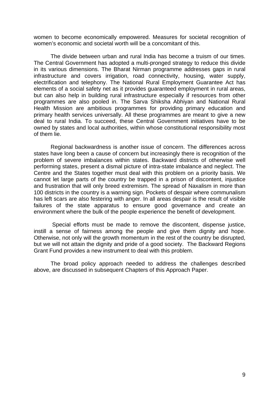women to become economically empowered. Measures for societal recognition of women's economic and societal worth will be a concomitant of this.

The divide between urban and rural India has become a truism of our times. The Central Government has adopted a multi-pronged strategy to reduce this divide in its various dimensions. The Bharat Nirman programme addresses gaps in rural infrastructure and covers irrigation, road connectivity, housing, water supply, electrification and telephony. The National Rural Employment Guarantee Act has elements of a social safety net as it provides guaranteed employment in rural areas, but can also help in building rural infrastructure especially if resources from other programmes are also pooled in. The Sarva Shiksha Abhiyan and National Rural Health Mission are ambitious programmes for providing primary education and primary health services universally. All these programmes are meant to give a new deal to rural India. To succeed, these Central Government initiatives have to be owned by states and local authorities, within whose constitutional responsibility most of them lie.

Regional backwardness is another issue of concern. The differences across states have long been a cause of concern but increasingly there is recognition of the problem of severe imbalances within states. Backward districts of otherwise well performing states, present a dismal picture of intra-state imbalance and neglect. The Centre and the States together must deal with this problem on a priority basis. We cannot let large parts of the country be trapped in a prison of discontent, injustice and frustration that will only breed extremism. The spread of Naxalism in more than 100 districts in the country is a warning sign. Pockets of despair where communalism has left scars are also festering with anger. In all areas despair is the result of visible failures of the state apparatus to ensure good governance and create an environment where the bulk of the people experience the benefit of development.

 Special efforts must be made to remove the discontent, dispense justice, instill a sense of fairness among the people and give them dignity and hope. Otherwise, not only will the growth momentum in the rest of the country be disrupted, but we will not attain the dignity and pride of a good society. The Backward Regions Grant Fund provides a new instrument to deal with this problem.

 The broad policy approach needed to address the challenges described above, are discussed in subsequent Chapters of this Approach Paper.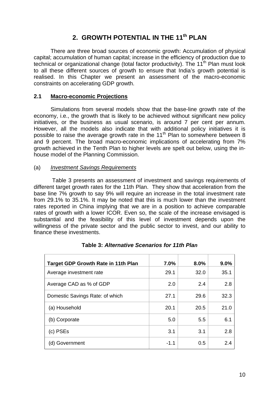## **2. GROWTH POTENTIAL IN THE 11th PLAN**

There are three broad sources of economic growth: Accumulation of physical capital; accumulation of human capital; increase in the efficiency of production due to technical or organizational change (total factor productivity). The  $11<sup>th</sup>$  Plan must look to all these different sources of growth to ensure that India's growth potential is realised. In this Chapter we present an assessment of the macro-economic constraints on accelerating GDP growth.

## **2.1 Macro-economic Projections**

 Simulations from several models show that the base-line growth rate of the economy, i.e., the growth that is likely to be achieved without significant new policy initiatives, or the business as usual scenario, is around 7 per cent per annum. However, all the models also indicate that with additional policy initiatives it is possible to raise the average growth rate in the  $11<sup>th</sup>$  Plan to somewhere between 8 and 9 percent. The broad macro-economic implications of accelerating from 7% growth achieved in the Tenth Plan to higher levels are spelt out below, using the inhouse model of the Planning Commission.

## (a) *Investment Savings Requirements*

 Table 3 presents an assessment of investment and savings requirements of different target growth rates for the 11th Plan. They show that acceleration from the base line 7% growth to say 9% will require an increase in the total investment rate from 29.1% to 35.1%. It may be noted that this is much lower than the investment rates reported in China implying that we are in a position to achieve comparable rates of growth with a lower ICOR. Even so, the scale of the increase envisaged is substantial and the feasibility of this level of investment depends upon the willingness of the private sector and the public sector to invest, and our ability to finance these investments.

| <b>Target GDP Growth Rate in 11th Plan</b> | $7.0\%$ | 8.0% | 9.0% |
|--------------------------------------------|---------|------|------|
| Average investment rate                    | 29.1    | 32.0 | 35.1 |
| Average CAD as % of GDP                    | 2.0     | 2.4  | 2.8  |
| Domestic Savings Rate: of which            | 27.1    | 29.6 | 32.3 |
| (a) Household                              | 20.1    | 20.5 | 21.0 |
| (b) Corporate                              | 5.0     | 5.5  | 6.1  |
| (c) PSEs                                   | 3.1     | 3.1  | 2.8  |
| (d) Government                             | $-1.1$  | 0.5  | 2.4  |

## **Table 3:** *Alternative Scenarios for 11th Plan*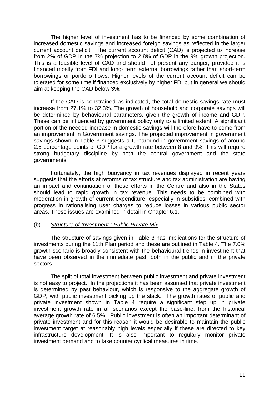The higher level of investment has to be financed by some combination of increased domestic savings and increased foreign savings as reflected in the larger current account deficit. The current account deficit (CAD) is projected to increase from 2% of GDP in the 7% projection to 2.8% of GDP in the 9% growth projection. This is a feasible level of CAD and should not present any danger, provided it is financed mostly from FDI and long- term external borrowings rather than short-term borrowings or portfolio flows. Higher levels of the current account deficit can be tolerated for some time if financed exclusively by higher FDI but in general we should aim at keeping the CAD below 3%.

 If the CAD is constrained as indicated, the total domestic savings rate must increase from 27.1% to 32.3%. The growth of household and corporate savings will be determined by behavioural parameters, given the growth of income and GDP. These can be influenced by government policy only to a limited extent. A significant portion of the needed increase in domestic savings will therefore have to come from an improvement in Government savings. The projected improvement in government savings shown in Table 3 suggests a turnaround in government savings of around 2.5 percentage points of GDP for a growth rate between 8 and 9%. This will require strong budgetary discipline by both the central government and the state governments.

 Fortunately, the high buoyancy in tax revenues displayed in recent years suggests that the efforts at reforms of tax structure and tax administration are having an impact and continuation of these efforts in the Centre and also in the States should lead to rapid growth in tax revenue. This needs to be combined with moderation in growth of current expenditure, especially in subsidies, combined with progress in rationalising user charges to reduce losses in various public sector areas. These issues are examined in detail in Chapter 6.1.

## (b) *Structure of Investment : Public Private Mix*

 The structure of savings given in Table 3 has implications for the structure of investments during the 11th Plan period and these are outlined in Table 4. The 7.0% growth scenario is broadly consistent with the behavioural trends in investment that have been observed in the immediate past, both in the public and in the private sectors.

 The split of total investment between public investment and private investment is not easy to project. In the projections it has been assumed that private investment is determined by past behaviour, which is responsive to the aggregate growth of GDP, with public investment picking up the slack. The growth rates of public and private investment shown in Table 4 require a significant step up in private investment growth rate in all scenarios except the base-line, from the historical average growth rate of 6.5%. Public investment is often an important determinant of private investment and for this reason it would be desirable to maintain the public investment target at reasonably high levels especially if these are directed to key infrastructure development. It is also important to regularly monitor private investment demand and to take counter cyclical measures in time.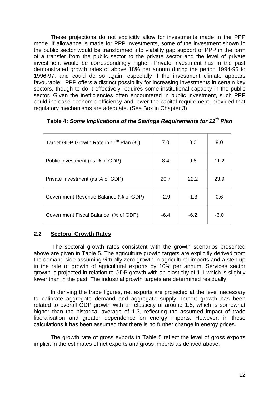These projections do not explicitly allow for investments made in the PPP mode. If allowance is made for PPP investments, some of the investment shown in the public sector would be transformed into viability gap support of PPP in the form of a transfer from the public sector to the private sector and the level of private investment would be correspondingly higher. Private investment has in the past demonstrated growth rates of above 18% per annum during the period 1994-95 to 1996-97, and could do so again, especially if the investment climate appears favourable. PPP offers a distinct possibility for increasing investments in certain key sectors, though to do it effectively requires some institutional capacity in the public sector. Given the inefficiencies often encountered in public investment, such PPP could increase economic efficiency and lower the capital requirement, provided that regulatory mechanisms are adequate. (See Box in Chapter 3)

| Target GDP Growth Rate in 11 <sup>th</sup> Plan (%) | 7.0    | 8.0    | 9.0  |
|-----------------------------------------------------|--------|--------|------|
| Public Investment (as % of GDP)                     | 8.4    | 9.8    | 11.2 |
| Private Investment (as % of GDP)                    | 20.7   | 22.2   | 23.9 |
| Government Revenue Balance (% of GDP)               | $-2.9$ | $-1.3$ | 0.6  |
| Government Fiscal Balance (% of GDP)                | $-6.4$ | $-6.2$ | -6.0 |

|  |  |  |  | Table 4: Some Implications of the Savings Requirements for 11 <sup>th</sup> Plan |  |
|--|--|--|--|----------------------------------------------------------------------------------|--|
|--|--|--|--|----------------------------------------------------------------------------------|--|

## **2.2 Sectoral Growth Rates**

 The sectoral growth rates consistent with the growth scenarios presented above are given in Table 5. The agriculture growth targets are explicitly derived from the demand side assuming virtually zero growth in agricultural imports and a step up in the rate of growth of agricultural exports by 10% per annum. Services sector growth is projected in relation to GDP growth with an elasticity of 1.1 which is slightly lower than in the past. The industrial growth targets are determined residually.

In deriving the trade figures, net exports are projected at the level necessary to calibrate aggregate demand and aggregate supply. Import growth has been related to overall GDP growth with an elasticity of around 1.5, which is somewhat higher than the historical average of 1.3, reflecting the assumed impact of trade liberalisation and greater dependence on energy imports. However, in these calculations it has been assumed that there is no further change in energy prices.

The growth rate of gross exports in Table 5 reflect the level of gross exports implicit in the estimates of net exports and gross imports as derived above.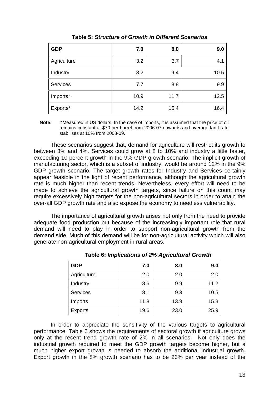| <b>GDP</b>      | 7.0  | 8.0  | 9.0  |
|-----------------|------|------|------|
| Agriculture     | 3.2  | 3.7  | 4.1  |
| Industry        | 8.2  | 9.4  | 10.5 |
| <b>Services</b> | 7.7  | 8.8  | 9.9  |
| Imports*        | 10.9 | 11.7 | 12.5 |
| Exports*        | 14.2 | 15.4 | 16.4 |

## **Table 5:** *Structure of Growth in Different Scenarios*

 **Note: \***Measured in US dollars. In the case of imports, it is assumed that the price of oil remains constant at \$70 per barrel from 2006-07 onwards and average tariff rate stabilises at 10% from 2008-09.

These scenarios suggest that, demand for agriculture will restrict its growth to between 3% and 4%. Services could grow at 8 to 10% and industry a little faster, exceeding 10 percent growth in the 9% GDP growth scenario. The implicit growth of manufacturing sector, which is a subset of industry, would be around 12% in the 9% GDP growth scenario. The target growth rates for Industry and Services certainly appear feasible in the light of recent performance, although the agricultural growth rate is much higher than recent trends. Nevertheless, every effort will need to be made to achieve the agricultural growth targets, since failure on this count may require excessively high targets for the non-agricultural sectors in order to attain the over-all GDP growth rate and also expose the economy to needless vulnerability.

The importance of agricultural growth arises not only from the need to provide adequate food production but because of the increasingly important role that rural demand will need to play in order to support non-agricultural growth from the demand side. Much of this demand will be for non-agricultural activity which will also generate non-agricultural employment in rural areas.

| <b>GDP</b>      | 7.0  | 8.0  | 9.0  |
|-----------------|------|------|------|
| Agriculture     | 2.0  | 2.0  | 2.0  |
| Industry        | 8.6  | 9.9  | 11.2 |
| <b>Services</b> | 8.1  | 9.3  | 10.5 |
| Imports         | 11.8 | 13.9 | 15.3 |
| <b>Exports</b>  | 19.6 | 23.0 | 25.9 |

|  | <b>Table 6: Implications of 2% Agricultural Growth</b> |  |  |
|--|--------------------------------------------------------|--|--|
|--|--------------------------------------------------------|--|--|

In order to appreciate the sensitivity of the various targets to agricultural performance, Table 6 shows the requirements of sectoral growth if agriculture grows only at the recent trend growth rate of 2% in all scenarios. Not only does the industrial growth required to meet the GDP growth targets become higher, but a much higher export growth is needed to absorb the additional industrial growth. Export growth in the 8% growth scenario has to be 23% per year instead of the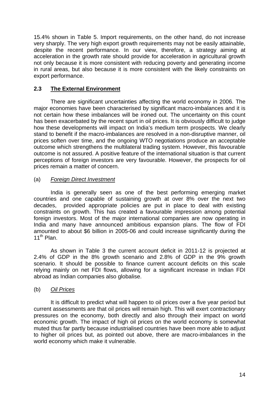15.4% shown in Table 5. Import requirements, on the other hand, do not increase very sharply. The very high export growth requirements may not be easily attainable, despite the recent performance. In our view, therefore, a strategy aiming at acceleration in the growth rate should provide for acceleration in agricultural growth not only because it is more consistent with reducing poverty and generating income in rural areas, but also because it is more consistent with the likely constraints on export performance.

## **2.3 The External Environment**

There are significant uncertainties affecting the world economy in 2006. The major economies have been characterised by significant macro-imbalances and it is not certain how these imbalances will be ironed out. The uncertainty on this count has been exacerbated by the recent spurt in oil prices. It is obviously difficult to judge how these developments will impact on India's medium term prospects. We clearly stand to benefit if the macro-imbalances are resolved in a non-disruptive manner, oil prices soften over time, and the ongoing WTO negotiations produce an acceptable outcome which strengthens the multilateral trading system. However, this favourable outcome is not assured. A positive feature of the international situation is that current perceptions of foreign investors are very favourable. However, the prospects for oil prices remain a matter of concern.

## (a) *Foreign Direct Investment*

India is generally seen as one of the best performing emerging market countries and one capable of sustaining growth at over 8% over the next two decades, provided appropriate policies are put in place to deal with existing constraints on growth. This has created a favourable impression among potential foreign investors. Most of the major international companies are now operating in India and many have announced ambitious expansion plans. The flow of FDI amounted to about \$6 billion in 2005-06 and could increase significantly during the  $11^{th}$  Plan.

As shown in Table 3 the current account deficit in 2011-12 is projected at 2.4% of GDP in the 8% growth scenario and 2.8% of GDP in the 9% growth scenario. It should be possible to finance current account deficits on this scale relying mainly on net FDI flows, allowing for a significant increase in Indian FDI abroad as Indian companies also globalise.

## (b) *Oil Prices*

It is difficult to predict what will happen to oil prices over a five year period but current assessments are that oil prices will remain high. This will exert contractionary pressures on the economy, both directly and also through their impact on world economic growth. The impact of high oil prices on the world economy is somewhat muted thus far partly because industrialised countries have been more able to adjust to higher oil prices but, as pointed out above, there are macro-imbalances in the world economy which make it vulnerable.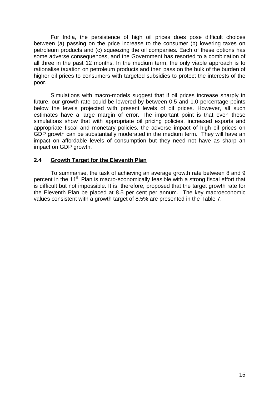For India, the persistence of high oil prices does pose difficult choices between (a) passing on the price increase to the consumer (b) lowering taxes on petroleum products and (c) squeezing the oil companies. Each of these options has some adverse consequences, and the Government has resorted to a combination of all three in the past 12 months. In the medium term, the only viable approach is to rationalise taxation on petroleum products and then pass on the bulk of the burden of higher oil prices to consumers with targeted subsidies to protect the interests of the poor.

Simulations with macro-models suggest that if oil prices increase sharply in future, our growth rate could be lowered by between 0.5 and 1.0 percentage points below the levels projected with present levels of oil prices. However, all such estimates have a large margin of error. The important point is that even these simulations show that with appropriate oil pricing policies, increased exports and appropriate fiscal and monetary policies, the adverse impact of high oil prices on GDP growth can be substantially moderated in the medium term. They will have an impact on affordable levels of consumption but they need not have as sharp an impact on GDP growth.

## **2.4 Growth Target for the Eleventh Plan**

 To summarise, the task of achieving an average growth rate between 8 and 9 percent in the 11<sup>th</sup> Plan is macro-economically feasible with a strong fiscal effort that is difficult but not impossible. It is, therefore, proposed that the target growth rate for the Eleventh Plan be placed at 8.5 per cent per annum. The key macroeconomic values consistent with a growth target of 8.5% are presented in the Table 7.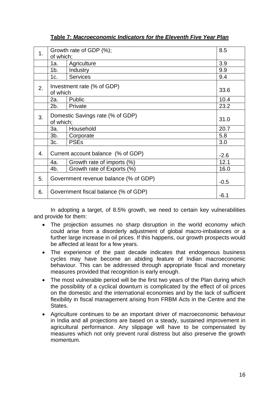| 1 <sub>1</sub> |                                       | Growth rate of GDP (%);            | 8.5    |  |
|----------------|---------------------------------------|------------------------------------|--------|--|
|                | of which;                             |                                    |        |  |
|                | 1a.                                   | Agriculture                        | 3.9    |  |
|                | $1b$ .                                | Industry                           | 9.9    |  |
|                | 1c.                                   | <b>Services</b>                    | 9.4    |  |
| 2.             |                                       | Investment rate (% of GDP)         |        |  |
|                | of which                              |                                    | 33.6   |  |
|                | 2a.                                   | Public                             | 10.4   |  |
|                | 2b.                                   | Private                            | 23.2   |  |
|                | Domestic Savings rate (% of GDP)      |                                    |        |  |
| 3.             | of which;                             |                                    | 31.0   |  |
|                | За.                                   | Household                          | 20.7   |  |
|                | $3b$ .                                | Corporate                          | 5.8    |  |
|                | 3c.                                   | <b>PSEs</b>                        | 3.0    |  |
| 4.             |                                       | Current account balance (% of GDP) |        |  |
|                |                                       |                                    | $-2.6$ |  |
|                | 4a.                                   | Growth rate of imports (%)         | 12.1   |  |
|                | 4b.                                   | Growth rate of Exports (%)         | 16.0   |  |
| 5.             | Government revenue balance (% of GDP) |                                    |        |  |
|                | $-0.5$                                |                                    |        |  |
| 6.             | Government fiscal balance (% of GDP)  |                                    |        |  |
|                | $-6.1$                                |                                    |        |  |

## **Table 7:** *Macroeconomic Indicators for the Eleventh Five Year Plan*

 In adopting a target, of 8.5% growth, we need to certain key vulnerabilities and provide for them:

- The projection assumes no sharp disruption in the world economy which could arise from a disorderly adjustment of global macro-imbalances or a further large increase in oil prices. If this happens, our growth prospects would be affected at least for a few years.
- The experience of the past decade indicates that endogenous business cycles may have become an abiding feature of Indian macroeconomic behaviour. This can be addressed through appropriate fiscal and monetary measures provided that recognition is early enough.
- The most vulnerable period will be the first two vears of the Plan during which the possibility of a cyclical downturn is complicated by the effect of oil prices on the domestic and the international economies and by the lack of sufficient flexibility in fiscal management arising from FRBM Acts in the Centre and the States.
- Agriculture continues to be an important driver of macroeconomic behaviour in India and all projections are based on a steady, sustained improvement in agricultural performance. Any slippage will have to be compensated by measures which not only prevent rural distress but also preserve the growth momentum.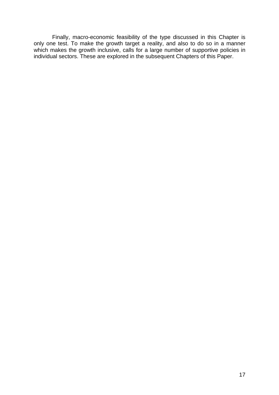Finally, macro-economic feasibility of the type discussed in this Chapter is only one test. To make the growth target a reality, and also to do so in a manner which makes the growth inclusive, calls for a large number of supportive policies in individual sectors. These are explored in the subsequent Chapters of this Paper.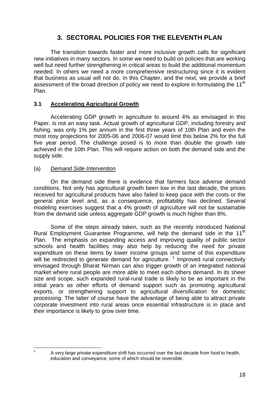# **3. SECTORAL POLICIES FOR THE ELEVENTH PLAN**

 The transition towards faster and more inclusive growth calls for significant new initiatives in many sectors. In some we need to build on policies that are working well but need further strengthening in critical areas to build the additional momentum needed. In others we need a more comprehensive restructuring since it is evident that business as usual will not do. In this Chapter, and the next, we provide a brief assessment of the broad direction of policy we need to explore in formulating the 11<sup>th</sup> Plan.

## **3.1 Accelerating Agricultural Growth**

Accelerating GDP growth in agriculture to around 4% as envisaged in this Paper, is not an easy task. Actual growth of agricultural GDP, including forestry and fishing, was only 1% per annum in the first three years of 10th Plan and even the most rosy projections for 2005-06 and 2006-07 would limit this below 2% for the full five year period. The challenge posed is to more than double the growth rate achieved in the 10th Plan. This will require action on both the demand side and the supply side.

## (a) *Demand Side Intervention*

On the demand side there is evidence that farmers face adverse demand conditions. Not only has agricultural growth been low in the last decade, the prices received for agricultural products have also failed to keep pace with the costs or the general price level and, as a consequence, profitability has declined. Several modeling exercises suggest that a 4% growth of agriculture will not be sustainable from the demand side unless aggregate GDP growth is much higher than 8%.

Some of the steps already taken, such as the recently introduced National Rural Employment Guarantee Programme, will help the demand side in the  $11<sup>th</sup>$ Plan. The emphasis on expanding access and improving quality of public sector schools and health facilities may also help by reducing the need for private expenditure on these items by lower income groups and some of this expenditure will be redirected to generate demand for agriculture.  $1$  Improved rural connectivity envisaged through Bharat Nirman can also trigger growth of an integrated national market where rural people are more able to meet each others demand. In its sheer size and scope, such expanded rural-rural trade is likely to be as important in the initial years as other efforts of demand support such as promoting agricultural exports, or strengthening support to agricultural diversification for domestic processing. The latter of course have the advantage of being able to attract private corporate investment into rural areas once essential infrastructure is in place and their importance is likely to grow over time.

<span id="page-18-0"></span> $\frac{1}{1}$ 

A very large private expenditure shift has occurred over the last decade from food to health, education and conveyance, some of which should be reversible.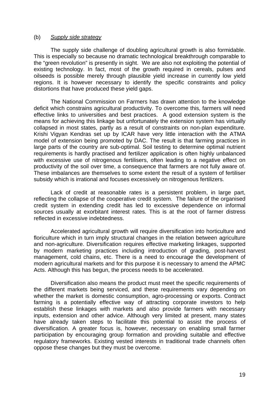#### (b) *Supply side strategy*

The supply side challenge of doubling agricultural growth is also formidable. This is especially so because no dramatic technological breakthrough comparable to the "green revolution" is presently in sight. We are also not exploiting the potential of existing technology. In fact, most of the growth required in cereals, pulses and oilseeds is possible merely through plausible yield increase in currently low yield regions. It is however necessary to identify the specific constraints and policy distortions that have produced these yield gaps.

The National Commission on Farmers has drawn attention to the knowledge deficit which constrains agricultural productivity. To overcome this, farmers will need effective links to universities and best practices. A good extension system is the means for achieving this linkage but unfortunately the extension system has virtually collapsed in most states, partly as a result of constraints on non-plan expenditure. Krishi Vigyan Kendras set up by ICAR have very little interaction with the ATMA model of extension being promoted by DAC. The result is that farming practices in large parts of the country are sub-optimal. Soil testing to determine optimal nutrient requirements is hardly practised and fertilizer application is often highly unbalanced with excessive use of nitrogenous fertilisers, often leading to a negative effect on productivity of the soil over time, a consequence that farmers are not fully aware of. These imbalances are themselves to some extent the result of a system of fertiliser subsidy which is irrational and focuses excessively on nitrogenous fertilizers.

Lack of credit at reasonable rates is a persistent problem, in large part, reflecting the collapse of the cooperative credit system. The failure of the organised credit system in extending credit has led to excessive dependence on informal sources usually at exorbitant interest rates. This is at the root of farmer distress reflected in excessive indebtedness.

 Accelerated agricultural growth will require diversification into horticulture and floriculture which in turn imply structural changes in the relation between agriculture and non-agriculture. Diversification requires effective marketing linkages, supported by modern marketing practices including introduction of grading, post-harvest management, cold chains, etc. There is a need to encourage the development of modern agricultural markets and for this purpose it is necessary to amend the APMC Acts. Although this has begun, the process needs to be accelerated.

 Diversification also means the product must meet the specific requirements of the different markets being serviced, and these requirements vary depending on whether the market is domestic consumption, agro-processing or exports. Contract farming is a potentially effective way of attracting corporate investors to help establish these linkages with markets and also provide farmers with necessary inputs, extension and other advice. Although very limited at present, many states have already taken steps to facilitate this potential to assist the process of diversification. A greater focus is, however, necessary on enabling small farmer participation by encouraging group formation and providing suitable and effective regulatory frameworks. Existing vested interests in traditional trade channels often oppose these changes but they must be overcome.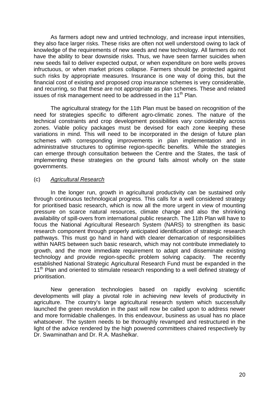As farmers adopt new and untried technology, and increase input intensities, they also face larger risks. These risks are often not well understood owing to lack of knowledge of the requirements of new seeds and new technology. All farmers do not have the ability to bear downside risks. Thus, we have seen farmer suicides when new seeds fail to deliver expected output, or when expenditure on bore wells proves infructuous, or when market prices collapse. Farmers should be protected against such risks by appropriate measures. Insurance is one way of doing this, but the financial cost of existing and proposed crop insurance schemes is very considerable, and recurring, so that these are not appropriate as plan schemes. These and related issues of risk management need to be addressed in the 11<sup>th</sup> Plan.

 The agricultural strategy for the 11th Plan must be based on recognition of the need for strategies specific to different agro-climatic zones. The nature of the technical constraints and crop development possibilities vary considerably across zones. Viable policy packages must be devised for each zone keeping these variations in mind. This will need to be incorporated in the design of future plan schemes with corresponding improvements in plan implementation and in administrative structures to optimise region-specific benefits. While the strategies can emerge through consultation between the Centre and the States, the task of implementing these strategies on the ground falls almost wholly on the state governments.

## (c) *Agricultural Research*

In the longer run, growth in agricultural productivity can be sustained only through continuous technological progress. This calls for a well considered strategy for prioritised basic research, which is now all the more urgent in view of mounting pressure on scarce natural resources, climate change and also the shrinking availability of spill-overs from international public research. The 11th Plan will have to focus the National Agricultural Research System (NARS) to strengthen its basic research component through properly anticipated identification of strategic research pathways. This must go hand in hand with clearer demarcation of responsibilities within NARS between such basic research, which may not contribute immediately to growth, and the more immediate requirement to adapt and disseminate existing technology and provide region-specific problem solving capacity. The recently established National Strategic Agricultural Research Fund must be expanded in the 11<sup>th</sup> Plan and oriented to stimulate research responding to a well defined strategy of prioritisation.

New generation technologies based on rapidly evolving scientific developments will play a pivotal role in achieving new levels of productivity in agriculture. The country's large agricultural research system which successfully launched the green revolution in the past will now be called upon to address newer and more formidable challenges. In this endeavour, business as usual has no place whatsoever. The system needs to be thoroughly revamped and restructured in the light of the advice rendered by the high powered committees chaired respectively by Dr. Swaminathan and Dr. R.A. Mashelkar.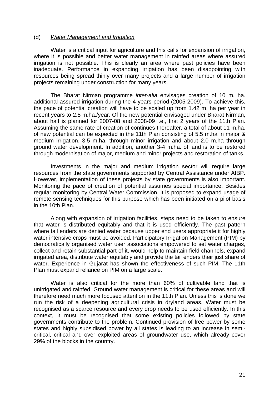#### (d) *Water Management and Irrigation*

Water is a critical input for agriculture and this calls for expansion of irrigation, where it is possible and better water management in rainfed areas where assured irrigation is not possible. This is clearly an area where past policies have been inadequate. Performance in expanding irrigation has been disappointing with resources being spread thinly over many projects and a large number of irrigation projects remaining under construction for many years.

 The Bharat Nirman programme *inter-alia* envisages creation of 10 m. ha. additional assured irrigation during the 4 years period (2005-2009). To achieve this, the pace of potential creation will have to be scaled up from 1.42 m. ha per year in recent years to 2.5 m.ha./year. Of the new potential envisaged under Bharat Nirman, about half is planned for 2007-08 and 2008-09 i.e., first 2 years of the 11th Plan. Assuming the same rate of creation of continues thereafter, a total of about 11 m.ha. of new potential can be expected in the 11th Plan consisting of 5.5 m.ha in major & medium irrigation, 3.5 m.ha. through minor irrigation and about 2.0 m.ha through ground water development. In addition, another 3-4 m.ha. of land is to be restored through modernisation of major, medium and minor projects and restoration of tanks.

Investments in the major and medium irrigation sector will require large resources from the state governments supported by Central Assistance under AIBP. However, implementation of these projects by state governments is also important. Monitoring the pace of creation of potential assumes special importance. Besides regular monitoring by Central Water Commission, it is proposed to expand usage of remote sensing techniques for this purpose which has been initiated on a pilot basis in the 10th Plan.

Along with expansion of irrigation facilities, steps need to be taken to ensure that water is distributed equitably and that it is used efficiently. The past pattern where tail enders are denied water because upper end users appropriate it for highly water intensive crops must be avoided. Participatory Irrigation Management (PIM) by democratically organised water user associations empowered to set water charges, collect and retain substantial part of it, would help to maintain field channels, expand irrigated area, distribute water equitably and provide the tail enders their just share of water. Experience in Gujarat has shown the effectiveness of such PIM. The 11th Plan must expand reliance on PIM on a large scale.

 Water is also critical for the more than 60% of cultivable land that is unirrigated and rainfed. Ground water management is critical for these areas and will therefore need much more focused attention in the 11th Plan. Unless this is done we run the risk of a deepening agricultural crisis in dryland areas. Water must be recognised as a scarce resource and every drop needs to be used efficiently. In this context, it must be recognised that some existing policies followed by state governments contribute to the problem. Continued provision of free power by some states and highly subsidised power by all states is leading to an increase in semicritical, critical and over exploited areas of groundwater use, which already cover 29% of the blocks in the country.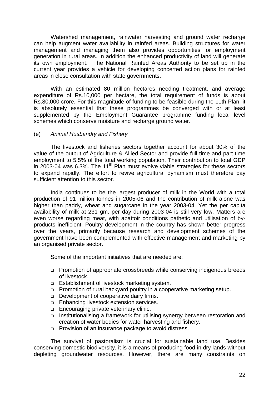Watershed management, rainwater harvesting and ground water recharge can help augment water availability in rainfed areas. Building structures for water management and managing them also provides opportunities for employment generation in rural areas. In addition the enhanced productivity of land will generate its own employment. The National Rainfed Areas Authority to be set up in the current year provides a vehicle for developing concerted action plans for rainfed areas in close consultation with state governments.

With an estimated 80 million hectares needing treatment, and average expenditure of Rs.10,000 per hectare, the total requirement of funds is about Rs.80,000 crore. For this magnitude of funding to be feasible during the 11th Plan, it is absolutely essential that these programmes be converged with or at least supplemented by the Employment Guarantee programme funding local level schemes which conserve moisture and recharge ground water.

## (e) *Animal Husbandry and Fishery*

 The livestock and fisheries sectors together account for about 30% of the value of the output of Agriculture & Allied Sector and provide full time and part time employment to 5.5% of the total working population. Their contribution to total GDP in 2003-04 was 6.3%. The 11<sup>th</sup> Plan must evolve viable strategies for these sectors to expand rapidly. The effort to revive agricultural dynamism must therefore pay sufficient attention to this sector.

 India continues to be the largest producer of milk in the World with a total production of 91 million tonnes in 2005-06 and the contribution of milk alone was higher than paddy, wheat and sugarcane in the year 2003-04. Yet the per capita availability of milk at 231 gm. per day during 2003-04 is still very low. Matters are even worse regarding meat, with abattoir conditions pathetic and utilisation of byproducts inefficient. Poultry development in the country has shown better progress over the years, primarily because research and development schemes of the government have been complemented with effective management and marketing by an organised private sector.

Some of the important initiatives that are needed are:

- Promotion of appropriate crossbreeds while conserving indigenous breeds of livestock.
- □ Establishment of livestock marketing system.
- Promotion of rural backyard poultry in a cooperative marketing setup.
- Development of cooperative dairy firms.
- **Enhancing livestock extension services.**
- **Encouraging private veterinary clinic.**
- □ Institutionalising a framework for utilising synergy between restoration and creation of water bodies for water harvesting and fishery.
- **Provision of an insurance package to avoid distress.**

 The survival of pastoralism is crucial for sustainable land use. Besides conserving domestic biodiversity, it is a means of producing food in dry lands without depleting groundwater resources. However, there are many constraints on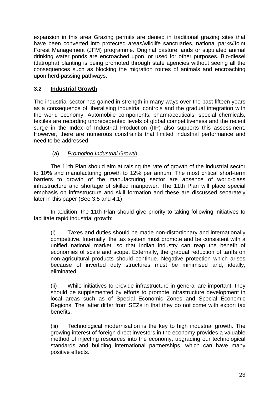expansion in this area Grazing permits are denied in traditional grazing sites that have been converted into protected areas/wildlife sanctuaries, national parks/Joint Forest Management (JFM) programme. Original pasture lands or stipulated animal drinking water ponds are encroached upon, or used for other purposes. Bio-diesel (Jatropha) planting is being promoted through state agencies without seeing all the consequences such as blocking the migration routes of animals and encroaching upon herd-passing pathways.

## **3.2 Industrial Growth**

The industrial sector has gained in strength in many ways over the past fifteen years as a consequence of liberalising industrial controls and the gradual integration with the world economy. Automobile components, pharmaceuticals, special chemicals, textiles are recording unprecedented levels of global competitiveness and the recent surge in the Index of Industrial Production (IIP) also supports this assessment. However, there are numerous constraints that limited industrial performance and need to be addressed.

## (a) *Promoting Industrial Growth*

The 11th Plan should aim at raising the rate of growth of the industrial sector to 10% and manufacturing growth to 12% per annum. The most critical short-term barriers to growth of the manufacturing sector are absence of world-class infrastructure and shortage of skilled manpower. The 11th Plan will place special emphasis on infrastructure and skill formation and these are discussed separately later in this paper (See 3.5 and 4.1)

In addition, the 11th Plan should give priority to taking following initiatives to facilitate rapid industrial growth:

(i) Taxes and duties should be made non-distortionary and internationally competitive. Internally, the tax system must promote and be consistent with a unified national market, so that Indian industry can reap the benefit of economies of scale and scope. Externally, the gradual reduction of tariffs on non-agricultural products should continue. Negative protection which arises because of inverted duty structures must be minimised and, ideally, eliminated.

(ii) While initiatives to provide infrastructure in general are important, they should be supplemented by efforts to promote infrastructure development in local areas such as of Special Economic Zones and Special Economic Regions. The latter differ from SEZs in that they do not come with export tax benefits.

(iii) Technological modernisation is the key to high industrial growth. The growing interest of foreign direct investors in the economy provides a valuable method of injecting resources into the economy, upgrading our technological standards and building international partnerships, which can have many positive effects.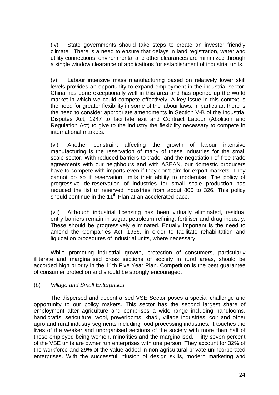(iv) State governments should take steps to create an investor friendly climate. There is a need to ensure that delays in land registration, water and utility connections, environmental and other clearances are minimized through a single window clearance of applications for establishment of industrial units.

(v) Labour intensive mass manufacturing based on relatively lower skill levels provides an opportunity to expand employment in the industrial sector. China has done exceptionally well in this area and has opened up the world market in which we could compete effectively. A key issue in this context is the need for greater flexibility in some of the labour laws. In particular, there is the need to consider appropriate amendments in Section V-B of the Industrial Disputes Act, 1947 to facilitate exit and Contract Labour (Abolition and Regulation Act) to give to the industry the flexibility necessary to compete in international markets.

(vi) Another constraint affecting the growth of labour intensive manufacturing is the reservation of many of these industries for the small scale sector. With reduced barriers to trade, and the negotiation of free trade agreements with our neighbours and with ASEAN, our domestic producers have to compete with imports even if they don't aim for export markets. They cannot do so if reservation limits their ability to modernise. The policy of progressive de-reservation of industries for small scale production has reduced the list of reserved industries from about 800 to 326. This policy should continue in the 11<sup>th</sup> Plan at an accelerated pace.

(vii) Although industrial licensing has been virtually eliminated, residual entry barriers remain in sugar, petroleum refining, fertiliser and drug industry. These should be progressively eliminated. Equally important is the need to amend the Companies Act, 1956, in order to facilitate rehabilitation and liquidation procedures of industrial units, where necessary.

 While promoting industrial growth, protection of consumers, particularly illiterate and marginalised cross sections of society in rural areas, should be accorded high priority in the 11th Five Year Plan. Competition is the best guarantee of consumer protection and should be strongly encouraged.

## (b) *Village and Small Enterprises*

 The dispersed and decentralised VSE Sector poses a special challenge and opportunity to our policy makers. This sector has the second largest share of employment after agriculture and comprises a wide range including handlooms, handicrafts, sericulture, wool, powerlooms, khadi, village industries, coir and other agro and rural industry segments including food processing industries. It touches the lives of the weaker and unorganised sections of the society with more than half of those employed being women, minorities and the marginalised. Fifty seven percent of the VSE units are owner run enterprises with one person. They account for 32% of the workforce and 29% of the value added in non-agricultural private unincorporated enterprises. With the successful infusion of design skills, modern marketing and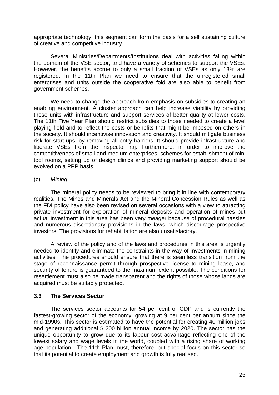appropriate technology, this segment can form the basis for a self sustaining culture of creative and competitive industry.

 Several Ministries/Departments/Institutions deal with activities falling within the domain of the VSE sector, and have a variety of schemes to support the VSEs. However, the benefits accrue to only a small fraction of VSEs as only 13% are registered. In the 11th Plan we need to ensure that the unregistered small enterprises and units outside the cooperativ*e* fold are also able to benefit from government schemes.

We need to change the approach from emphasis on subsidies to creating an enabling environment. A cluster approach can help increase viability by providing these units with infrastructure and support services of better quality at lower costs. The 11th Five Year Plan should restrict subsidies to those needed to create a level playing field and to reflect the costs or benefits that might be imposed on others in the society. It should incentivise innovation and creativity. It should mitigate business risk for start-ups, by removing all entry barriers. It should provide infrastructure and liberate VSEs from the inspector raj. Furthermore, in order to improve the competitiveness of small and medium enterprises, schemes for establishment of mini tool rooms, setting up of design clinics and providing marketing support should be evolved on a PPP basis.

## (c) *Mining*

The mineral policy needs to be reviewed to bring it in line with contemporary realities. The Mines and Minerals Act and the Mineral Concession Rules as well as the FDI policy have also been revised on several occasions with a view to attracting private investment for exploration of mineral deposits and operation of mines but actual investment in this area has been very meager because of procedural hassles and numerous discretionary provisions in the laws, which discourage prospective investors. The provisions for rehabilitation are also unsatisfactory.

A review of the policy and of the laws and procedures in this area is urgently needed to identify and eliminate the constraints in the way of investments in mining activities. The procedures should ensure that there is seamless transition from the stage of reconnaissance permit through prospective license to mining lease, and security of tenure is guaranteed to the maximum extent possible. The conditions for resettlement must also be made transparent and the rights of those whose lands are acquired must be suitably protected.

## **3.3 The Services Sector**

The services sector accounts for 54 per cent of GDP and is currently the fastest-growing sector of the economy, growing at 9 per cent per annum since the mid-1990s. This sector is estimated to have the potential for creating 40 million jobs and generating additional \$ 200 billion annual income by 2020. The sector has the unique opportunity to grow due to its labour cost advantage reflecting one of the lowest salary and wage levels in the world, coupled with a rising share of working age population. The 11th Plan must, therefore, put special focus on this sector so that its potential to create employment and growth is fully realised.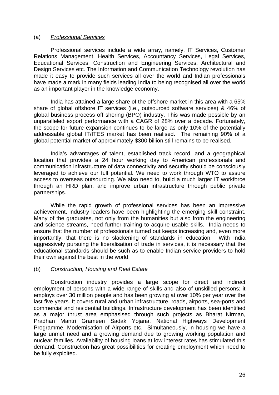## (a) *Professional Services*

 Professional services include a wide array, namely, IT Services, Customer Relations Management, Health Services, Accountancy Services, Legal Services, Educational Services, Construction and Engineering Services, Architectural and Design Services etc. The Information and Communication Technology revolution has made it easy to provide such services all over the world and Indian professionals have made a mark in many fields leading India to being recognised all over the world as an important player in the knowledge economy.

India has attained a large share of the offshore market in this area with a 65% share of global offshore IT services (i.e., outsourced software services) & 46% of global business process off shoring (BPO) industry. This was made possible by an unparalleled export performance with a CAGR of 28% over a decade. Fortunately, the scope for future expansion continues to be large as only 10% of the potentially addressable global IT/ITES market has been realised. The remaining 90% of a global potential market of approximately \$300 billion still remains to be realised.

India's advantages of talent, established track record, and a geographical location that provides a 24 hour working day to American professionals and communication infrastructure of data connectivity and security should be consciously leveraged to achieve our full potential. We need to work through WTO to assure access to overseas outsourcing. We also need to, build a much larger IT workforce through an HRD plan, and improve urban infrastructure through public private partnerships.

While the rapid growth of professional services has been an impressive achievement, industry leaders have been highlighting the emerging skill constraint. Many of the graduates, not only from the humanities but also from the engineering and science streams, need further training to acquire usable skills. India needs to ensure that the number of professionals turned out keeps increasing and, even more importantly, that there is no slackening of standards in education. With India aggressively pursuing the liberalisation of trade in services, it is necessary that the educational standards should be such as to enable Indian service providers to hold their own against the best in the world.

## (b) *Construction, Housing and Real Estate*

 Construction industry provides a large scope for direct and indirect employment of persons with a wide range of skills and also of unskilled persons; it employs over 30 million people and has been growing at over 10% per year over the last five years. It covers rural and urban infrastructure, roads, airports, sea-ports and commercial and residential buildings. Infrastructure development has been identified as a major thrust area emphasised through such projects as Bharat Nirman, Pradhan Mantri Grameen Sadak Yojana, National Highways Development Programme, Modernisation of Airports etc. Simultaneously, in housing we have a large unmet need and a growing demand due to growing working population and nuclear families. Availability of housing loans at low interest rates has stimulated this demand. Construction has great possibilities for creating employment which need to be fully exploited.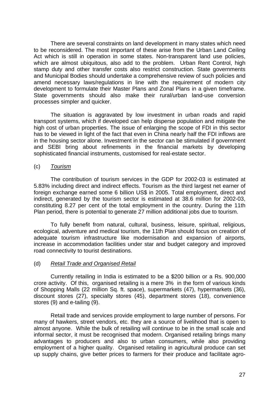There are several constraints on land development in many states which need to be reconsidered. The most important of these arise from the Urban Land Ceiling Act which is still in operation in some states. Non-transparent land use policies, which are almost ubiquitous, also add to the problem. Urban Rent Control, high stamp duty and other transfer costs also restrict construction. State governments and Municipal Bodies should undertake a comprehensive review of such policies and amend necessary laws/regulations in line with the requirement of modern city development to formulate their Master Plans and Zonal Plans in a given timeframe. State governments should also make their rural/urban land-use conversion processes simpler and quicker.

 The situation is aggravated by low investment in urban roads and rapid transport systems, which if developed can help disperse population and mitigate the high cost of urban properties. The issue of enlarging the scope of FDI in this sector has to be viewed in light of the fact that even in China nearly half the FDI inflows are in the housing sector alone. Investment in the sector can be stimulated if government and SEBI bring about refinements in the financial markets by developing sophisticated financial instruments, customised for real-estate sector.

## (c) *Tourism*

The contribution of tourism services in the GDP for 2002-03 is estimated at 5.83% including direct and indirect effects. Tourism as the third largest net earner of foreign exchange earned some 6 billion US\$ in 2005. Total employment, direct and indirect, generated by the tourism sector is estimated at 38.6 million for 2002-03, constituting 8.27 per cent of the total employment in the country. During the 11th Plan period, there is potential to generate 27 million additional jobs due to tourism.

To fully benefit from natural, cultural, business, leisure, spiritual, religious, ecological, adventure and medical tourism, the 11th Plan should focus on creation of adequate tourism infrastructure like modernisation and expansion of airports, increase in accommodation facilities under star and budget category and improved road connectivity to tourist destinations.

#### (d) *Retail Trade and Organised Retail*

 Currently retailing in India is estimated to be a \$200 billion or a Rs. 900,000 crore activity. Of this, organised retailing is a mere 3% in the form of various kinds of Shopping Malls (22 million Sq. ft. space), supermarkets (47), hypermarkets (36), discount stores (27), specialty stores (45), department stores (18), convenience stores (9) and e-tailing (9).

Retail trade and services provide employment to large number of persons. For many of hawkers, street vendors, etc. they are a source of livelihood that is open to almost anyone. While the bulk of retailing will continue to be in the small scale and informal sector, it must be recognised that modern. Organised retailing brings many advantages to producers and also to urban consumers, while also providing employment of a higher quality. Organised retailing in agricultural produce can set up supply chains, give better prices to farmers for their produce and facilitate agro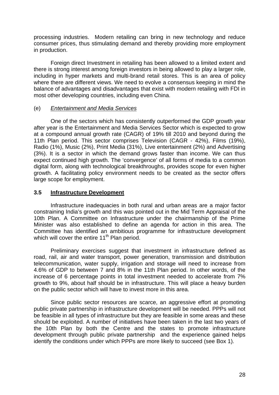processing industries. Modern retailing can bring in new technology and reduce consumer prices, thus stimulating demand and thereby providing more employment in production.

Foreign direct Investment in retailing has been allowed to a limited extent and there is strong interest among foreign investors in being allowed to play a larger role, including in hyper markets and multi-brand retail stores. This is an area of policy where there are different views. We need to evolve a consensus keeping in mind the balance of advantages and disadvantages that exist with modern retailing with FDI in most other developing countries, including even China.

## (e) *Entertainment and Media Services*

One of the sectors which has consistently outperformed the GDP growth year after year is the Entertainment and Media Services Sector which is expected to grow at a compound annual growth rate (CAGR) of 19% till 2010 and beyond during the 11th Plan period. This sector comprises Television (CAGR - 42%), Films (19%), Radio (1%), Music (2%), Print Media (31%), Live entertainment (2%) and Advertising (3%). It is a sector in which the demand grows faster than income. We can thus expect continued high growth. The 'convergence' of all forms of media to a common digital form, along with technological breakthroughs, provides scope for even higher growth. A facilitating policy environment needs to be created as the sector offers large scope for employment.

## **3.5 Infrastructure Development**

Infrastructure inadequacies in both rural and urban areas are a major factor constraining India's growth and this was pointed out in the Mid Term Appraisal of the 10th Plan. A Committee on Infrastructure under the chairmanship of the Prime Minister was also established to define an agenda for action in this area. The Committee has identified an ambitious programme for infrastructure development which will cover the entire 11<sup>th</sup> Plan period.

Preliminary exercises suggest that investment in infrastructure defined as road, rail, air and water transport, power generation, transmission and distribution telecommunication, water supply, irrigation and storage will need to increase from 4.6% of GDP to between 7 and 8% in the 11th Plan period. In other words, of the increase of 6 percentage points in total investment needed to accelerate from 7% growth to 9%, about half should be in infrastructure. This will place a heavy burden on the public sector which will have to invest more in this area.

Since public sector resources are scarce, an aggressive effort at promoting public private partnership in infrastructure development will be needed. PPPs will not be feasible in all types of infrastructure but they are feasible in some areas and these should be exploited. A number of initiatives have been taken in the last two years of the 10th Plan by both the Centre and the states to promote infrastructure development through public private partnership and the experience gained helps identify the conditions under which PPPs are more likely to succeed (see Box 1).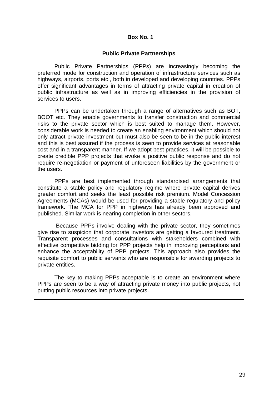#### **Box No. 1**

#### **Public Private Partnerships**

Public Private Partnerships (PPPs) are increasingly becoming the preferred mode for construction and operation of infrastructure services such as highways, airports, ports etc., both in developed and developing countries. PPPs offer significant advantages in terms of attracting private capital in creation of public infrastructure as well as in improving efficiencies in the provision of services to users.

PPPs can be undertaken through a range of alternatives such as BOT, BOOT etc. They enable governments to transfer construction and commercial risks to the private sector which is best suited to manage them. However, considerable work is needed to create an enabling environment which should not only attract private investment but must also be seen to be in the public interest and this is best assured if the process is seen to provide services at reasonable cost and in a transparent manner. If we adopt best practices, it will be possible to create credible PPP projects that evoke a positive public response and do not require re-negotiation or payment of unforeseen liabilities by the government or the users.

PPPs are best implemented through standardised arrangements that constitute a stable policy and regulatory regime where private capital derives greater comfort and seeks the least possible risk premium. Model Concession Agreements (MCAs) would be used for providing a stable regulatory and policy framework. The MCA for PPP in highways has already been approved and published. Similar work is nearing completion in other sectors.

 Because PPPs involve dealing with the private sector, they sometimes give rise to suspicion that corporate investors are getting a favoured treatment. Transparent processes and consultations with stakeholders combined with effective competitive bidding for PPP projects help in improving perceptions and enhance the acceptability of PPP projects. This approach also provides the requisite comfort to public servants who are responsible for awarding projects to private entities.

The key to making PPPs acceptable is to create an environment where PPPs are seen to be a way of attracting private money into public projects, not putting public resources into private projects.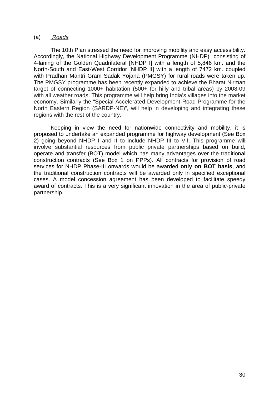#### (a) *Roads*

The 10th Plan stressed the need for improving mobility and easy accessibility. Accordingly, the National Highway Development Programme (NHDP) consisting of 4-laning of the Golden Quadrilateral [NHDP I] with a length of 5,846 km. and the North-South and East-West Corridor [NHDP II] with a length of 7472 km. coupled with Pradhan Mantri Gram Sadak Yojana (PMGSY) for rural roads were taken up. The PMGSY programme has been recently expanded to achieve the Bharat Nirman target of connecting 1000+ habitation (500+ for hilly and tribal areas) by 2008-09 with all weather roads. This programme will help bring India's villages into the market economy. Similarly the "Special Accelerated Development Road Programme for the North Eastern Region (SARDP-NE)", will help in developing and integrating these regions with the rest of the country.

Keeping in view the need for nationwide connectivity and mobility, it is proposed to undertake an expanded programme for highway development (See Box 2) going beyond NHDP I and II to include NHDP III to VII. This programme will involve substantial resources from public private partnerships based on build, operate and transfer (BOT) model which has many advantages over the traditional construction contracts (See Box 1 on PPPs). All contracts for provision of road services for NHDP Phase-III onwards would be awarded **only on BOT basis**, and the traditional construction contracts will be awarded only in specified exceptional cases. A model concession agreement has been developed to facilitate speedy award of contracts. This is a very significant innovation in the area of public-private partnership.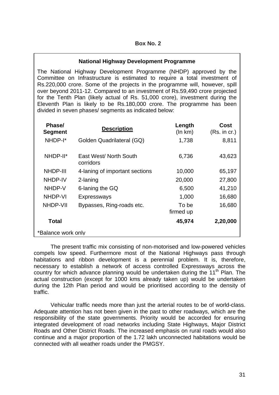## **National Highway Development Programme**

The National Highway Development Programme (NHDP) approved by the Committee on Infrastructure is estimated to require a total investment of Rs.220,000 crore. Some of the projects in the programme will, however, spill over beyond 2011-12. Compared to an investment of Rs.59,490 crore projected for the Tenth Plan (likely actual of Rs. 51,000 crore), investment during the Eleventh Plan is likely to be Rs.180,000 crore. The programme has been divided in seven phases/ segments as indicated below:

| Phase/<br><b>Segment</b> | <b>Description</b>                  | Length<br>(ln km)  | <b>Cost</b><br>(Rs. in cr.) |  |  |
|--------------------------|-------------------------------------|--------------------|-----------------------------|--|--|
| NHDP-I*                  | Golden Quadrilateral (GQ)           | 1,738              | 8,811                       |  |  |
| NHDP-II*                 | East West/ North South<br>corridors | 6,736              | 43,623                      |  |  |
| <b>NHDP-III</b>          | 4-laning of important sections      | 10,000             | 65,197                      |  |  |
| <b>NHDP-IV</b>           | 2-laning                            | 20,000             | 27,800                      |  |  |
| NHDP-V                   | 6-laning the GQ                     | 6,500              | 41,210                      |  |  |
| NHDP-VI                  | Expressways                         | 1,000              | 16,680                      |  |  |
| NHDP-VII                 | Bypasses, Ring-roads etc.           | To be<br>firmed up | 16,680                      |  |  |
| Total                    |                                     | 45,974             | 2,20,000                    |  |  |
| *Balance work only       |                                     |                    |                             |  |  |

The present traffic mix consisting of non-motorised and low-powered vehicles compels low speed. Furthermore most of the National Highways pass through habitations and ribbon development is a perennial problem. It is, therefore, necessary to establish a network of access controlled Expressways across the country for which advance planning would be undertaken during the  $11<sup>th</sup>$  Plan. The actual construction (except for 1000 kms already taken up) would be undertaken during the 12th Plan period and would be prioritised according to the density of traffic.

Vehicular traffic needs more than just the arterial routes to be of world-class. Adequate attention has not been given in the past to other roadways, which are the responsibility of the state governments. Priority would be accorded for ensuring integrated development of road networks including State Highways, Major District Roads and Other District Roads. The increased emphasis on rural roads would also continue and a major proportion of the 1.72 lakh unconnected habitations would be connected with all weather roads under the PMGSY.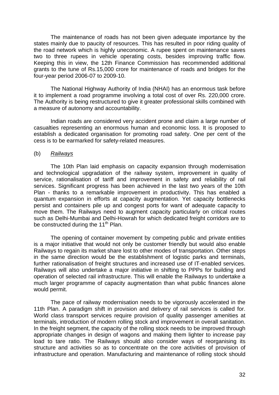The maintenance of roads has not been given adequate importance by the states mainly due to paucity of resources. This has resulted in poor riding quality of the road network which is highly uneconomic. A rupee spent on maintenance saves two to three rupees in vehicle operating costs, besides improving traffic flow. Keeping this in view, the 12th Finance Commission has recommended additional grants to the tune of Rs.15,000 crore for maintenance of roads and bridges for the four-year period 2006-07 to 2009-10.

The National Highway Authority of India (NHAI) has an enormous task before it to implement a road programme involving a total cost of over Rs. 220,000 crore. The Authority is being restructured to give it greater professional skills combined with a measure of autonomy and accountability.

Indian roads are considered very accident prone and claim a large number of casualties representing an enormous human and economic loss. It is proposed to establish a dedicated organisation for promoting road safety. One per cent of the cess is to be earmarked for safety-related measures.

#### (b) *Railways*

The 10th Plan laid emphasis on capacity expansion through modernisation and technological upgradation of the railway system, improvement in quality of service, rationalisation of tariff and improvement in safety and reliability of rail services. Significant progress has been achieved in the last two years of the 10th Plan - thanks to a remarkable improvement in productivity. This has enabled a quantum expansion in efforts at capacity augmentation. Yet capacity bottlenecks persist and containers pile up and congest ports for want of adequate capacity to move them. The Railways need to augment capacity particularly on critical routes such as Delhi-Mumbai and Delhi-Howrah for which dedicated freight corridors are to be constructed during the 11<sup>th</sup> Plan.

The opening of container movement by competing public and private entities is a major initiative that would not only be customer friendly but would also enable Railways to regain its market share lost to other modes of transportation. Other steps in the same direction would be the establishment of logistic parks and terminals, further rationalisation of freight structures and increased use of IT-enabled services. Railways will also undertake a major initiative in shifting to PPPs for building and operation of selected rail infrastructure. This will enable the Railways to undertake a much larger programme of capacity augmentation than what public finances alone would permit.

The pace of railway modernisation needs to be vigorously accelerated in the 11th Plan. A paradigm shift in provision and delivery of rail services is called for. World class transport services require provision of quality passenger amenities at terminals, introduction of modern rolling stock and improvement in overall sanitation. In the freight segment, the capacity of the rolling stock needs to be improved through appropriate changes in design of wagons and making them lighter to increase pay load to tare ratio. The Railways should also consider ways of reorganising its structure and activities so as to concentrate on the core activities of provision of infrastructure and operation. Manufacturing and maintenance of rolling stock should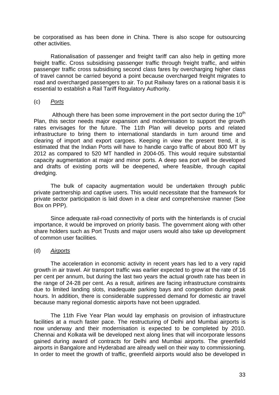be corporatised as has been done in China. There is also scope for outsourcing other activities.

Rationalisation of passenger and freight tariff can also help in getting more freight traffic. Cross subsidising passenger traffic through freight traffic, and within passenger traffic cross subsidising second class fares by overcharging higher class of travel cannot be carried beyond a point because overcharged freight migrates to road and overcharged passengers to air. To put Railway fares on a rational basis it is essential to establish a Rail Tariff Regulatory Authority.

## (c) *Ports*

Although there has been some improvement in the port sector during the  $10<sup>th</sup>$ Plan, this sector needs major expansion and modernisation to support the growth rates envisages for the future. The 11th Plan will develop ports and related infrastructure to bring them to international standards in turn around time and clearing of import and export cargoes. Keeping in view the present trend, it is estimated that the Indian Ports will have to handle cargo traffic of about 800 MT by 2012 as compared to 520 MT handled in 2004-05. This would require substantial capacity augmentation at major and minor ports. A deep sea port will be developed and drafts of existing ports will be deepened, where feasible, through capital dredging.

The bulk of capacity augmentation would be undertaken through public private partnership and captive users. This would necessitate that the framework for private sector participation is laid down in a clear and comprehensive manner (See Box on PPP).

Since adequate rail-road connectivity of ports with the hinterlands is of crucial importance, it would be improved on priority basis. The government along with other share holders such as Port Trusts and major users would also take up development of common user facilities.

## (d) *Airports*

The acceleration in economic activity in recent years has led to a very rapid growth in air travel. Air transport traffic was earlier expected to grow at the rate of 16 per cent per annum, but during the last two years the actual growth rate has been in the range of 24-28 per cent. As a result, airlines are facing infrastructure constraints due to limited landing slots, inadequate parking bays and congestion during peak hours. In addition, there is considerable suppressed demand for domestic air travel because many regional domestic airports have not been upgraded.

The 11th Five Year Plan would lay emphasis on provision of infrastructure facilities at a much faster pace. The restructuring of Delhi and Mumbai airports is now underway and their modernisation is expected to be completed by 2010. Chennai and Kolkata will be developed next along lines that will incorporate lessons gained during award of contracts for Delhi and Mumbai airports. The greenfield airports in Bangalore and Hyderabad are already well on their way to commissioning. In order to meet the growth of traffic, greenfield airports would also be developed in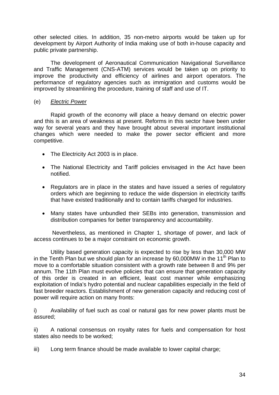other selected cities. In addition, 35 non-metro airports would be taken up for development by Airport Authority of India making use of both in-house capacity and public private partnership.

The development of Aeronautical Communication Navigational Surveillance and Traffic Management (CNS-ATM) services would be taken up on priority to improve the productivity and efficiency of airlines and airport operators. The performance of regulatory agencies such as immigration and customs would be improved by streamlining the procedure, training of staff and use of IT.

## (e) *Electric Power*

Rapid growth of the economy will place a heavy demand on electric power and this is an area of weakness at present. Reforms in this sector have been under way for several years and they have brought about several important institutional changes which were needed to make the power sector efficient and more competitive.

- The Electricity Act 2003 is in place.
- The National Electricity and Tariff policies envisaged in the Act have been notified.
- Regulators are in place in the states and have issued a series of regulatory orders which are beginning to reduce the wide dispersion in electricity tariffs that have existed traditionally and to contain tariffs charged for industries.
- Many states have unbundled their SEBs into generation, transmission and distribution companies for better transparency and accountability.

 Nevertheless, as mentioned in Chapter 1, shortage of power, and lack of access continues to be a major constraint on economic growth.

Utility based generation capacity is expected to rise by less than 30,000 MW in the Tenth Plan but we should plan for an increase by  $60,000MW$  in the 11<sup>th</sup> Plan to move to a comfortable situation consistent with a growth rate between 8 and 9% per annum. The 11th Plan must evolve policies that can ensure that generation capacity of this order is created in an efficient, least cost manner while emphasizing exploitation of India's hydro potential and nuclear capabilities especially in the field of fast breeder reactors. Establishment of new generation capacity and reducing cost of power will require action on many fronts:

i) Availability of fuel such as coal or natural gas for new power plants must be assured;

ii) A national consensus on royalty rates for fuels and compensation for host states also needs to be worked;

iii) Long term finance should be made available to lower capital charge;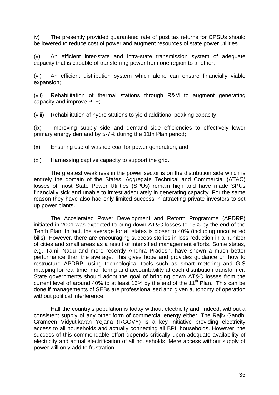iv) The presently provided guaranteed rate of post tax returns for CPSUs should be lowered to reduce cost of power and augment resources of state power utilities.

(v) An efficient inter-state and intra-state transmission system of adequate capacity that is capable of transferring power from one region to another;

(vi) An efficient distribution system which alone can ensure financially viable expansion;

(vii) Rehabilitation of thermal stations through R&M to augment generating capacity and improve PLF;

(viii) Rehabilitation of hydro stations to yield additional peaking capacity;

(ix) Improving supply side and demand side efficiencies to effectively lower primary energy demand by 5-7% during the 11th Plan period;

(x) Ensuring use of washed coal for power generation; and

(xi) Harnessing captive capacity to support the grid.

 The greatest weakness in the power sector is on the distribution side which is entirely the domain of the States. Aggregate Technical and Commercial (AT&C) losses of most State Power Utilities (SPUs) remain high and have made SPUs financially sick and unable to invest adequately in generating capacity. For the same reason they have also had only limited success in attracting private investors to set up power plants.

 The Accelerated Power Development and Reform Programme (APDRP) initiated in 2001 was expected to bring down AT&C losses to 15% by the end of the Tenth Plan. In fact, the average for all states is closer to 40% (including uncollected bills). However, there are encouraging success stories in loss reduction in a number of cities and small areas as a result of intensified management efforts. Some states, e.g. Tamil Nadu and more recently Andhra Pradesh, have shown a much better performance than the average. This gives hope and provides guidance on how to restructure APDRP, using technological tools such as smart metering and GIS mapping for real time, monitoring and accountability at each distribution transformer. State governments should adopt the goal of bringing down AT&C losses from the current level of around 40% to at least 15% by the end of the 11<sup>th</sup> Plan. This can be done if managements of SEBs are professionalised and given autonomy of operation without political interference.

 Half the country's population is today without electricity and, indeed, without a consistent supply of any other form of commercial energy either. The Rajiv Gandhi Grameen Vidyutikaran Yojana (RGGVY) is a key initiative providing electricity access to all households and actually connecting all BPL households. However, the success of this commendable effort depends critically upon adequate availability of electricity and actual electrification of all households. Mere access without supply of power will only add to frustration.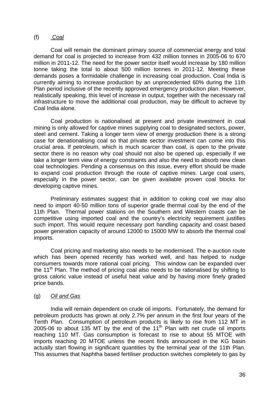## (f) *Coal*

Coal will remain the dominant primary source of commercial energy and total demand for coal is projected to increase from 432 million tonnes in 2005-06 to 670 million in 2011-12. The need for the power sector itself would increase by 180 million tonne taking the total to about 500 million tonnes in 2011-12. Meeting these demands poses a formidable challenge in increasing coal production. Coal India is currently aiming to increase production by an unprecedented 60% during the 11th Plan period inclusive of the recently approved emergency production plan. However, realistically speaking, this level of increase in output, together with the necessary rail infrastructure to move the additional coal production, may be difficult to achieve by Coal India alone.

Coal production is nationalised at present and private investment in coal mining is only allowed for captive mines supplying coal to designated sectors, power, steel and cement. Taking a longer term view of energy production there is a strong case for denationalising coal so that private sector investment can come into this crucial area. If petroleum, which is much scarcer than coal, is open to the private sector there is no reason why coal should not also be opened up, especially if we take a longer term view of energy constraints and also the need to absorb new clean coal technologies. Pending a consensus on this issue, every effort should be made to expand coal production through the route of captive mines. Large coal users, especially in the power sector, can be given available proven coal blocks for developing captive mines.

Preliminary estimates suggest that in addition to coking coal we may also need to import 40-50 million tons of superior grade thermal coal by the end of the 11th Plan. Thermal power stations on the Southern and Western coasts can be competitive using imported coal and the country's electricity requirement justifies such import. This would require necessary port handling capacity and coast based power generation capacity of around 12000 to 15000 MW to absorb the thermal coal imports.

 Coal pricing and marketing also needs to be modernised. The e-auction route which has been opened recently has worked well, and has helped to nudge consumers towards more rational coal pricing. This window can be expanded over the 11<sup>th</sup> Plan. The method of pricing coal also needs to be rationalised by shifting to gross caloric value instead of useful heat value and by having more finely graded price bands.

## (g) *Oil and Gas*

 India will remain dependent on crude oil imports. Fortunately, the demand for petroleum products has grown at only 2.7% per annum in the first four years of the Tenth Plan. Consumption of petroleum products is likely to rise from 112 MT in 2005-06 to about 135 MT by the end of the  $11<sup>th</sup>$  Plan with net crude oil imports reaching 110 MT. Gas consumption is forecast to rise to about 55 MTOE with imports reaching 20 MTOE unless the recent finds announced in the KG basin actually start flowing in significant quantities by the terminal year of the 11th Plan. This assumes that Naphtha based fertiliser production switches completely to gas by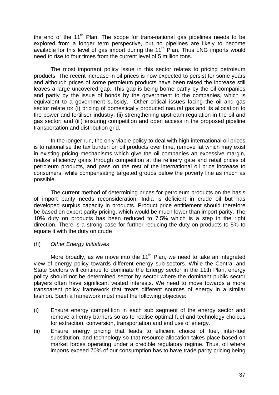the end of the  $11<sup>th</sup>$  Plan. The scope for trans-national gas pipelines needs to be explored from a longer term perspective, but no pipelines are likely to become available for this level of gas import during the 11th Plan. Thus LNG imports would need to rise to four times from the current level of 5 million tons.

The most important policy issue in this sector relates to pricing petroleum products. The recent increase in oil prices is now expected to persist for some years and although prices of some petroleum products have been raised the increase still leaves a large uncovered gap. This gap is being borne partly by the oil companies and partly by the issue of bonds by the government to the companies, which is equivalent to a government subsidy. Other critical issues facing the oil and gas sector relate to: (i) pricing of domestically produced natural gas and its allocation to the power and fertiliser industry; (ii) strengthening upstream regulation in the oil and gas sector; and (iii) ensuring competition and open access in the proposed pipeline transportation and distribution grid.

In the longer run, the only viable policy to deal with high international oil prices is to rationalise the tax burden on oil products over time, remove fat which may exist in existing pricing mechanisms which give the oil companies an excessive margin, realize efficiency gains through competition at the refinery gate and retail prices of petroleum products, and pass on the rest of the international oil price increase to consumers, while compensating targeted groups below the poverty line as much as possible.

The current method of determining prices for petroleum products on the basis of import parity needs reconsideration. India is deficient in crude oil but has developed surplus capacity in products. Product price entitlement should therefore be based on export parity pricing, which would be much lower than import parity. The 10% duty on products has been reduced to 7.5% which is a step in the right direction. There is a strong case for further reducing the duty on products to 5% to equate it with the duty on crude

## (h) *Other Energy Initiatives*

More broadly, as we move into the  $11<sup>th</sup>$  Plan, we need to take an integrated view of energy policy towards different energy sub-sectors. While the Central and State Sectors will continue to dominate the Energy sector in the 11th Plan, energy policy should not be determined sector by sector where the dominant public sector players often have significant vested interests. We need to move towards a more transparent policy framework that treats different sources of energy in a similar fashion. Such a framework must meet the following objective:

- (i) Ensure energy competition in each sub segment of the energy sector and remove all entry barriers so as to realise optimal fuel and technology choices for extraction, conversion, transportation and end use of energy.
- (ii) Ensure energy pricing that leads to efficient choice of fuel, inter-fuel substitution, and technology so that resource allocation takes place based on market forces operating under a credible regulatory regime. Thus, oil where imports exceed 70% of our consumption has to have trade parity pricing being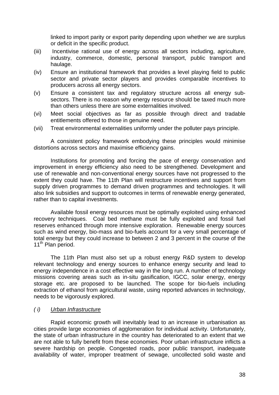linked to import parity or export parity depending upon whether we are surplus or deficit in the specific product.

- (iii) Incentivise rational use of energy across all sectors including, agriculture, industry, commerce, domestic, personal transport, public transport and haulage.
- (iv) Ensure an institutional framework that provides a level playing field to public sector and private sector players and provides comparable incentives to producers across all energy sectors.
- (v) Ensure a consistent tax and regulatory structure across all energy subsectors. There is no reason why energy resource should be taxed much more than others unless there are some externalities involved.
- (vi) Meet social objectives as far as possible through direct and tradable entitlements offered to those in genuine need.
- (vii) Treat environmental externalities uniformly under the polluter pays principle.

 A consistent policy framework embodying these principles would minimise distortions across sectors and maximise efficiency gains.

 Institutions for promoting and forcing the pace of energy conservation and improvement in energy efficiency also need to be strengthened. Development and use of renewable and non-conventional energy sources have not progressed to the extent they could have. The 11th Plan will restructure incentives and support from supply driven programmes to demand driven programmes and technologies. It will also link subsidies and support to outcomes in terms of renewable energy generated, rather than to capital investments.

 Available fossil energy resources must be optimally exploited using enhanced recovery techniques. Coal bed methane must be fully exploited and fossil fuel reserves enhanced through more intensive exploration. Renewable energy sources such as wind energy, bio-mass and bio-fuels account for a very small percentage of total energy but they could increase to between 2 and 3 percent in the course of the 11<sup>th</sup> Plan period.

 The 11th Plan must also set up a robust energy R&D system to develop relevant technology and energy sources to enhance energy security and lead to energy independence in a cost effective way in the long run. A number of technology missions covering areas such as in-situ gasification, IGCC, solar energy, energy storage etc. are proposed to be launched. The scope for bio-fuels including extraction of ethanol from agricultural waste, using reported advances in technology, needs to be vigorously explored.

## *( i) Urban Infrastructure*

 Rapid economic growth will inevitably lead to an increase in urbanisation as cities provide large economies of agglomeration for individual activity. Unfortunately, the state of urban infrastructure in the country has deteriorated to an extent that we are not able to fully benefit from these economies. Poor urban infrastructure inflicts a severe hardship on people. Congested roads, poor public transport, inadequate availability of water, improper treatment of sewage, uncollected solid waste and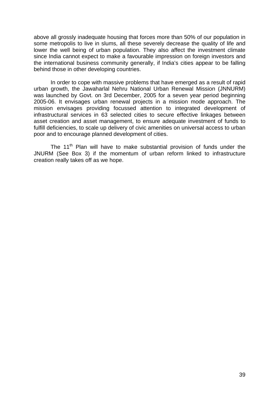above all grossly inadequate housing that forces more than 50% of our population in some metropolis to live in slums, all these severely decrease the quality of life and lower the well being of urban population. They also affect the investment climate since India cannot expect to make a favourable impression on foreign investors and the international business community generally, if India's cities appear to be falling behind those in other developing countries.

In order to cope with massive problems that have emerged as a result of rapid urban growth, the Jawaharlal Nehru National Urban Renewal Mission (JNNURM) was launched by Govt. on 3rd December, 2005 for a seven year period beginning 2005-06. It envisages urban renewal projects in a mission mode approach. The mission envisages providing focussed attention to integrated development of infrastructural services in 63 selected cities to secure effective linkages between asset creation and asset management, to ensure adequate investment of funds to fulfill deficiencies, to scale up delivery of civic amenities on universal access to urban poor and to encourage planned development of cities.

The 11<sup>th</sup> Plan will have to make substantial provision of funds under the JNURM (See Box 3) if the momentum of urban reform linked to infrastructure creation really takes off as we hope.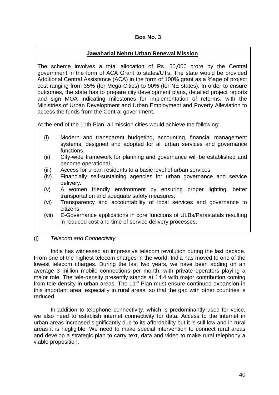## **Box No. 3**

## **Jawaharlal Nehru Urban Renewal Mission**

The scheme involves a total allocation of Rs. 50,000 crore by the Central government in the form of ACA Grant to states/UTs. The state would be provided Additional Central Assistance (ACA) in the form of 100% grant as a %age of project cost ranging from 35% (for Mega Cities) to 90% (for NE states). In order to ensure outcomes, the state has to prepare city development plans, detailed project reports and sign MOA indicating milestones for implementation of reforms, with the Ministries of Urban Development and Urban Employment and Poverty Alleviation to access the funds from the Central government.

At the end of the 11th Plan, all mission cities would achieve the following:

- (i) Modern and transparent budgeting, accounting, financial management systems, designed and adopted for all urban services and governance functions.
- (ii) City-wide framework for planning and governance will be established and become operational.
- (iii) Access for urban residents to a basic level of urban services.
- (iv) Financially self-sustaining agencies for urban governance and service delivery.
- (v) A women friendly environment by ensuring proper lighting, better transportation and adequate safety measures.
- (vi) Transparency and accountability of local services and governance to citizens.
- (vii) E-Governance applications in core functions of ULBs/Parastatals resulting in reduced cost and time of service delivery processes.

## (j) *Telecom and Connectivity*

India has witnessed an impressive telecom revolution during the last decade. From one of the highest telecom charges in the world, India has moved to one of the lowest telecom charges. During the last two years, we have been adding on an average 3 million mobile connections per month, with private operators playing a major role. The tele-density presently stands at 14.4 with major contribution coming from tele-density in urban areas. The 11<sup>th</sup> Plan must ensure continued expansion in this important area, especially in rural areas, so that the gap with other countries is reduced.

In addition to telephone connectivity, which is predominantly used for voice, we also need to establish internet connectivity for data. Access to the internet in urban areas increased significantly due to its affordability but it is still low and in rural areas it is negligible. We need to make special intervention to connect rural areas and develop a strategic plan to carry text, data and video to make rural telephony a viable proposition.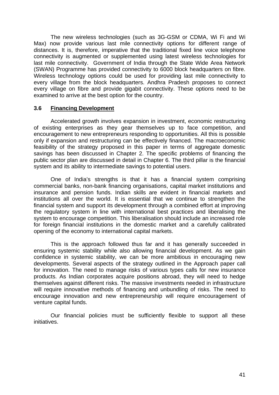The new wireless technologies (such as 3G-GSM or CDMA, Wi Fi and Wi Max) now provide various last mile connectivity options for different range of distances. It is, therefore, imperative that the traditional fixed line voice telephone connectivity is augmented or supplemented using latest wireless technologies for last mile connectivity. Government of India through the State Wide Area Network (SWAN) Programme has provided connectivity to 6000 block headquarters on fibre. Wireless technology options could be used for providing last mile connectivity to every village from the block headquarters. Andhra Pradesh proposes to connect every village on fibre and provide gigabit connectivity. These options need to be examined to arrive at the best option for the country.

## **3.6 Financing Development**

 Accelerated growth involves expansion in investment, economic restructuring of existing enterprises as they gear themselves up to face competition, and encouragement to new entrepreneurs responding to opportunities. All this is possible only if expansion and restructuring can be effectively financed. The macroeconomic feasibility of the strategy proposed in this paper in terms of aggregate domestic savings has been discussed in Chapter 2. The specific problems of financing the public sector plan are discussed in detail in Chapter 6. The third pillar is the financial system and its ability to intermediate savings to potential users.

 One of India's strengths is that it has a financial system comprising commercial banks, non-bank financing organisations, capital market institutions and insurance and pension funds. Indian skills are evident in financial markets and institutions all over the world. It is essential that we continue to strengthen the financial system and support its development through a combined effort at improving the regulatory system in line with international best practices and liberalising the system to encourage competition. This liberalisation should include an increased role for foreign financial institutions in the domestic market and a carefully calibrated opening of the economy to international capital markets.

 This is the approach followed thus far and it has generally succeeded in ensuring systemic stability while also allowing financial development. As we gain confidence in systemic stability, we can be more ambitious in encouraging new developments. Several aspects of the strategy outlined in the Approach paper call for innovation. The need to manage risks of various types calls for new insurance products. As Indian corporates acquire positions abroad, they will need to hedge themselves against different risks. The massive investments needed in infrastructure will require innovative methods of financing and unbundling of risks. The need to encourage innovation and new entrepreneurship will require encouragement of venture capital funds.

 Our financial policies must be sufficiently flexible to support all these initiatives.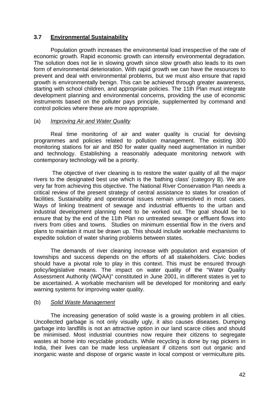## **3.7 Environmental Sustainability**

Population growth increases the environmental load irrespective of the rate of economic growth. Rapid economic growth can intensify environmental degradation. The solution does not lie in slowing growth since slow growth also leads to its own form of environmental deterioration. With rapid growth we can have the resources to prevent and deal with environmental problems, but we must also ensure that rapid growth is environmentally benign. This can be achieved through greater awareness, starting with school children, and appropriate policies. The 11th Plan must integrate development planning and environmental concerns, providing the use of economic instruments based on the polluter pays principle, supplemented by command and control policies where these are more appropriate.

## (a) *Improving Air and Water Quality*

Real time monitoring of air and water quality is crucial for devising programmes and policies related to pollution management. The existing 300 monitoring stations for air and 850 for water quality need augmentation in number and technology. Establishing a reasonably adequate monitoring network with contemporary technology will be a priority.

 The objective of river cleaning is to restore the water quality of all the major rivers to the designated best use which is the 'bathing class' (category B). We are very far from achieving this objective. The National River Conservation Plan needs a critical review of the present strategy of central assistance to states for creation of facilities. Sustainability and operational issues remain unresolved in most cases. Ways of linking treatment of sewage and industrial effluents to the urban and industrial development planning need to be worked out. The goal should be to ensure that by the end of the 11th Plan no untreated sewage or effluent flows into rivers from cities and towns. Studies on minimum essential flow in the rivers and plans to maintain it must be drawn up. This should include workable mechanisms to expedite solution of water sharing problems between states.

The demands of river cleaning increase with population and expansion of townships and success depends on the efforts of all stakeholders. Civic bodies should have a pivotal role to play in this context. This must be ensured through policy/legislative means. The impact on water quality of the "Water Quality Assessment Authority (WQAA)" constituted in June 2001, in different states is yet to be ascertained. A workable mechanism will be developed for monitoring and early warning systems for improving water quality.

## (b) *Solid Waste Management*

 The increasing generation of solid waste is a growing problem in all cities. Uncollected garbage is not only visually ugly, it also causes diseases. Dumping garbage into landfills is not an attractive option in our land scarce cities and should be minimised. Most industrial countries now require their citizens to segregate wastes at home into recyclable products. While recycling is done by rag pickers in India, their lives can be made less unpleasant if citizens sort out organic and inorganic waste and dispose of organic waste in local compost or vermiculture pits.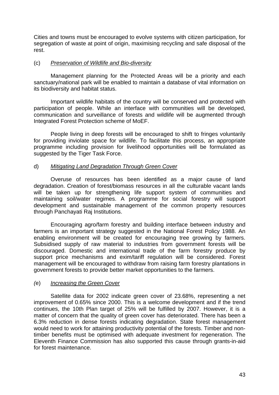Cities and towns must be encouraged to evolve systems with citizen participation, for segregation of waste at point of origin, maximising recycling and safe disposal of the rest.

## (c) *Preservation of Wildlife and Bio-diversity*

 Management planning for the Protected Areas will be a priority and each sanctuary/national park will be enabled to maintain a database of vital information on its biodiversity and habitat status.

Important wildlife habitats of the country will be conserved and protected with participation of people. While an interface with communities will be developed, communication and surveillance of forests and wildlife will be augmented through Integrated Forest Protection scheme of MoEF.

People living in deep forests will be encouraged to shift to fringes voluntarily for providing inviolate space for wildlife. To facilitate this process, an appropriate programme including provision for livelihood opportunities will be formulated as suggested by the Tiger Task Force.

## d) *Mitigating Land Degradation Through Green Cover*

Overuse of resources has been identified as a major cause of land degradation. Creation of forest/biomass resources in all the culturable vacant lands will be taken up for strengthening life support system of communities and maintaining soil/water regimes. A programme for social forestry will support development and sustainable management of the common property resources through Panchayati Raj Institutions.

Encouraging agro/farm forestry and building interface between industry and farmers is an important strategy suggested in the National Forest Policy 1988. An enabling environment will be created for encouraging tree growing by farmers. Subsidised supply of raw material to industries from government forests will be discouraged. Domestic and international trade of the farm forestry produce by support price mechanisms and exim/tariff regulation will be considered. Forest management will be encouraged to withdraw from raising farm forestry plantations in government forests to provide better market opportunities to the farmers.

## *(*e) *Increasing the Green Cover*

Satellite data for 2002 indicate green cover of 23.68%, representing a net improvement of 0.65% since 2000. This is a welcome development and if the trend continues, the 10th Plan target of 25% will be fulfilled by 2007. However, it is a matter of concern that the quality of green cover has deteriorated. There has been a 6.3% reduction in dense forests indicating degradation. State forest management would need to work for attaining productivity potential of the forests. Timber and nontimber benefits must be optimised with adequate investment for regeneration. The Eleventh Finance Commission has also supported this cause through grants-in-aid for forest maintenance.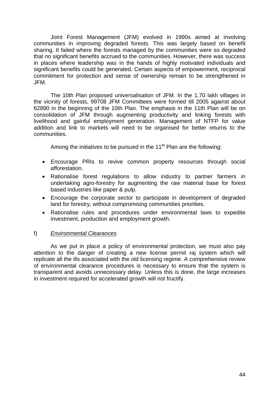Joint Forest Management (JFM) evolved in 1990s aimed at involving communities in improving degraded forests. This was largely based on benefit sharing. It failed where the forests managed by the communities were so degraded that no significant benefits accrued to the communities. However, there was success in places where leadership was in the hands of highly motivated individuals and significant benefits could be generated. Certain aspects of empowerment, reciprocal commitment for protection and sense of ownership remain to be strengthened in JFM.

The 10th Plan proposed universalisation of JFM. In the 1.70 lakh villages in the vicinity of forests, 99708 JFM Committees were formed till 2005 against about 62890 in the beginning of the 10th Plan. The emphasis in the 11th Plan will be on consolidation of JFM through augmenting productivity and linking forests with livelihood and gainful employment generation. Management of NTFP for value addition and link to markets will need to be organised for better returns to the communities.

Among the initiatives to be pursued in the  $11<sup>th</sup>$  Plan are the following:

- Encourage PRIs to revive common property resources through social afforestation.
- Rationalise forest regulations to allow industry to partner farmers in undertaking agro-forestry for augmenting the raw material base for forest based industries like paper & pulp.
- Encourage the corporate sector to participate in development of degraded land for forestry, without compromising communities priorities.
- Rationalise rules and procedures under environmental laws to expedite investment, production and employment growth.

## f) *Environmental Clearances*

 As we put in place a policy of environmental protection, we must also pay attention to the danger of creating a new license permit raj system which will replicate all the ills associated with the old licensing regime. A comprehensive review of environmental clearance procedures is necessary to ensure that the system is transparent and avoids unnecessary delay. Unless this is done, the large increases in investment required for accelerated growth will not fructify.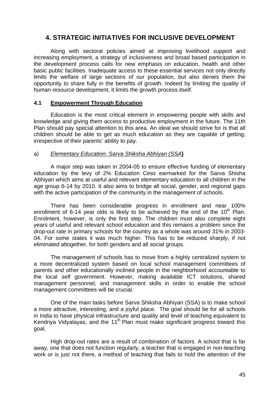# **4. STRATEGIC INITIATIVES FOR INCLUSIVE DEVELOPMENT**

 Along with sectoral policies aimed at improving livelihood support and increasing employment, a strategy of inclusiveness and broad based participation in the development process calls for new emphasis on education, health and other basic public facilities. Inadequate access to these essential services not only directly limits the welfare of large sections of our population, but also denies them the opportunity to share fully in the benefits of growth. Indeed by limiting the quality of human resource development, it limits the growth process itself.

## **4.1 Empowerment Through Education**

 Education is the most critical element in empowering people with skills and knowledge and giving them access to productive employment in the future. The 11th Plan should pay special attention to this area. An ideal we should strive for is that all children should be able to get as much education as they are capable of getting, irrespective of their parents' ability to pay.

## a) *Elementary Education: Sarva Shiksha Abhiyan (SSA***)**

 A major step was taken in 2004-05 to ensure effective funding of elementary education by the levy of 2% Education Cess earmarked for the Sarva Shisha Abhiyan which aims at useful and relevant elementary education to all children in the age group 6-14 by 2010. It also aims to bridge all social, gender, and regional gaps with the active participation of the community in the management of schools.

 There has been considerable progress in enrollment and near 100% enrollment of 6-14 year olds is likely to be achieved by the end of the  $10<sup>th</sup>$  Plan. Enrolment, however, is only the first step. The children must also complete eight years of useful and relevant school education and this remains a problem since the drop-out rate in primary schools for the country as a whole was around 31% in 2003- 04. For some states it was much higher. This has to be reduced sharply, if not eliminated altogether, for both genders and all social groups.

 The management of schools has to move from a highly centralized system to a more decentralized system based on local school management committees of parents and other educationally inclined people in the neighborhood accountable to the local self government. However, making available ICT solutions, shared management personnel, and management skills in order to enable the school management committees will be crucial.

 One of the main tasks before Sarva Shiksha Abhiyan (SSA) is to make school a more attractive, interesting, and a joyful place. The goal should be for all schools in India to have physical infrastructure and quality and level of teaching equivalent to Kendriya Vidyalayas, and the  $11<sup>th</sup>$  Plan must make significant progress toward this goal.

High drop-out rates are a result of combination of factors. A school that is far away, one that does not function regularly, a teacher that is engaged in non-teaching work or is just not there, a method of teaching that fails to hold the attention of the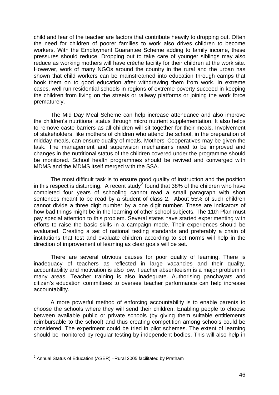child and fear of the teacher are factors that contribute heavily to dropping out. Often the need for children of poorer families to work also drives children to become workers. With the Employment Guarantee Scheme adding to family income, these pressures should reduce. Dropping out to take care of younger siblings may also reduce as working mothers will have crèche facility for their children at the work site. However, work of many NGOs around the country in the rural and the urban has shown that child workers can be mainstreamed into education through camps that hook them on to good education after withdrawing them from work. In extreme cases, well run residential schools in regions of extreme poverty succeed in keeping the children from living on the streets or railway platforms or joining the work force prematurely.

The Mid Day Meal Scheme can help increase attendance and also improve the children's nutritional status through micro nutrient supplementation. It also helps to remove caste barriers as all children will sit together for their meals. Involvement of stakeholders, like mothers of children who attend the school, in the preparation of midday meals, can ensure quality of meals. Mothers' Cooperatives may be given the task. The management and supervision mechanisms need to be improved and changes in the nutritional status of the children covered under the programme should be monitored. School health programmes should be revived and converged with MDMS and the MDMS itself merged with the SSA.

 The most difficult task is to ensure good quality of instruction and the position in this respect is disturbing. A recent study<sup>[2](#page-46-0)</sup> found that 38% of the children who have completed four years of schooling cannot read a small paragraph with short sentences meant to be read by a student of class 2. About 55% of such children cannot divide a three digit number by a one digit number. These are indicators of how bad things might be in the learning of other school subjects. The 11th Plan must pay special attention to this problem. Several states have started experimenting with efforts to raise the basic skills in a campaign mode. Their experiences should be evaluated. Creating a set of national testing standards and preferably a chain of institutions that test and evaluate children according to set norms will help in the direction of improvement of learning as clear goals will be set.

 There are several obvious causes for poor quality of learning. There is inadequacy of teachers as reflected in large vacancies and their quality, accountability and motivation is also low. Teacher absenteeism is a major problem in many areas. Teacher training is also inadequate. Authorising panchayats and citizen's education committees to oversee teacher performance can help increase accountability.

 A more powerful method of enforcing accountability is to enable parents to choose the schools where they will send their children. Enabling people to choose between available public or private schools (by giving them suitable entitlements reimbursable to the school) and thus creating competition among schools could be considered. The experiment could be tried in pilot schemes. The extent of learning should be monitored by regular testing by independent bodies. This will also help in

<span id="page-46-0"></span> 2 Annual Status of Education (ASER) –Rural 2005 facilitated by Pratham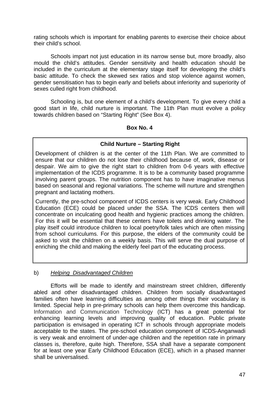rating schools which is important for enabling parents to exercise their choice about their child's school.

 Schools impart not just education in its narrow sense but, more broadly, also mould the child's attitudes. Gender sensitivity and health education should be included in the curriculum at the elementary stage itself for developing the child's basic attitude. To check the skewed sex ratios and stop violence against women, gender sensitisation has to begin early and beliefs about inferiority and superiority of sexes culled right from childhood.

 Schooling is, but one element of a child's development. To give every child a good start in life, child nurture is important. The 11th Plan must evolve a policy towards children based on "Starting Right" (See Box 4).

#### **Box No. 4**

## **Child Nurture – Starting Right**

Development of children is at the center of the 11th Plan. We are committed to ensure that our children do not lose their childhood because of, work, disease or despair. We aim to give the right start to children from 0-6 years with effective implementation of the ICDS programme. It is to be a community based programme involving parent groups. The nutrition component has to have imaginative menus based on seasonal and regional variations. The scheme will nurture and strengthen pregnant and lactating mothers.

Currently, the pre-school component of ICDS centers is very weak. Early Childhood Education (ECE) could be placed under the SSA. The ICDS centers then will concentrate on inculcating good health and hygienic practices among the children. For this it will be essential that these centers have toilets and drinking water. The play itself could introduce children to local poetry/folk tales which are often missing from school curriculums. For this purpose, the elders of the community could be asked to visit the children on a weekly basis. This will serve the dual purpose of enriching the child and making the elderly feel part of the educating process.

## b) *Helping Disadvantaged Children*

Efforts will be made to identify and mainstream street children, differently abled and other disadvantaged children. Children from socially disadvantaged families often have learning difficulties as among other things their vocabulary is limited. Special help in pre-primary schools can help them overcome this handicap. Information and Communication Technology (ICT) has a great potential for enhancing learning levels and improving quality of education. Public private participation is envisaged in operating ICT in schools through appropriate models acceptable to the states. The pre-school education component of ICDS-Anganwadi is very weak and enrolment of under-age children and the repetition rate in primary classes is, therefore, quite high. Therefore, SSA shall have a separate component for at least one year Early Childhood Education (ECE), which in a phased manner shall be universalised.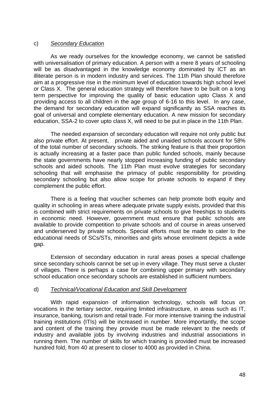#### c) *Secondary Education*

As we ready ourselves for the knowledge economy, we cannot be satisfied with universalisation of primary education. A person with a mere 8 years of schooling will be as disadvantaged in the knowledge economy dominated by ICT as an illiterate person is in modern industry and services. The 11th Plan should therefore aim at a progressive rise in the minimum level of education towards high school level or Class X. The general education strategy will therefore have to be built on a long term perspective for improving the quality of basic education upto Class X and providing access to all children in the age group of 6-16 to this level. In any case, the demand for secondary education will expand significantly as SSA reaches its goal of universal and complete elementary education. A new mission for secondary education, SSA-2 to cover upto class X, will need to be put in place in the 11th Plan.

 The needed expansion of secondary education will require not only public but also private effort. At present, private aided and unaided schools account for 58% of the total number of secondary schools. The striking feature is that their proportion is actually increasing at a faster pace than public funded schools, mainly because the state governments have nearly stopped increasing funding of public secondary schools and aided schools. The 11th Plan must evolve strategies for secondary schooling that will emphasise the primacy of public responsibility for providing secondary schooling but also allow scope for private schools to expand if they complement the public effort.

 There is a feeling that voucher schemes can help promote both equity and quality in schooling in areas where adequate private supply exists, provided that this is combined with strict requirements on private schools to give freeships to students in economic need. However, government must ensure that public schools are available to provide competition to private schools and of course in areas unserved and underserved by private schools. Special efforts must be made to cater to the educational needs of SCs/STs, minorities and girls whose enrolment depicts a wide gap.

Extension of secondary education in rural areas poses a special challenge since secondary schools cannot be set up in every village. They must serve a cluster of villages. There is perhaps a case for combining upper primary with secondary school education once secondary schools are established in sufficient numbers.

## d) *Technical/Vocational Education and Skill Development*

With rapid expansion of information technology, schools will focus on vocations in the tertiary sector, requiring limited infrastructure, in areas such as IT, insurance, banking, tourism and retail trade. For more intensive training the industrial training institutions (ITIs) will be increased in number. More importantly, the scope and content of the training they provide must be made relevant to the needs of industry and available jobs by involving industries and industrial associations in running them. The number of skills for which training is provided must be increased hundred fold, from 40 at present to closer to 4000 as provided in China.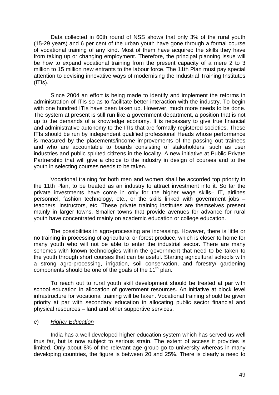Data collected in 60th round of NSS shows that only 3% of the rural youth (15-29 years) and 6 per cent of the urban youth have gone through a formal course of vocational training of any kind. Most of them have acquired the skills they have from taking up or changing employment. Therefore, the principal planning issue will be how to expand vocational training from the present capacity of a mere 2 to 3 million to 15 million new entrants to the labour force. The 11th Plan must pay special attention to devising innovative ways of modernising the Industrial Training Institutes (ITIs).

 Since 2004 an effort is being made to identify and implement the reforms in administration of ITIs so as to facilitate better interaction with the industry. To begin with one hundred ITIs have been taken up. However, much more needs to be done. The system at present is still run like a government department, a position that is not up to the demands of a knowledge economy. It is necessary to give true financial and administrative autonomy to the ITIs that are formally registered societies. These ITIs should be run by independent qualified professional Heads whose performance is measured by the placements/income improvements of the passing out trainees and who are accountable to boards consisting of stakeholders, such as user industries and public spirited citizens in the locality. A new initiative at Public Private Partnership that will give a choice to the industry in design of courses and to the youth in selecting courses needs to be taken.

Vocational training for both men and women shall be accorded top priority in the 11th Plan, to be treated as an industry to attract investment into it. So far the private investments have come in only for the higher wage skills– IT, airlines personnel, fashion technology, etc., or the skills linked with government jobs – teachers, instructors, etc. These private training institutes are themselves present mainly in larger towns. Smaller towns that provide avenues for advance for rural youth have concentrated mainly on academic education or college education.

The possibilities in agro-processing are increasing. However, there is little or no training in processing of agricultural or forest produce, which is closer to home for many youth who will not be able to enter the industrial sector. There are many schemes with known technologies within the government that need to be taken to the youth through short courses that can be useful. Starting agricultural schools with a strong agro-processing, irrigation, soil conservation, and forestry/ gardening components should be one of the goals of the 11<sup>th</sup> plan.

To reach out to rural youth skill development should be treated at par with school education in allocation of government resources. An initiative at block level infrastructure for vocational training will be taken. Vocational training should be given priority at par with secondary education in allocating public sector financial and physical resources – land and other supportive services.

#### e) *Higher Education*

India has a well developed higher education system which has served us well thus far, but is now subject to serious strain. The extent of access it provides is limited. Only about 8% of the relevant age group go to university whereas in many developing countries, the figure is between 20 and 25%. There is clearly a need to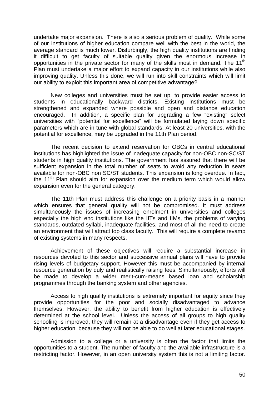undertake major expansion. There is also a serious problem of quality. While some of our institutions of higher education compare well with the best in the world, the average standard is much lower. Disturbingly, the high quality institutions are finding it difficult to get faculty of suitable quality given the enormous increase in opportunities in the private sector for many of the skills most in demand. The 11<sup>th</sup> Plan must undertake a major effort to expand capacity in our institutions while also improving quality. Unless this done, we will run into skill constraints which will limit our ability to exploit this important area of competitive advantage?

New colleges and universities must be set up, to provide easier access to students in educationally backward districts. Existing institutions must be strengthened and expanded where possible and open and distance education encouraged. In addition, a specific plan for upgrading a few "existing" select universities with "potential for excellence" will be formulated laying down specific parameters which are in tune with global standards. At least 20 universities, with the potential for excellence, may be upgraded in the 11th Plan period.

The recent decision to extend reservation for OBCs in central educational institutions has highlighted the issue of inadequate capacity for non-OBC non-SC/ST students in high quality institutions. The government has assured that there will be sufficient expansion in the total number of seats to avoid any reduction in seats available for non-OBC non SC/ST students. This expansion is long overdue. In fact, the 11<sup>th</sup> Plan should aim for expansion over the medium term which would allow expansion even for the general category.

The 11th Plan must address this challenge on a priority basis in a manner which ensures that general quality will not be compromised. It must address simultaneously the issues of increasing enrolment in universities and colleges especially the high end institutions like the IITs and IIMs, the problems of varying standards, outdated syllabi, inadequate facilities, and most of all the need to create an environment that will attract top class faculty. This will require a complete revamp of existing systems in many respects.

Achievement of these objectives will require a substantial increase in resources devoted to this sector and successive annual plans will have to provide rising levels of budgetary support. However this must be accompanied by internal resource generation by duly and realistically raising fees. Simultaneously, efforts will be made to develop a wider merit-cum-means based loan and scholarship programmes through the banking system and other agencies.

Access to high quality institutions is extremely important for equity since they provide opportunities for the poor and socially disadvantaged to advance themselves. However, the ability to benefit from higher education is effectively determined at the school level. Unless the access of all groups to high quality schooling is improved, they will remain at a disadvantage even if they get access to higher education, because they will not be able to do well at later educational stages.

Admission to a college or a university is often the factor that limits the opportunities to a student. The number of faculty and the available infrastructure is a restricting factor. However, in an open university system this is not a limiting factor.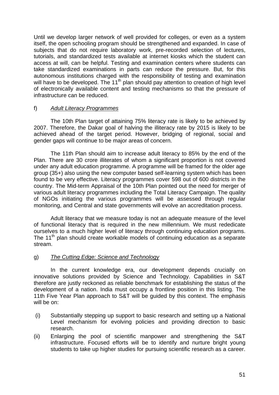Until we develop larger network of well provided for colleges, or even as a system itself, the open schooling program should be strengthened and expanded. In case of subjects that do not require laboratory work, pre-recorded selection of lectures, tutorials, and standardized tests available at internet kiosks which the student can access at will, can be helpful. Testing and examination centers where students can take standardized examinations in parts can reduce the pressure. But, for this autonomous institutions charged with the responsibility of testing and examination will have to be developed. The 11<sup>th</sup> plan should pay attention to creation of high level of electronically available content and testing mechanisms so that the pressure of infrastructure can be reduced.

## f) *Adult Literacy Programmes*

The 10th Plan target of attaining 75% literacy rate is likely to be achieved by 2007. Therefore, the Dakar goal of halving the illiteracy rate by 2015 is likely to be achieved ahead of the target period. However, bridging of regional, social and gender gaps will continue to be major areas of concern.

The 11th Plan should aim to increase adult literacy to 85% by the end of the Plan. There are 30 crore illiterates of whom a significant proportion is not covered under any adult education programme. A programme will be framed for the older age group (35+) also using the new computer based self-learning system which has been found to be very effective. Literacy programmes cover 598 out of 600 districts in the country. The Mid-term Appraisal of the 10th Plan pointed out the need for merger of various adult literacy programmes including the Total Literacy Campaign. The quality of NGOs initiating the various programmes will be assessed through regular monitoring, and Central and state governments will evolve an accreditation process.

Adult literacy that we measure today is not an adequate measure of the level of functional literacy that is required in the new millennium. We must rededicate ourselves to a much higher level of literacy through continuing education programs. The 11<sup>th</sup> plan should create workable models of continuing education as a separate stream.

## g) *The Cutting Edge: Science and Technology*

In the current knowledge era, our development depends crucially on innovative solutions provided by Science and Technology. Capabilities in S&T therefore are justly reckoned as reliable benchmark for establishing the status of the development of a nation. India must occupy a frontline position in this listing. The 11th Five Year Plan approach to S&T will be guided by this context. The emphasis will be on:

- (i) Substantially stepping up support to basic research and setting up a National Level mechanism for evolving policies and providing direction to basic research.
- (ii) Enlarging the pool of scientific manpower and strengthening the S&T infrastructure. Focused efforts will be to identify and nurture bright young students to take up higher studies for pursuing scientific research as a career.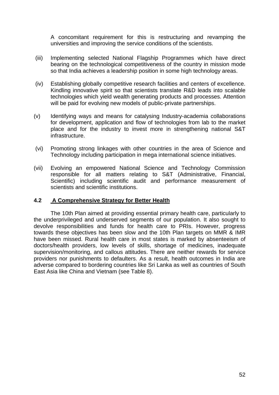A concomitant requirement for this is restructuring and revamping the universities and improving the service conditions of the scientists.

- (iii) Implementing selected National Flagship Programmes which have direct bearing on the technological competitiveness of the country in mission mode so that India achieves a leadership position in some high technology areas.
- (iv) Establishing globally competitive research facilities and centers of excellence. Kindling innovative spirit so that scientists translate R&D leads into scalable technologies which yield wealth generating products and processes. Attention will be paid for evolving new models of public-private partnerships.
- (v) Identifying ways and means for catalysing Industry-academia collaborations for development, application and flow of technologies from lab to the market place and for the industry to invest more in strengthening national S&T infrastructure.
- (vi) Promoting strong linkages with other countries in the area of Science and Technology including participation in mega international science initiatives.
- (vii) Evolving an empowered National Science and Technology Commission responsible for all matters relating to S&T (Administrative, Financial, Scientific) including scientific audit and performance measurement of scientists and scientific institutions.

#### **4.2 A Comprehensive Strategy for Better Health**

The 10th Plan aimed at providing essential primary health care, particularly to the underprivileged and underserved segments of our population. It also sought to devolve responsibilities and funds for health care to PRIs. However, progress towards these objectives has been slow and the 10th Plan targets on MMR & IMR have been missed. Rural health care in most states is marked by absenteeism of doctors/health providers, low levels of skills, shortage of medicines, inadequate supervision/monitoring, and callous attitudes. There are neither rewards for service providers nor punishments to defaulters. As a result, health outcomes in India are adverse compared to bordering countries like Sri Lanka as well as countries of South East Asia like China and Vietnam (see Table 8).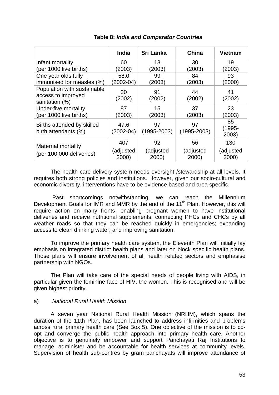|                                                                     | <b>India</b>              | <b>Sri Lanka</b>         | <b>China</b>             | <b>Vietnam</b>            |
|---------------------------------------------------------------------|---------------------------|--------------------------|--------------------------|---------------------------|
| Infant mortality                                                    | 60                        | 13                       | 30                       | 19                        |
| (per 1000 live births)<br>One year olds fully                       | (2003)<br>58.0            | (2003)<br>99             | (2003)<br>84             | (2003)<br>93              |
| immunised for measles (%)                                           | $(2002 - 04)$             | (2003)                   | (2003)                   | (2000)                    |
| Population with sustainable<br>access to improved<br>sanitation (%) | 30<br>(2002)              | 91<br>(2002)             | 44<br>(2002)             | 41<br>(2002)              |
| Under-five mortality<br>(per 1000 live births)                      | 87<br>(2003)              | 15<br>(2003)             | 37<br>(2003)             | 23<br>(2003)              |
| Births attended by skilled<br>birth attendants (%)                  | 47.6<br>(2002-04)         | 97<br>$(1995 - 2003)$    | 97<br>$(1995 - 2003)$    | 85<br>$(1995 -$<br>2003)  |
| <b>Maternal mortality</b><br>(per 100,000 deliveries)               | 407<br>(adjusted<br>2000) | 92<br>(adjusted<br>2000) | 56<br>(adjusted<br>2000) | 130<br>(adjusted<br>2000) |

# **Table 8:** *India and Comparator Countries*

The health care delivery system needs oversight /stewardship at all levels. It requires both strong policies and institutions. However, given our socio-cultural and economic diversity, interventions have to be evidence based and area specific.

 Past shortcomings notwithstanding, we can reach the Millennium Development Goals for IMR and MMR by the end of the 11<sup>th</sup> Plan. However, this will require action on many fronts- enabling pregnant women to have institutional deliveries and receive nutritional supplements; connecting PHCs and CHCs by all weather roads so that they can be reached quickly in emergencies; expanding access to clean drinking water; and improving sanitation.

 To improve the primary health care system, the Eleventh Plan will initially lay emphasis on integrated district health plans and later on block specific health plans. Those plans will ensure involvement of all health related sectors and emphasise partnership with NGOs.

The Plan will take care of the special needs of people living with AIDS, in particular given the feminine face of HIV, the women. This is recognised and will be given highest priority.

# a) *National Rural Health Mission*

A seven year National Rural Health Mission (NRHM), which spans the duration of the 11th Plan, has been launched to address infirmities and problems across rural primary health care (See Box 5). One objective of the mission is to coopt and converge the public health approach into primary health care. Another objective is to genuinely empower and support Panchayati Raj Institutions to manage, administer and be accountable for health services at community levels. Supervision of health sub-centres by gram panchayats will improve attendance of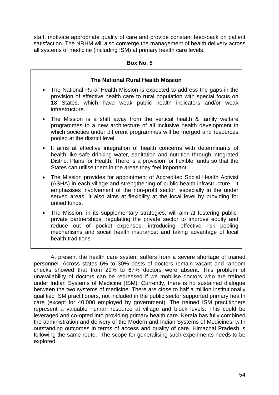staff, motivate appropriate quality of care and provide constant feed-back on patient satisfaction. The NRHM will also converge the management of health delivery across all systems of medicine (including ISM) at primary health care levels.

## **Box No. 5**

## **The National Rural Health Mission**

- The National Rural Health Mission is expected to address the gaps in the provision of effective health care to rural population with special focus on 18 States, which have weak public health indicators and/or weak infrastructure.
- The Mission is a shift away from the vertical health & family welfare programmes to a new architecture of all inclusive health development in which societies under different programmes will be merged and resources pooled at the district level.
- It aims at effective integration of health concerns with determinants of health like safe drinking water, sanitation and nutrition through integrated District Plans for Health. There is a provision for flexible funds so that the States can utilise them in the areas they feel important.
- The Mission provides for appointment of Accredited Social Health Activist (ASHA) in each village and strengthening of public health infrastructure. It emphasises involvement of the non-profit sector, especially in the under served areas. It also aims at flexibility at the local level by providing for untied funds.
- The Mission, in its supplementary strategies, will aim at fostering publicprivate partnerships; regulating the private sector to improve equity and reduce out of pocket expenses; introducing effective risk pooling mechanisms and social health insurance; and taking advantage of local health traditions

At present the health care system suffers from a severe shortage of trained personnel. Across states 6% to 30% posts of doctors remain vacant and random checks showed that from 29% to 67% doctors were absent. This problem of unavailability of doctors can be redressed if we mobilise doctors who are trained under Indian Systems of Medicine (ISM). Currently, there is no sustained dialogue between the two systems of medicine. There are close to half a million institutionally qualified ISM practitioners, not included in the public sector supported primary health care (except for 40,000 employed by government). The trained ISM practitioners represent a valuable human resource at village and block levels. This could be leveraged and co-opted into providing primary health care. Kerala has fully combined the administration and delivery of the Modern and Indian Systems of Medicines, with outstanding outcomes in terms of access and quality of care. Himachal Pradesh is following the same route. The scope for generalising such experiments needs to be explored.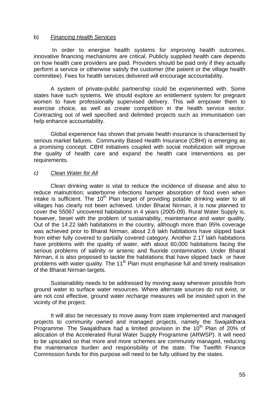#### b) *Financing Health Services*

 In order to energise health systems for improving health outcomes, innovative financing mechanisms are critical. Publicly supplied health care depends on how health care providers are paid. Providers should be paid only if they actually perform a service or otherwise satisfy the customer (the patient or the village health committee). Fees for health services delivered will encourage accountability.

 A system of private-public partnership could be experimented with. Some states have such systems. We should explore an entitlement system for pregnant women to have professionally supervised delivery. This will empower them to exercise choice, as well as create competition in the health service sector. Contracting out of well specified and delimited projects such as immunisation can help enhance accountability.

 Global experience has shown that private health insurance is characterised by serious market failures. Community Based Health Insurance (CBHI) is emerging as a promising concept. CBHI initiatives coupled with social mobilization will improve the quality of health care and expand the health care interventions as per requirements.

## *c) Clean Water for All*

 Clean drinking water is vital to reduce the incidence of disease and also to reduce malnutrition; waterborne infections hamper absorption of food even when intake is sufficient. The  $10<sup>th</sup>$  Plan target of providing potable drinking water to all villages has clearly not been achieved. Under Bharat Nirman, it is now planned to cover the 55067 uncovered habitations in 4 years (2005-09). Rural Water Supply is, however, beset with the problem of sustainability, maintenance and water quality. Out of the 14.22 lakh habitations in the country, although more than 95% coverage was achieved prior to Bharat Nirman, about 2.8 lakh habitations have slipped back from either fully covered to partially covered category. Another 2.17 lakh habitations have problems with the quality of water, with about 60,000 habitations facing the serious problems of salinity or arsenic and fluoride contamination. Under Bharat Nirman, it is also proposed to tackle the habitations that have slipped back or have problems with water quality. The 11<sup>th</sup> Plan must emphasise full and timely realisation of the Bharat Nirman targets.

 Sustainability needs to be addressed by moving away wherever possible from ground water to surface water resources. Where alternate sources do not exist, or are not cost effective, ground water recharge measures will be insisted upon in the vicinity of the project.

 It will also be necessary to move away from state implemented and managed projects to community owned and managed projects, namely the Swajaldhara Programme. The Swajaldhara had a limited provision in the  $10<sup>th</sup>$  Plan of 20% of allocation of the Accelerated Rural Water Supply Programme (ARWSP). It will need to be upscaled so that more and more schemes are community managed, reducing the maintenance burden and responsibility of the state. The Twelfth Finance Commission funds for this purpose will need to be fully utilised by the states.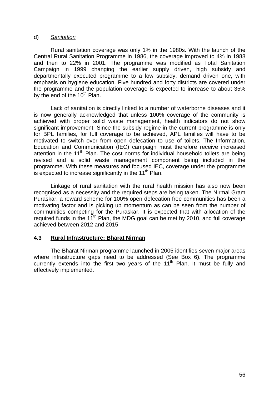#### d) *Sanitation*

 Rural sanitation coverage was only 1% in the 1980s. With the launch of the Central Rural Sanitation Programme in 1986, the coverage improved to 4% in 1988 and then to 22% in 2001. The programme was modified as Total Sanitation Campaign in 1999 changing the earlier supply driven, high subsidy and departmentally executed programme to a low subsidy, demand driven one, with emphasis on hygiene education. Five hundred and forty districts are covered under the programme and the population coverage is expected to increase to about 35% by the end of the  $10<sup>th</sup>$  Plan.

 Lack of sanitation is directly linked to a number of waterborne diseases and it is now generally acknowledged that unless 100% coverage of the community is achieved with proper solid waste management, health indicators do not show significant improvement. Since the subsidy regime in the current programme is only for BPL families, for full coverage to be achieved, APL families will have to be motivated to switch over from open defecation to use of toilets. The Information, Education and Communication (IEC) campaign must therefore receive increased attention in the  $11<sup>th</sup>$  Plan. The cost norms for individual household toilets are being revised and a solid waste management component being included in the programme. With these measures and focused IEC, coverage under the programme is expected to increase significantly in the  $11<sup>th</sup>$  Plan.

 Linkage of rural sanitation with the rural health mission has also now been recognised as a necessity and the required steps are being taken. The Nirmal Gram Puraskar, a reward scheme for 100% open defecation free communities has been a motivating factor and is picking up momentum as can be seen from the number of communities competing for the Puraskar. It is expected that with allocation of the required funds in the  $11^{th}$  Plan, the MDG goal can be met by 2010, and full coverage achieved between 2012 and 2015.

## **4.3 Rural Infrastructure: Bharat Nirman**

 The Bharat Nirman programme launched in 2005 identifies seven major areas where infrastructure gaps need to be addressed (See Box 6**)**. The programme currently extends into the first two years of the  $11<sup>th</sup>$  Plan. It must be fully and effectively implemented.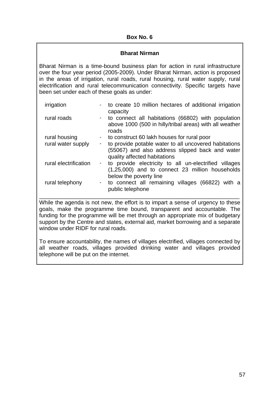#### **Bharat Nirman**

Bharat Nirman is a time-bound business plan for action in rural infrastructure over the four year period (2005-2009). Under Bharat Nirman, action is proposed in the areas of irrigation, rural roads, rural housing, rural water supply, rural electrification and rural telecommunication connectivity. Specific targets have been set under each of these goals as under:

| irrigation            |                          | - to create 10 million hectares of additional irrigation<br>capacity                                                                     |
|-----------------------|--------------------------|------------------------------------------------------------------------------------------------------------------------------------------|
| rural roads           |                          | - to connect all habitations (66802) with population<br>above 1000 (500 in hilly/tribal areas) with all weather<br>roads                 |
| rural housing         | $\sigma_{\rm{max}}$      | to construct 60 lakh houses for rural poor                                                                                               |
| rural water supply    | $\overline{\phantom{a}}$ | to provide potable water to all uncovered habitations<br>(55067) and also address slipped back and water<br>quality affected habitations |
| rural electrification | $\sim 100$               | to provide electricity to all un-electrified villages<br>(1,25,000) and to connect 23 million households<br>below the poverty line       |
| rural telephony       | $\blacksquare$           | to connect all remaining villages (66822) with a<br>public telephone                                                                     |

\_\_\_\_\_\_\_\_\_\_\_\_\_\_\_\_\_\_\_\_\_\_\_\_\_\_\_\_\_\_\_\_\_\_\_\_\_\_\_\_\_\_\_\_\_\_\_\_\_\_\_\_\_\_\_\_\_\_\_\_\_\_\_\_ While the agenda is not new, the effort is to impart a sense of urgency to these goals, make the programme time bound, transparent and accountable. The funding for the programme will be met through an appropriate mix of budgetary support by the Centre and states, external aid, market borrowing and a separate window under RIDF for rural roads.

To ensure accountability, the names of villages electrified, villages connected by all weather roads, villages provided drinking water and villages provided telephone will be put on the internet.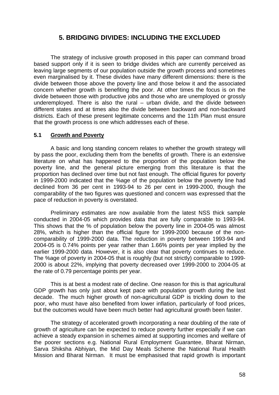# **5. BRIDGING DIVIDES: INCLUDING THE EXCLUDED**

The strategy of inclusive growth proposed in this paper can command broad based support only if it is seen to bridge divides which are currently perceived as leaving large segments of our population outside the growth process and sometimes even marginalised by it. These divides have many different dimensions: there is the divide between those above the poverty line and those below it and the associated concern whether growth is benefiting the poor. At other times the focus is on the divide between those with productive jobs and those who are unemployed or grossly underemployed. There is also the rural – urban divide, and the divide between different states and at times also the divide between backward and non-backward districts. Each of these present legitimate concerns and the 11th Plan must ensure that the growth process is one which addresses each of these.

#### **5.1 Growth and Poverty**

 A basic and long standing concern relates to whether the growth strategy will by pass the poor, excluding them from the benefits of growth. There is an extensive literature on what has happened to the proportion of the population below the poverty line, and the general picture emerging from this literature is that the proportion has declined over time but not fast enough. The official figures for poverty in 1999-2000 indicated that the %age of the population below the poverty line had declined from 36 per cent in 1993-94 to 26 per cent in 1999-2000, though the comparability of the two figures was questioned and concern was expressed that the pace of reduction in poverty is overstated.

Preliminary estimates are now available from the latest NSS thick sample conducted in 2004-05 which provides data that are fully comparable to 1993-94. This shows that the % of population below the poverty line in 2004-05 was almost 28%, which is higher than the official figure for 1999-2000 because of the noncomparability of 1999-2000 data. The reduction in poverty between 1993-94 and 2004-05 is 0.74% points per year rather than 1.66% points per year implied by the earlier 1999-2000 data. However, it is also clear that poverty continues to reduce. The %age of poverty in 2004-05 that is roughly (but not strictly) comparable to 1999- 2000 is about 22%, implying that poverty decreased over 1999-2000 to 2004-05 at the rate of 0.79 percentage points per year.

 This is at best a modest rate of decline. One reason for this is that agricultural GDP growth has only just about kept pace with population growth during the last decade. The much higher growth of non-agricultural GDP is trickling down to the poor, who must have also benefited from lower inflation, particularly of food prices, but the outcomes would have been much better had agricultural growth been faster.

The strategy of accelerated growth incorporating a near doubling of the rate of growth of agriculture can be expected to reduce poverty further especially if we can achieve a steady expansion in schemes aimed at supporting incomes and welfare of the poorer sections e.g. National Rural Employment Guarantee, Bharat Nirman, Sarva Shiksha Abhiyan, the Mid Day Meals Scheme the National Rural Health Mission and Bharat Nirman. It must be emphasised that rapid growth is important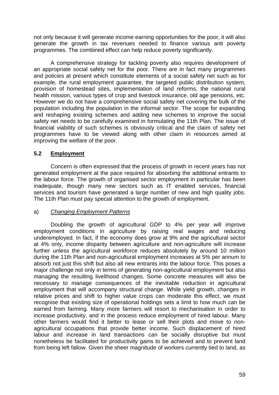not only because it will generate income earning opportunities for the poor, it will also generate the growth in tax revenues needed to finance various anti poverty programmes. The combined effect can help reduce poverty significantly.

 A comprehensive strategy for tackling poverty also requires development of an appropriate social safety net for the poor. There are in fact many programmes and policies at present which constitute elements of a social safety net such as for example, the rural employment guarantee, the targeted public distribution system, provision of homestead sites, implementation of land reforms, the national rural health mission, various types of crop and livestock insurance, old age pensions, etc. However we do not have a comprehensive social safety net covering the bulk of the population including the population in the informal sector. The scope for expanding and reshaping existing schemes and adding new schemes to improve the social safety net needs to be carefully examined in formulating the 11th Plan. The issue of financial viability of such schemes is obviously critical and the claim of safety net programmes have to be viewed along with other claim in resources aimed at improving the welfare of the poor.

# **5.2 Employment**

 Concern is often expressed that the process of growth in recent years has not generated employment at the pace required for absorbing the additional entrants to the labour force. The growth of organised sector employment in particular has been inadequate, though many new sectors such as IT enabled services, financial services and tourism have generated a large number of new and high quality jobs. The 11th Plan must pay special attention to the growth of employment.

# a) *Changing Employment Patterns*

Doubling the growth of agricultural GDP to 4% per year will improve employment conditions in agriculture by raising real wages and reducing underemployed. In fact, if the economy does grow at 9% and the agricultural sector at 4% only, income disparity between agriculture and non-agriculture will increase further unless the agricultural workforce reduces absolutely by around 10 million during the 11th Plan and non-agricultural employment increases at 5% per annum to absorb not just this shift but also all new entrants into the labour force. This poses a major challenge not only in terms of generating non-agricultural employment but also managing the resulting livelihood changes. Some concrete measures will also be necessary to manage consequences of the inevitable reduction in agricultural employment that will accompany structural change. While yield growth, changes in relative prices and shift to higher value crops can moderate this effect, we must recognise that existing size of operational holdings sets a limit to how much can be earned from farming. Many more farmers will resort to mechanisation in order to increase productivity, and in the process reduce employment of hired labour. Many other farmers would find it better to lease or sell their plots and move to nonagricultural occupations that provide better income. Such displacement of hired labour and increase in land transactions can be socially disruptive but must nonetheless be facilitated for productivity gains to be achieved and to prevent land from being left fallow. Given the sheer magnitude of workers currently tied to land, as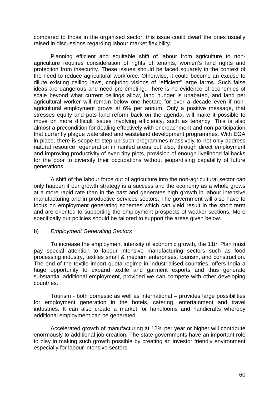compared to those in the organised sector, this issue could dwarf the ones usually raised in discussions regarding labour market flexibility.

Planning efficient and equitable shift of labour from agriculture to nonagriculture requires consideration of rights of tenants, women's land rights and protection from insecurity. These issues should be faced squarely in the context of the need to reduce agricultural workforce. Otherwise, it could become an excuse to dilute existing ceiling laws, conjuring visions of "efficient" large farms. Such false ideas are dangerous and need pre-empting. There is no evidence of economies of scale beyond what current ceilings allow, land hunger is unabated, and land per agricultural worker will remain below one hectare for over a decade even if nonagricultural employment grows at 6% per annum. Only a positive message, that stresses equity and puts land reform back on the agenda, will make it possible to move on more difficult issues involving efficiency, such as tenancy. This is also almost a precondition for dealing effectively with encroachment and non-participation that currently plague watershed and wasteland development programmes. With EGA in place, there is scope to step up such programmes massively to not only address natural resource regeneration in rainfed areas but also, through direct employment and improving productivity of even tiny plots, provision of enough livelihood fallbacks for the poor to diversify their occupations without jeopardising capability of future generations.

A shift of the labour force out of agriculture into the non-agricultural sector can only happen if our growth strategy is a success and the economy as a whole grows at a more rapid rate than in the past and generates high growth in labour intensive manufacturing and in productive services sectors. The government will also have to focus on employment generating schemes which can yield result in the short term and are oriented to supporting the employment prospects of weaker sections. More specifically our policies should be tailored to support the areas given below.

#### b) *Employment Generating Sectors*

To increase the employment intensity of economic growth, the 11th Plan must pay special attention to labour intensive manufacturing sectors such as food processing industry, textiles small & medium enterprises, tourism, and construction. The end of the textile import quota regime in industrialised countries, offers India a huge opportunity to expand textile and garment exports and thus generate substantial additional employment, provided we can compete with other developing countries.

Tourism - both domestic as well as international – provides large possibilities for employment generation in the hotels, catering, entertainment and travel industries. It can also create a market for handlooms and handicrafts whereby additional employment can be generated.

Accelerated growth of manufacturing at 12% per year or higher will contribute enormously to additional job creation. The state governments have an important role to play in making such growth possible by creating an investor friendly environment especially for labour intensive sectors.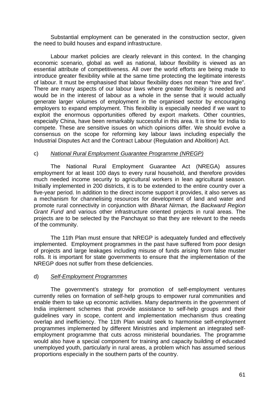Substantial employment can be generated in the construction sector, given the need to build houses and expand infrastructure.

Labour market policies are clearly relevant in this context. In the changing economic scenario, global as well as national, labour flexibility is viewed as an essential attribute of competitiveness. All over the world efforts are being made to introduce greater flexibility while at the same time protecting the legitimate interests of labour. It must be emphasised that labour flexibility does not mean "hire and fire". There are many aspects of our labour laws where greater flexibility is needed and would be in the interest of labour as a whole in the sense that it would actually generate larger volumes of employment in the organised sector by encouraging employers to expand employment. This flexibility is especially needed if we want to exploit the enormous opportunities offered by export markets. Other countries, especially China, have been remarkably successful in this area. It is time for India to compete. These are sensitive issues on which opinions differ. We should evolve a consensus on the scope for reforming key labour laws including especially the Industrial Disputes Act and the Contract Labour (Regulation and Abolition) Act.

## c) *National Rural Employment Guarantee Programme (NREGP)*

The National Rural Employment Guarantee Act (NREGA) assures employment for at least 100 days to every rural household, and therefore provides much needed income security to agricultural workers in lean agricultural season. Initially implemented in 200 districts, it is to be extended to the entire country over a five-year period. In addition to the direct income support it provides, it also serves as a mechanism for channelising resources for development of land and water and promote rural connectivity in conjunction with *Bharat Nirman, the Backward Region Grant Fund* and various other infrastructure oriented projects in rural areas. The projects are to be selected by the Panchayat so that they are relevant to the needs of the community.

The 11th Plan must ensure that NREGP is adequately funded and effectively implemented. Employment programmes in the past have suffered from poor design of projects and large leakages including misuse of funds arising from false muster rolls. It is important for state governments to ensure that the implementation of the NREGP does not suffer from these deficiencies.

## d) *Self-Employment Programmes*

 The government's strategy for promotion of self-employment ventures currently relies on formation of self-help groups to empower rural communities and enable them to take up economic activities. Many departments in the government of India implement schemes that provide assistance to self-help groups and their guidelines vary in scope, content and implementation mechanism thus creating overlap and inefficiency. The 11th Plan would seek to harmonise self-employment programmes implemented by different Ministries and implement an integrated selfemployment programme that cuts across ministerial boundaries. The programme would also have a special component for training and capacity building of educated unemployed youth, particularly in rural areas, a problem which has assumed serious proportions especially in the southern parts of the country.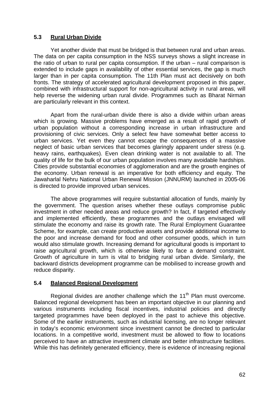## **5.3 Rural Urban Divide**

 Yet another divide that must be bridged is that between rural and urban areas. The data on per capita consumption in the NSS surveys shows a slight increase in the ratio of urban to rural per capita consumption. If the urban – rural comparison is extended to include gaps in availability of other essential services, the gap is much larger than in per capita consumption. The 11th Plan must act decisively on both fronts. The strategy of accelerated agricultural development proposed in this paper, combined with infrastructural support for non-agricultural activity in rural areas, will help reverse the widening urban rural divide. Programmes such as Bharat Nirman are particularly relevant in this context.

Apart from the rural-urban divide there is also a divide within urban areas which is growing. Massive problems have emerged as a result of rapid growth of urban population without a corresponding increase in urban infrastructure and provisioning of civic services. Only a select few have somewhat better access to urban services. Yet even they cannot escape the consequences of a massive neglect of basic urban services that becomes glaringly apparent under stress (e.g. heavy rains, earthquakes). Even clean drinking water is not available to all. The quality of life for the bulk of our urban population involves many avoidable hardships. Cities provide substantial economies of agglomeration and are the growth engines of the economy. Urban renewal is an imperative for both efficiency and equity. The Jawaharlal Nehru National Urban Renewal Mission (JNNURM) launched in 2005-06 is directed to provide improved urban services.

 The above programmes will require substantial allocation of funds, mainly by the government. The question arises whether these outlays compromise public investment in other needed areas and reduce growth? In fact, if targeted effectively and implemented efficiently, these programmes and the outlays envisaged will stimulate the economy and raise its growth rate. The Rural Employment Guarantee Scheme, for example, can create productive assets and provide additional income to the poor and increase demand for food and other consumer goods, which in turn would also stimulate growth. Increasing demand for agricultural goods is important to raise agricultural growth, which is otherwise likely to face a demand constraint. Growth of agriculture in turn is vital to bridging rural urban divide. Similarly, the backward districts development programme can be mobilised to increase growth and reduce disparity.

## **5.4 Balanced Regional Development**

Regional divides are another challenge which the  $11<sup>th</sup>$  Plan must overcome. Balanced regional development has been an important objective in our planning and various instruments including fiscal incentives, industrial policies and directly targeted programmes have been deployed in the past to achieve this objective. Some of the earlier instruments, such as industrial licensing, are no longer relevant in today's economic environment since investment cannot be directed to particular locations. In a competitive world, investment must be allowed to flow to locations perceived to have an attractive investment climate and better infrastructure facilities. While this has definitely generated efficiency, there is evidence of increasing regional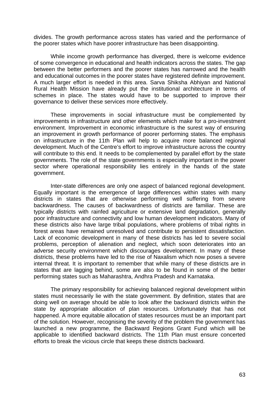divides. The growth performance across states has varied and the performance of the poorer states which have poorer infrastructure has been disappointing.

 While income growth performance has diverged, there is welcome evidence of some convergence in educational and health indicators across the states. The gap between the better performers and the poorer states has narrowed and the health and educational outcomes in the poorer states have registered definite improvement. A much larger effort is needed in this area. Sarva Shiksha Abhiyan and National Rural Health Mission have already put the institutional architecture in terms of schemes in place. The states would have to be supported to improve their governance to deliver these services more effectively.

 These improvements in social infrastructure must be complemented by improvements in infrastructure and other elements which make for a pro-investment environment. Improvement in economic infrastructure is the surest way of ensuring an improvement in growth performance of poorer performing states. The emphasis on infrastructure in the 11th Plan will help to acquire more balanced regional development. Much of the Centre's effort to improve infrastructure across the country will contribute to this end. It needs to be complemented by parallel effort by the state governments. The role of the state governments is especially important in the power sector where operational responsibility lies entirely in the hands of the state government.

Inter-state differences are only one aspect of balanced regional development. Equally important is the emergence of large differences within states with many districts in states that are otherwise performing well suffering from severe backwardness. The causes of backwardness of districts are familiar. These are typically districts with rainfed agriculture or extensive land degradation, generally poor infrastructure and connectivity and low human development indicators. Many of these districts also have large tribal populations, where problems of tribal rights in forest areas have remained unresolved and contribute to persistent dissatisfaction. Lack of economic development in many of these districts has led to severe social problems, perception of alienation and neglect, which soon deteriorates into an adverse security environment which discourages development. In many of these districts, these problems have led to the rise of Naxalism which now poses a severe internal threat. It is important to remember that while many of these districts are in states that are lagging behind, some are also to be found in some of the better performing states such as Maharashtra, Andhra Pradesh and Karnataka.

 The primary responsibility for achieving balanced regional development within states must necessarily lie with the state government. By definition, states that are doing well on average should be able to look after the backward districts within the state by appropriate allocation of plan resources. Unfortunately that has not happened. A more equitable allocation of states resources must be an important part of the solution. However, recognising the severity of the problem the government has launched a new programme, the Backward Regions Grant Fund which will be applicable to identified backward districts. The 11th Plan must ensure concerted efforts to break the vicious circle that keeps these districts backward.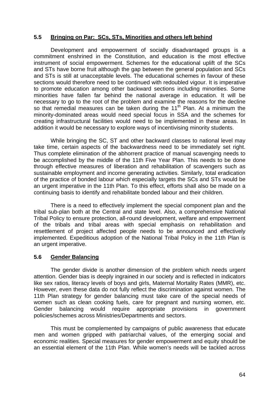## **5.5 Bringing on Par: SCs, STs, Minorities and others left behind**

 Development and empowerment of socially disadvantaged groups is a commitment enshrined in the Constitution, and education is the most effective instrument of social empowerment. Schemes for the educational uplift of the SCs and STs have borne fruit although the gap between the general population and SCs and STs is still at unacceptable levels. The educational schemes in favour of these sections would therefore need to be continued with redoubled vigour. It is imperative to promote education among other backward sections including minorities. Some minorities have fallen far behind the national average in education. It will be necessary to go to the root of the problem and examine the reasons for the decline so that remedial measures can be taken during the 11<sup>th</sup> Plan. At a minimum the minority-dominated areas would need special focus in SSA and the schemes for creating infrastructural facilities would need to be implemented in these areas. In addition it would be necessary to explore ways of incentivising minority students.

 While bringing the SC, ST and other backward classes to national level may take time, certain aspects of the backwardness need to be immediately set right. Thus complete elimination of the abhorrent practice of manual scavenging needs to be accomplished by the middle of the 11th Five Year Plan. This needs to be done through effective measures of liberation and rehabilitation of scavengers such as sustainable employment and income generating activities. Similarly, total eradication of the practice of bonded labour which especially targets the SCs and STs would be an urgent imperative in the 11th Plan. To this effect, efforts shall also be made on a continuing basis to identify and rehabilitate bonded labour and their children.

 There is a need to effectively implement the special component plan and the tribal sub-plan both at the Central and state level. Also, a comprehensive National Tribal Policy to ensure protection, all-round development, welfare and empowerment of the tribals and tribal areas with special emphasis on rehabilitation and resettlement of project affected people needs to be announced and effectively implemented. Expeditious adoption of the National Tribal Policy in the 11th Plan is an urgent imperative.

## **5.6 Gender Balancing**

The gender divide is another dimension of the problem which needs urgent attention. Gender bias is deeply ingrained in our society and is reflected in indicators like sex ratios, literacy levels of boys and girls, Maternal Mortality Rates (MMR), etc. However, even these data do not fully reflect the discrimination against women. The 11th Plan strategy for gender balancing must take care of the special needs of women such as clean cooking fuels, care for pregnant and nursing women, etc. Gender balancing would require appropriate provisions in government policies/schemes across Ministries/Departments and sectors.

 This must be complemented by campaigns of public awareness that educate men and women gripped with patriarchal values, of the emerging social and economic realities. Special measures for gender empowerment and equity should be an essential element of the 11th Plan. While women's needs will be tackled across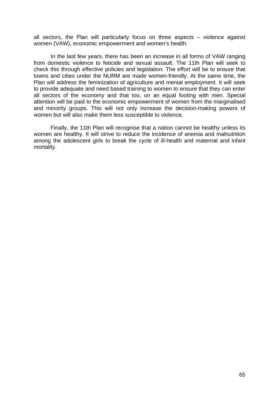all sectors, the Plan will particularly focus on three aspects – violence against women (VAW), economic empowerment and women's health.

In the last few years, there has been an increase in all forms of VAW ranging from domestic violence to feticide and sexual assault. The 11th Plan will seek to check this through effective policies and legislation. The effort will be to ensure that towns and cities under the NURM are made women-friendly. At the same time, the Plan will address the feminization of agriculture and menial employment. It will seek to provide adequate and need based training to women to ensure that they can enter all sectors of the economy and that too, on an equal footing with men. Special attention will be paid to the economic empowerment of women from the marginalised and minority groups. This will not only increase the decision-making powers of women but will also make them less susceptible to violence.

Finally, the 11th Plan will recognise that a nation cannot be healthy unless its women are healthy. It will strive to reduce the incidence of anemia and malnutrition among the adolescent girls to break the cycle of ill-health and maternal and infant mortality.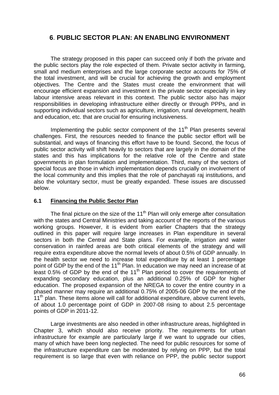# **6**. **PUBLIC SECTOR PLAN: AN ENABLING ENVIRONMENT**

 The strategy proposed in this paper can succeed only if both the private and the public sectors play the role expected of them. Private sector activity in farming, small and medium enterprises and the large corporate sector accounts for 75% of the total investment, and will be crucial for achieving the growth and employment objectives. The Centre and the States must create the environment that will encourage efficient expansion and investment in the private sector especially in key labour intensive areas relevant in this context. The public sector also has major responsibilities in developing infrastructure either directly or through PPPs, and in supporting individual sectors such as agriculture, irrigation, rural development, health and education, etc. that are crucial for ensuring inclusiveness.

Implementing the public sector component of the 11<sup>th</sup> Plan presents several challenges. First, the resources needed to finance the public sector effort will be substantial, and ways of financing this effort have to be found. Second, the focus of public sector activity will shift heavily to sectors that are largely in the domain of the states and this has implications for the relative role of the Centre and state governments in plan formulation and implementation. Third, many of the sectors of special focus are those in which implementation depends crucially on involvement of the local community and this implies that the role of panchayati raj institutions, and also the voluntary sector, must be greatly expanded. These issues are discussed below.

## **6.1 Financing the Public Sector Plan**

The final picture on the size of the  $11<sup>th</sup>$  Plan will only emerge after consultation with the states and Central Ministries and taking account of the reports of the various working groups. However, it is evident from earlier Chapters that the strategy outlined in this paper will require large increases in Plan expenditure in several sectors in both the Central and State plans. For example, irrigation and water conservation in rainfed areas are both critical elements of the strategy and will require extra expenditure above the normal levels of about 0.5% of GDP annually. In the health sector we need to increase total expenditure by at least 1 percentage point of GDP by the end of the 11<sup>th</sup> Plan. In education we may need an increase of at least 0.5% of GDP by the end of the  $11<sup>th</sup>$  Plan period to cover the requirements of expanding secondary education, plus an additional 0.25% of GDP for higher education. The proposed expansion of the NREGA to cover the entire country in a phased manner may require an additional 0.75% of 2005-06 GDP by the end of the  $11<sup>th</sup>$  plan. These items alone will call for additional expenditure, above current levels, of about 1.0 percentage point of GDP in 2007-08 rising to about 2.5 percentage points of GDP in 2011-12.

 Large investments are also needed in other infrastructure areas, highlighted in Chapter 3, which should also receive priority. The requirements for urban infrastructure for example are particularly large if we want to upgrade our cities, many of which have been long neglected. The need for public resources for some of the infrastructure expenditure can be moderated by relying on PPP, but the total requirement is so large that even with reliance on PPP, the public sector support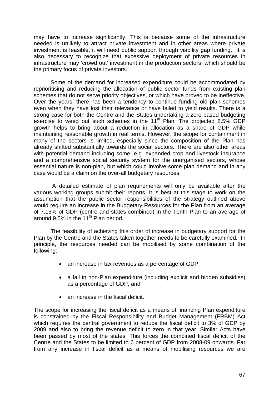may have to increase significantly. This is because some of the infrastructure needed is unlikely to attract private investment and in other areas where private investment is feasible, it will need public support through viability gap funding. It is also necessary to recognize that excessive deployment of private resources in infrastructure may 'crowd out' investment in the production sectors, which should be the primary focus of private investors.

Some of the demand for increased expenditure could be accommodated by reprioritising and reducing the allocation of public sector funds from existing plan schemes that do not serve priority objectives, or which have proved to be ineffective. Over the years, there has been a tendency to continue funding old plan schemes even when they have lost their relevance or have failed to yield results. There is a strong case for both the Centre and the States undertaking a zero based budgeting exercise to weed out such schemes in the  $11<sup>th</sup>$  Plan. The projected 8.5% GDP growth helps to bring about a reduction in allocation as a share of GDP while maintaining reasonable growth in real terms. However, the scope for containment in many of the sectors is limited, especially since the composition of the Plan has already shifted substantially towards the social sectors. There are also other areas with potential demand including some, e.g. expanded crop and livestock insurance and a comprehensive social security system for the unorganised sectors, whose essential nature is non-plan, but which could involve some plan demand and in any case would be a claim on the over-all budgetary resources.

 A detailed estimate of plan requirements will only be available after the various working groups submit their reports. It is best at this stage to work on the assumption that the public sector responsibilities of the strategy outlined above would require an increase in the Budgetary Resources for the Plan from an average of 7.15% of GDP (centre and states combined) in the Tenth Plan to an average of around 9.5% in the 11<sup>th</sup> Plan period.

The feasibility of achieving this order of increase in budgetary support for the Plan by the Centre and the States taken together needs to be carefully examined. In principle, the resources needed can be mobilised by some combination of the following:

- an increase in tax revenues as a percentage of GDP;
- a fall in non-Plan expenditure (including explicit and hidden subsidies) as a percentage of GDP; and
- an increase in the fiscal deficit.

The scope for increasing the fiscal deficit as a means of financing Plan expenditure is constrained by the Fiscal Responsibility and Budget Management (FRBM) Act which requires the central government to reduce the fiscal deficit to 3% of GDP by 2009 and also to bring the revenue deficit to zero in that year. Similar Acts have been passed by most of the states. This forces the combined fiscal deficit of the Centre and the States to be limited to 6 percent of GDP from 2008-09 onwards. Far from any increase in fiscal deficit as a means of mobilising resources we are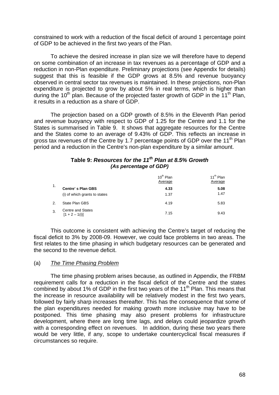constrained to work with a reduction of the fiscal deficit of around 1 percentage point of GDP to be achieved in the first two years of the Plan.

 To achieve the desired increase in plan size we will therefore have to depend on some combination of an increase in tax revenues as a percentage of GDP and a reduction in non-Plan expenditure. Preliminary projections (see Appendix for details) suggest that this is feasible if the GDP grows at 8.5% and revenue buoyancy observed in central sector tax revenues is maintained. In these projections, non-Plan expenditure is projected to grow by about 5% in real terms, which is higher than during the 10<sup>th</sup> plan. Because of the projected faster growth of GDP in the 11<sup>th</sup> Plan. it results in a reduction as a share of GDP.

 The projection based on a GDP growth of 8.5% in the Eleventh Plan period and revenue buoyancy with respect to GDP of 1.25 for the Centre and 1.1 for the States is summarised in Table 9. It shows that aggregate resources for the Centre and the States come to an average of 9.43% of GDP. This reflects an increase in gross tax revenues of the Centre by 1.7 percentage points of GDP over the 11<sup>th</sup> Plan period and a reduction in the Centre's non-plan expenditure by a similar amount.

## *th* **Table 9:** *Resources for the 11 Plan at 8.5% Growth (As percentage of GDP)*

|    |                                     | 10 <sup>th</sup> Plan<br>Average | 11 <sup>th</sup> Plan<br>Average |
|----|-------------------------------------|----------------------------------|----------------------------------|
| 1. | <b>Centre's Plan GBS</b>            | 4.33                             | 5.08                             |
|    | (i) of which grants to states       | 1.37                             | 1.47                             |
| 2. | State Plan GBS                      | 4.19                             | 5.83                             |
| 3. | Centre and States<br>[1 + 2 - 1(i)] | 7.15                             | 9.43                             |

 This outcome is consistent with achieving the Centre's target of reducing the fiscal deficit to 3% by 2008-09. However, we could face problems in two areas. The first relates to the time phasing in which budgetary resources can be generated and the second to the revenue deficit.

#### (a) *The Time Phasing Problem*

 The time phasing problem arises because, as outlined in Appendix, the FRBM requirement calls for a reduction in the fiscal deficit of the Centre and the states combined by about 1% of GDP in the first two years of the  $11<sup>th</sup>$  Plan. This means that the increase in resource availability will be relatively modest in the first two years, followed by fairly sharp increases thereafter. This has the consequence that some of the plan expenditures needed for making growth more inclusive may have to be postponed. This time phasing may also present problems for infrastructure development, where there are long time lags, and delays could jeopardize growth with a corresponding effect on revenues. In addition, during these two years there would be very little, if any, scope to undertake countercyclical fiscal measures if circumstances so require.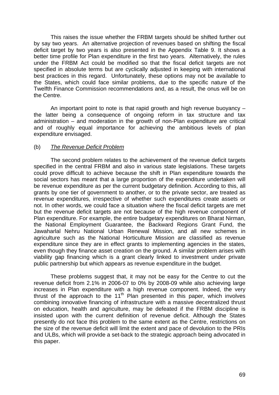This raises the issue whether the FRBM targets should be shifted further out by say two years. An alternative projection of revenues based on shifting the fiscal deficit target by two years is also presented in the Appendix Table 9. It shows a better time profile for Plan expenditure in the first two years. Alternatively, the rules under the FRBM Act could be modified so that the fiscal deficit targets are not specified in absolute terms but are cyclically adjusted in keeping with international best practices in this regard. Unfortunately, these options may not be available to the States, which could face similar problems, due to the specific nature of the Twelfth Finance Commission recommendations and, as a result, the onus will be on the Centre.

 An important point to note is that rapid growth and high revenue buoyancy – the latter being a consequence of ongoing reform in tax structure and tax administration – and moderation in the growth of non-Plan expenditure are critical and of roughly equal importance for achieving the ambitious levels of plan expenditure envisaged.

## (b) *The Revenue Deficit Problem*

 The second problem relates to the achievement of the revenue deficit targets specified in the central FRBM and also in various state legislations. These targets could prove difficult to achieve because the shift in Plan expenditure towards the social sectors has meant that a large proportion of the expenditure undertaken will be revenue expenditure as per the current budgetary definition. According to this, all grants by one tier of government to another, or to the private sector, are treated as revenue expenditures, irrespective of whether such expenditures create assets or not. In other words, we could face a situation where the fiscal deficit targets are met but the revenue deficit targets are not because of the high revenue component of Plan expenditure. For example, the entire budgetary expenditures on Bharat Nirman, the National Employment Guarantee, the Backward Regions Grant Fund, the Jawaharlal Nehru National Urban Renewal Mission, and all new schemes in agriculture such as the National Horticulture Mission are classified as revenue expenditure since they are in effect grants to implementing agencies in the states, even though they finance asset creation on the ground. A similar problem arises with viability gap financing which is a grant clearly linked to investment under private public partnership but which appears as revenue expenditure in the budget.

 These problems suggest that, it may not be easy for the Centre to cut the revenue deficit from 2.1% in 2006-07 to 0% by 2008-09 while also achieving large increases in Plan expenditure with a high revenue component. Indeed, the very thrust of the approach to the 11<sup>th</sup> Plan presented in this paper, which involves combining innovative financing of infrastructure with a massive decentralized thrust on education, health and agriculture, may be defeated if the FRBM discipline is insisted upon with the current definition of revenue deficit. Although the States presently do not face this problem to the same extent as the Centre, restrictions on the size of the revenue deficit will limit the extent and pace of devolution to the PRIs and ULBs, which will provide a set-back to the strategic approach being advocated in this paper.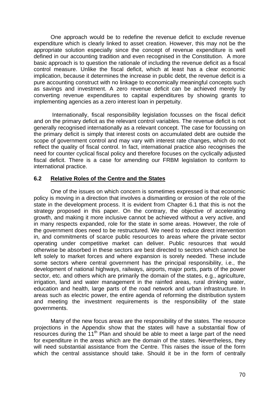One approach would be to redefine the revenue deficit to exclude revenue expenditure which is clearly linked to asset creation. However, this may not be the appropriate solution especially since the concept of revenue expenditure is well defined in our accounting tradition and even recognised in the Constitution. A more basic approach is to question the rationale of including the revenue deficit as a fiscal control measure. Unlike the fiscal deficit, which at least has a clear economic implication, because it determines the increase in public debt, the revenue deficit is a pure accounting construct with no linkage to economically meaningful concepts such as savings and investment. A zero revenue deficit can be achieved merely by converting revenue expenditures to capital expenditures by showing grants to implementing agencies as a zero interest loan in perpetuity.

 Internationally, fiscal responsibility legislation focusses on the fiscal deficit and on the primary deficit as the relevant control variables. The revenue deficit is not generally recognised internationally as a relevant concept. The case for focussing on the primary deficit is simply that interest costs on accumulated debt are outside the scope of government control and may vary with interest rate changes, which do not reflect the quality of fiscal control. In fact, international practice also recognises the need for counter cyclical fiscal policy and therefore focuses on the cyclically adjusted fiscal deficit. There is a case for amending our FRBM legislation to conform to international practice.

## **6.2 Relative Roles of the Centre and the States**

 One of the issues on which concern is sometimes expressed is that economic policy is moving in a direction that involves a dismantling or erosion of the role of the state in the development process. It is evident from Chapter 6.1 that this is not the strategy proposed in this paper. On the contrary, the objective of accelerating growth, and making it more inclusive cannot be achieved without a very active, and in many respects expanded, role for the state in some areas. However, the role of the government does need to be restructured. We need to reduce direct intervention in, and commitments of scarce public resources to areas where the private sector operating under competitive market can deliver. Public resources that would otherwise be absorbed in these sectors are best directed to sectors which cannot be left solely to market forces and where expansion is sorely needed. These include some sectors where central government has the principal responsibility, i.e., the development of national highways, railways, airports, major ports, parts of the power sector, etc. and others which are primarily the domain of the states, e.g., agriculture, irrigation, land and water management in the rainfed areas, rural drinking water, education and health, large parts of the road network and urban infrastructure. In areas such as electric power, the entire agenda of reforming the distribution system and meeting the investment requirements is the responsibility of the state governments.

 Many of the new focus areas are the responsibility of the states. The resource projections in the Appendix show that the states will have a substantial flow of resources during the  $11<sup>th</sup>$  Plan and should be able to meet a large part of the need for expenditure in the areas which are the domain of the states. Nevertheless, they will need substantial assistance from the Centre. This raises the issue of the form which the central assistance should take. Should it be in the form of centrally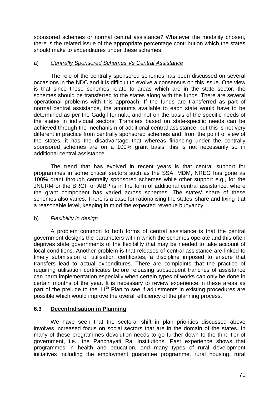sponsored schemes or normal central assistance? Whatever the modality chosen, there is the related issue of the appropriate percentage contribution which the states should make to expenditures under these schemes.

## a) *Centrally Sponsored Schemes Vs Central Assistance*

 The role of the centrally sponsored schemes has been discussed on several occasions in the NDC and it is difficult to evolve a consensus on this issue. One view is that since these schemes relate to areas which are in the state sector, the schemes should be transferred to the states along with the funds. There are several operational problems with this approach. If the funds are transferred as part of normal central assistance, the amounts available to each state would have to be determined as per the Gadgil formula, and not on the basis of the specific needs of the states in individual sectors. Transfers based on state-specific needs can be achieved through the mechanism of additional central assistance, but this is not very different in practice from centrally sponsored schemes and, from the point of view of the states, it has the disadvantage that whereas financing under the centrally sponsored schemes are on a 100% grant basis, this is not necessarily so in additional central assistance.

 The trend that has evolved in recent years is that central support for programmes in some critical sectors such as the SSA, MDM, NREG has gone as 100% grant through centrally sponsored schemes while other support e.g., for the JNURM or the BRGF or AIBP is in the form of additional central assistance, where the grant component has varied across schemes. The states' share of these schemes also varies. There is a case for rationalising the states' share and fixing it at a reasonable level, keeping in mind the expected revenue buoyancy.

## b) *Flexibility in design*

 A problem common to both forms of central assistance is that the central government designs the parameters within which the schemes operate and this often deprives state governments of the flexibility that may be needed to take account of local conditions. Another problem is that releases of central assistance are linked to timely submission of utilisation certificates, a discipline imposed to ensure that transfers lead to actual expenditures. There are complaints that the practice of requiring utilisation certificates before releasing subsequent tranches of assistance can harm implementation especially when certain types of works can only be done in certain months of the year. It is necessary to review experience in these areas as part of the prelude to the 11<sup>th</sup> Plan to see if adjustments in existing procedures are possible which would improve the overall efficiency of the planning process.

## **6.3 Decentralisation in Planning**

 We have seen that the sectoral shift in plan priorities discussed above involves increased focus on social sectors that are in the domain of the states. In many of these programmes devolution needs to go further down to the third tier of government, i.e., the Panchayati Raj Institutions. Past experience shows that programmes in health and education, and many types of rural development initiatives including the employment guarantee programme, rural housing, rural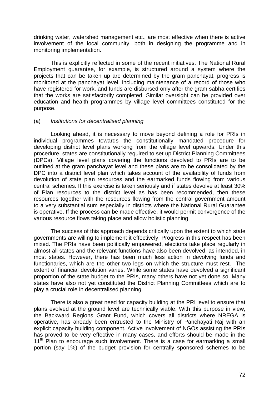drinking water, watershed management etc., are most effective when there is active involvement of the local community, both in designing the programme and in monitoring implementation.

 This is explicitly reflected in some of the recent initiatives. The National Rural Employment guarantee, for example, is structured around a system where the projects that can be taken up are determined by the gram panchayat, progress is monitored at the panchayat level, including maintenance of a record of those who have registered for work, and funds are disbursed only after the gram sabha certifies that the works are satisfactorily completed. Similar oversight can be provided over education and health programmes by village level committees constituted for the purpose.

### (a) *Institutions for decentralised planning*

 Looking ahead, it is necessary to move beyond defining a role for PRIs in individual programmes towards the constitutionally mandated procedure for developing district level plans working from the village level upwards. Under this procedure, states are constitutionally required to set up District Planning Committees (DPCs). Village level plans covering the functions devolved to PRIs are to be outlined at the gram panchayat level and these plans are to be consolidated by the DPC into a district level plan which takes account of the availability of funds from devolution of state plan resources and the earmarked funds flowing from various central schemes. If this exercise is taken seriously and if states devolve at least 30% of Plan resources to the district level as has been recommended, then these resources together with the resources flowing from the central government amount to a very substantial sum especially in districts where the National Rural Guarantee is operative. If the process can be made effective, it would permit convergence of the various resource flows taking place and allow holistic planning.

 The success of this approach depends critically upon the extent to which state governments are willing to implement it effectively. Progress in this respect has been mixed. The PRIs have been politically empowered, elections take place regularly in almost all states and the relevant functions have also been devolved, as intended, in most states. However, there has been much less action in devolving funds and functionaries, which are the other two legs on which the structure must rest. The extent of financial devolution varies. While some states have devolved a significant proportion of the state budget to the PRIs, many others have not yet done so. Many states have also not yet constituted the District Planning Committees which are to play a crucial role in decentralised planning.

 There is also a great need for capacity building at the PRI level to ensure that plans evolved at the ground level are technically viable. With this purpose in view, the Backward Regions Grant Fund, which covers all districts where NREGA is operative, has already been entrusted to the Ministry of Panchayati Raj with an explicit capacity building component. Active involvement of NGOs assisting the PRIs has proved to be very effective in many cases, and efforts should be made in the  $11<sup>th</sup>$  Plan to encourage such involvement. There is a case for earmarking a small portion (say 1%) of the budget provision for centrally sponsored schemes to be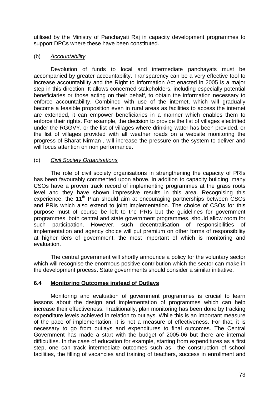utilised by the Ministry of Panchayati Raj in capacity development programmes to support DPCs where these have been constituted.

## (b) *Accountability*

 Devolution of funds to local and intermediate panchayats must be accompanied by greater accountability. Transparency can be a very effective tool to increase accountability and the Right to Information Act enacted in 2005 is a major step in this direction. It allows concerned stakeholders, including especially potential beneficiaries or those acting on their behalf, to obtain the information necessary to enforce accountability. Combined with use of the internet, which will gradually become a feasible proposition even in rural areas as facilities to access the internet are extended, it can empower beneficiaries in a manner which enables them to enforce their rights. For example, the decision to provide the list of villages electrified under the RGGVY, or the list of villages where drinking water has been provided, or the list of villages provided with all weather roads on a website monitoring the progress of Bharat Nirman , will increase the pressure on the system to deliver and will focus attention on non performance.

### (c) *Civil Society Organisations*

 The role of civil society organisations in strengthening the capacity of PRIs has been favourably commented upon above. In addition to capacity building, many CSOs have a proven track record of implementing programmes at the grass roots level and they have shown impressive results in this area. Recognising this experience, the 11<sup>th</sup> Plan should aim at encouraging partnerships between CSOs and PRIs which also extend to joint implementation. The choice of CSOs for this purpose must of course be left to the PRIs but the guidelines for government programmes, both central and state government programmes, should allow room for such participation. However, such decentralisation of responsibilities of implementation and agency choice will put premium on other forms of responsibility at higher tiers of government, the most important of which is monitoring and evaluation.

 The central government will shortly announce a policy for the voluntary sector which will recognise the enormous positive contribution which the sector can make in the development process. State governments should consider a similar initiative.

## **6.4 Monitoring Outcomes instead of Outlays**

 Monitoring and evaluation of government programmes is crucial to learn lessons about the design and implementation of programmes which can help increase their effectiveness. Traditionally, plan monitoring has been done by tracking expenditure levels achieved in relation to outlays. While this is an important measure of the pace of implementation, it is not a measure of effectiveness. For that, it is necessary to go from outlays and expenditures to final outcomes. The Central Government has made a start with the budget of 2005-06 but there are internal difficulties. In the case of education for example, starting from expenditures as a first step, one can track intermediate outcomes such as the construction of school facilities, the filling of vacancies and training of teachers, success in enrollment and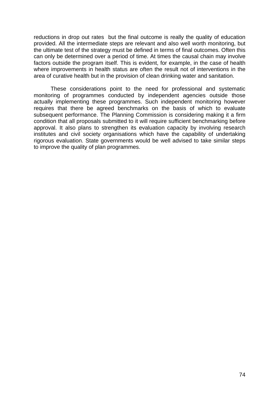reductions in drop out rates but the final outcome is really the quality of education provided. All the intermediate steps are relevant and also well worth monitoring, but the ultimate test of the strategy must be defined in terms of final outcomes. Often this can only be determined over a period of time. At times the causal chain may involve factors outside the program itself. This is evident, for example, in the case of health where improvements in health status are often the result not of interventions in the area of curative health but in the provision of clean drinking water and sanitation.

 These considerations point to the need for professional and systematic monitoring of programmes conducted by independent agencies outside those actually implementing these programmes. Such independent monitoring however requires that there be agreed benchmarks on the basis of which to evaluate subsequent performance. The Planning Commission is considering making it a firm condition that all proposals submitted to it will require sufficient benchmarking before approval. It also plans to strengthen its evaluation capacity by involving research institutes and civil society organisations which have the capability of undertaking rigorous evaluation. State governments would be well advised to take similar steps to improve the quality of plan programmes.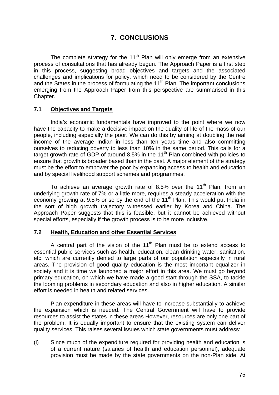# **7. CONCLUSIONS**

The complete strategy for the  $11<sup>th</sup>$  Plan will only emerge from an extensive process of consultations that has already begun. The Approach Paper is a first step in this process, suggesting broad objectives and targets and the associated challenges and implications for policy, which need to be considered by the Centre and the States in the process of formulating the 11<sup>th</sup> Plan. The important conclusions emerging from the Approach Paper from this perspective are summarised in this Chapter.

### **7.1 Objectives and Targets**

 India's economic fundamentals have improved to the point where we now have the capacity to make a decisive impact on the quality of life of the mass of our people, including especially the poor. We can do this by aiming at doubling the real income of the average Indian in less than ten years time and also committing ourselves to reducing poverty to less than 10% in the same period. This calls for a target growth rate of GDP of around 8.5% in the  $11<sup>th</sup>$  Plan combined with policies to ensure that growth is broader based than in the past. A major element of the strategy must be the effort to empower the poor by expanding access to health and education and by special livelihood support schemes and programmes.

To achieve an average growth rate of 8.5% over the 11<sup>th</sup> Plan, from an underlying growth rate of 7% or a little more, requires a steady acceleration with the economy growing at 9.5% or so by the end of the  $11<sup>th</sup>$  Plan. This would put India in the sort of high growth trajectory witnessed earlier by Korea and China. The Approach Paper suggests that this is feasible, but it cannot be achieved without special efforts, especially if the growth process is to be more inclusive.

### **7.2 Health, Education and other Essential Services**

A central part of the vision of the  $11<sup>th</sup>$  Plan must be to extend access to essential public services such as health, education, clean drinking water, sanitation, etc. which are currently denied to large parts of our population especially in rural areas. The provision of good quality education is the most important equalizer in society and it is time we launched a major effort in this area. We must go beyond primary education, on which we have made a good start through the SSA, to tackle the looming problems in secondary education and also in higher education. A similar effort is needed in health and related services.

 Plan expenditure in these areas will have to increase substantially to achieve the expansion which is needed. The Central Government will have to provide resources to assist the states in these areas However, resources are only one part of the problem. It is equally important to ensure that the existing system can deliver quality services. This raises several issues which state governments must address:

(i) Since much of the expenditure required for providing health and education is of a current nature (salaries of health and education personnel), adequate provision must be made by the state governments on the non-Plan side. At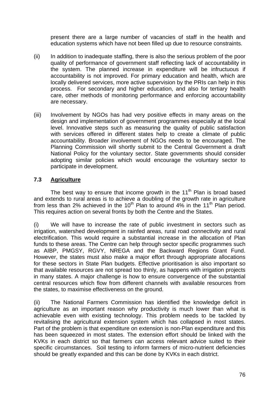present there are a large number of vacancies of staff in the health and education systems which have not been filled up due to resource constraints.

- (ii) In addition to inadequate staffing, there is also the serious problem of the poor quality of performance of government staff reflecting lack of accountability in the system. The planned increase in expenditure will be infructuous if accountability is not improved. For primary education and health, which are locally delivered services, more active supervision by the PRIs can help in this process. For secondary and higher education, and also for tertiary health care, other methods of monitoring performance and enforcing accountability are necessary.
- (iii) Involvement by NGOs has had very positive effects in many areas on the design and implementation of government programmes especially at the local level. Innovative steps such as measuring the quality of public satisfaction with services offered in different states help to create a climate of public accountability. Broader involvement of NGOs needs to be encouraged. The Planning Commission will shortly submit to the Central Government a draft National Policy for the voluntary sector. State governments should consider adopting similar policies which would encourage the voluntary sector to participate in development.

## **7.3 Agriculture**

The best way to ensure that income growth in the  $11<sup>th</sup>$  Plan is broad based and extends to rural areas is to achieve a doubling of the growth rate in agriculture from less than 2% achieved in the 10<sup>th</sup> Plan to around 4% in the 11<sup>th</sup> Plan period. This requires action on several fronts by both the Centre and the States.

(i) We will have to increase the rate of public investment in sectors such as irrigation, watershed development in rainfed areas, rural road connectivity and rural electrification. This would require a substantial increase in the allocation of Plan funds to these areas. The Centre can help through sector specific programmes such as AIBP, PMGSY, RGVY, NREGA and the Backward Regions Grant Fund. However, the states must also make a major effort through appropriate allocations for these sectors in State Plan budgets. Effective prioritisation is also important so that available resources are not spread too thinly, as happens with irrigation projects in many states. A major challenge is how to ensure convergence of the substantial central resources which flow from different channels with available resources from the states, to maximise effectiveness on the ground.

(ii) The National Farmers Commission has identified the knowledge deficit in agriculture as an important reason why productivity is much lower than what is achievable even with existing technology. This problem needs to be tackled by revitalising the agricultural extension system which has collapsed in most states. Part of the problem is that expenditure on extension is non-Plan expenditure and this has been squeezed in most states. The extension effort should be linked with the KVKs in each district so that farmers can access relevant advice suited to their specific circumstances. Soil testing to inform farmers of micro-nutrient deficiencies should be greatly expanded and this can be done by KVKs in each district.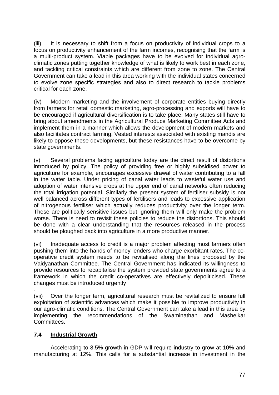(iii) It is necessary to shift from a focus on productivity of individual crops to a focus on productivity enhancement of the farm incomes, recognising that the farm is a multi-product system. Viable packages have to be evolved for individual agroclimatic zones putting together knowledge of what is likely to work best in each zone, and tackling critical constraints which are different from zone to zone. The Central Government can take a lead in this area working with the individual states concerned to evolve zone specific strategies and also to direct research to tackle problems critical for each zone.

(iv) Modern marketing and the involvement of corporate entities buying directly from farmers for retail domestic marketing, agro-processing and exports will have to be encouraged if agricultural diversification is to take place. Many states still have to bring about amendments in the Agricultural Produce Marketing Committee Acts and implement them in a manner which allows the development of modern markets and also facilitates contract farming. Vested interests associated with existing mandis are likely to oppose these developments, but these resistances have to be overcome by state governments.

(v) Several problems facing agriculture today are the direct result of distortions introduced by policy. The policy of providing free or highly subsidised power to agriculture for example, encourages excessive drawal of water contributing to a fall in the water table. Under pricing of canal water leads to wasteful water use and adoption of water intensive crops at the upper end of canal networks often reducing the total irrigation potential. Similarly the present system of fertiliser subsidy is not well balanced across different types of fertilisers and leads to excessive application of nitrogenous fertiliser which actually reduces productivity over the longer term. These are politically sensitive issues but ignoring them will only make the problem worse. There is need to revisit these policies to reduce the distortions. This should be done with a clear understanding that the resources released in the process should be ploughed back into agriculture in a more productive manner.

(vi) Inadequate access to credit is a major problem affecting most farmers often pushing them into the hands of money lenders who charge exorbitant rates. The cooperative credit system needs to be revitalised along the lines proposed by the Vaidyanathan Committee. The Central Government has indicated its willingness to provide resources to recapitalise the system provided state governments agree to a framework in which the credit co-operatives are effectively depoliticised. These changes must be introduced urgently

. (vii) Over the longer term, agricultural research must be revitalized to ensure full exploitation of scientific advances which make it possible to improve productivity in our agro-climatic conditions. The Central Government can take a lead in this area by implementing the recommendations of the Swaminathan and Mashelkar Committees.

## **7.4 Industrial Growth**

 Accelerating to 8.5% growth in GDP will require industry to grow at 10% and manufacturing at 12%. This calls for a substantial increase in investment in the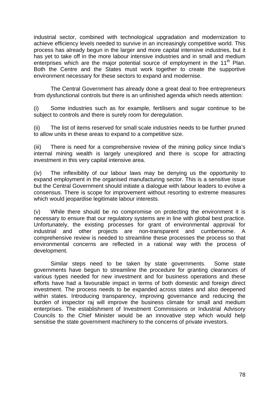industrial sector, combined with technological upgradation and modernization to achieve efficiency levels needed to survive in an increasingly competitive world. This process has already begun in the larger and more capital intensive industries, but it has yet to take off in the more labour intensive industries and in small and medium enterprises which are the major potential source of employment in the  $11<sup>th</sup>$  Plan. Both the Centre and the States must work together to create the supportive environment necessary for these sectors to expand and modernise.

 The Central Government has already done a great deal to free entrepreneurs from dysfunctional controls but there is an unfinished agenda which needs attention:

(i) Some industries such as for example, fertilisers and sugar continue to be subject to controls and there is surely room for deregulation.

(ii) The list of items reserved for small scale industries needs to be further pruned to allow units in these areas to expand to a competitive size.

(iii) There is need for a comprehensive review of the mining policy since India's internal mining wealth is largely unexplored and there is scope for attracting investment in this very capital intensive area.

(iv) The inflexibility of our labour laws may be denying us the opportunity to expand employment in the organised manufacturing sector. This is a sensitive issue but the Central Government should initiate a dialogue with labour leaders to evolve a consensus. There is scope for improvement without resorting to extreme measures which would jeopardise legitimate labour interests.

(v) While there should be no compromise on protecting the environment it is necessary to ensure that our regulatory systems are in line with global best practice. Unfortunately, the existing processes for grant of environmental approval for industrial and other projects are non-transparent and cumbersome. A comprehensive review is needed to streamline these processes the process so that environmental concerns are reflected in a rational way with the process of development.

 Similar steps need to be taken by state governments. Some state governments have begun to streamline the procedure for granting clearances of various types needed for new investment and for business operations and these efforts have had a favourable impact in terms of both domestic and foreign direct investment. The process needs to be expanded across states and also deepened within states. Introducing transparency, improving governance and reducing the burden of inspector raj will improve the business climate for small and medium enterprises. The establishment of Investment Commissions or Industrial Advisory Councils to the Chief Minister would be an innovative step which would help sensitise the state government machinery to the concerns of private investors.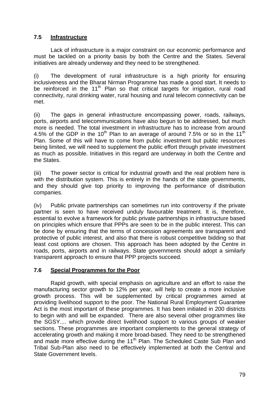## **7.5 Infrastructure**

 Lack of infrastructure is a major constraint on our economic performance and must be tackled on a priority basis by both the Centre and the States. Several initiatives are already underway and they need to be strengthened.

(i) The development of rural infrastructure is a high priority for ensuring inclusiveness and the Bharat Nirman Programme has made a good start. It needs to be reinforced in the  $11<sup>th</sup>$  Plan so that critical targets for irrigation, rural road connectivity, rural drinking water, rural housing and rural telecom connectivity can be met.

(ii) The gaps in general infrastructure encompassing power, roads, railways, ports, airports and telecommunications have also begun to be addressed, but much more is needed. The total investment in infrastructure has to increase from around 4.5% of the GDP in the 10<sup>th</sup> Plan to an average of around 7.5% or so in the 11<sup>th</sup> Plan. Some of this will have to come from public investment but public resources being limited, we will need to supplement the public effort through private investment as much as possible. Initiatives in this regard are underway in both the Centre and the States.

(iii) The power sector is critical for industrial growth and the real problem here is with the distribution system. This is entirely in the hands of the state governments, and they should give top priority to improving the performance of distribution companies.

(iv) Public private partnerships can sometimes run into controversy if the private partner is seen to have received unduly favourable treatment. It is, therefore, essential to evolve a framework for public private partnerships in infrastructure based on principles which ensure that PPPs are seen to be in the public interest. This can be done by ensuring that the terms of concession agreements are transparent and protective of public interest, and also that there is robust competitive bidding so that least cost options are chosen. This approach has been adopted by the Centre in roads, ports, airports and in railways. State governments should adopt a similarly transparent approach to ensure that PPP projects succeed.

## **7.6 Special Programmes for the Poor**

 Rapid growth, with special emphasis on agriculture and an effort to raise the manufacturing sector growth to 12% per year, will help to create a more inclusive growth process. This will be supplemented by critical programmes aimed at providing livelihood support to the poor. The National Rural Employment Guarantee Act is the most important of these programmes. It has been initiated in 200 districts to begin with and will be expanded. There are also several other programmes like the SGSY.... which provide direct livelihood support to various groups of weaker sections. These programmes are important complements to the general strategy of accelerating growth and making it more broad-based. They need to be strengthened and made more effective during the 11<sup>th</sup> Plan. The Scheduled Caste Sub Plan and Tribal Sub-Plan also need to be effectively implemented at both the Central and State Government levels.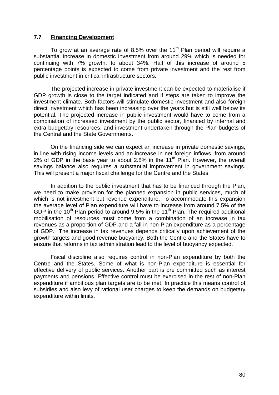### **7.7 Financing Development**

To grow at an average rate of 8.5% over the 11<sup>th</sup> Plan period will require a substantial increase in domestic investment from around 29% which is needed for continuing with 7% growth, to about 34%. Half of this increase of around 5 percentage points is expected to come from private investment and the rest from public investment in critical infrastructure sectors.

 The projected increase in private investment can be expected to materialise if GDP growth is close to the target indicated and if steps are taken to improve the investment climate. Both factors will stimulate domestic investment and also foreign direct investment which has been increasing over the years but is still well below its potential. The projected increase in public investment would have to come from a combination of increased investment by the public sector, financed by internal and extra budgetary resources, and investment undertaken through the Plan budgets of the Central and the State Governments.

 On the financing side we can expect an increase in private domestic savings, in line with rising income levels and an increase in net foreign inflows, from around 2% of GDP in the base year to about 2.8% in the 11<sup>th</sup> Plan. However, the overall savings balance also requires a substantial improvement in government savings. This will present a major fiscal challenge for the Centre and the States.

 In addition to the public investment that has to be financed through the Plan, we need to make provision for the planned expansion in public services, much of which is not investment but revenue expenditure. To accommodate this expansion the average level of Plan expenditure will have to increase from around 7.5% of the GDP in the 10<sup>th</sup> Plan period to around 9.5% in the 11<sup>th</sup> Plan. The required additional mobilisation of resources must come from a combination of an increase in tax revenues as a proportion of GDP and a fall in non-Plan expenditure as a percentage of GDP. The increase in tax revenues depends critically upon achievement of the growth targets and good revenue buoyancy. Both the Centre and the States have to ensure that reforms in tax administration lead to the level of buoyancy expected.

 Fiscal discipline also requires control in non-Plan expenditure by both the Centre and the States. Some of what is non-Plan expenditure is essential for effective delivery of public services. Another part is pre committed such as interest payments and pensions. Effective control must be exercised in the rest of non-Plan expenditure if ambitious plan targets are to be met. In practice this means control of subsidies and also levy of rational user charges to keep the demands on budgetary expenditure within limits.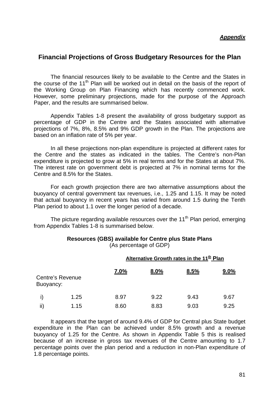## **Financial Projections of Gross Budgetary Resources for the Plan**

 The financial resources likely to be available to the Centre and the States in the course of the 11<sup>th</sup> Plan will be worked out in detail on the basis of the report of the Working Group on Plan Financing which has recently commenced work. However, some preliminary projections, made for the purpose of the Approach Paper, and the results are summarised below.

 Appendix Tables 1-8 present the availability of gross budgetary support as percentage of GDP in the Centre and the States associated with alternative projections of 7%, 8%, 8.5% and 9% GDP growth in the Plan. The projections are based on an inflation rate of 5% per year.

 In all these projections non-plan expenditure is projected at different rates for the Centre and the states as indicated in the tables. The Centre's non-Plan expenditure is projected to grow at 5% in real terms and for the States at about 7%. The interest rate on government debt is projected at 7% in nominal terms for the Centre and 8.5% for the States.

 For each growth projection there are two alternative assumptions about the buoyancy of central government tax revenues, i.e., 1.25 and 1.15. It may be noted that actual buoyancy in recent years has varied from around 1.5 during the Tenth Plan period to about 1.1 over the longer period of a decade.

The picture regarding available resources over the 11<sup>th</sup> Plan period, emerging from Appendix Tables 1-8 is summarised below.

### **Resources (GBS) available for Centre plus State Plans**  (As percentage of GDP)

|           |                  |      | Alternative Growth rates in the 11 <sup>th</sup> Plan |      |      |
|-----------|------------------|------|-------------------------------------------------------|------|------|
| Buoyancy: | Centre's Revenue | 7.0% | 8.0%                                                  | 8.5% | 9.0% |
|           | 1.25             | 8.97 | 9.22                                                  | 9.43 | 9.67 |
| ii)       | 1.15             | 8.60 | 8.83                                                  | 9.03 | 9.25 |

 It appears that the target of around 9.4% of GDP for Central plus State budget expenditure in the Plan can be achieved under 8.5% growth and a revenue buoyancy of 1.25 for the Centre. As shown in Appendix Table 5 this is realised because of an increase in gross tax revenues of the Centre amounting to 1.7 percentage points over the plan period and a reduction in non-Plan expenditure of 1.8 percentage points.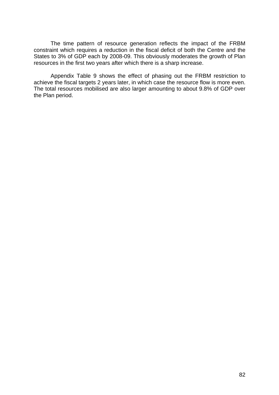The time pattern of resource generation reflects the impact of the FRBM constraint which requires a reduction in the fiscal deficit of both the Centre and the States to 3% of GDP each by 2008-09. This obviously moderates the growth of Plan resources in the first two years after which there is a sharp increase.

 Appendix Table 9 shows the effect of phasing out the FRBM restriction to achieve the fiscal targets 2 years later, in which case the resource flow is more even. The total resources mobilised are also larger amounting to about 9.8% of GDP over the Plan period.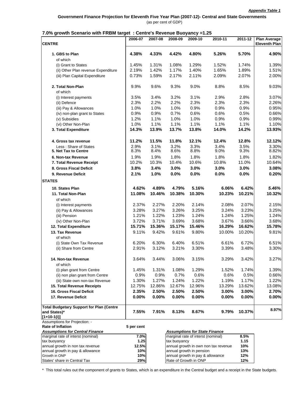|                                                                      | 2006-07      | 2007-08        | 2008-09      | 2009-10                              | 2010-11                              | 2011-12      | <b>Plan Average</b>  |
|----------------------------------------------------------------------|--------------|----------------|--------------|--------------------------------------|--------------------------------------|--------------|----------------------|
| <b>CENTRE</b>                                                        |              |                |              |                                      |                                      |              | <b>Eleventh Plan</b> |
| 1. GBS to Plan<br>of which                                           | 4.38%        | 4.33%          | 4.42%        | 4.80%                                | 5.26%                                | 5.70%        | 4.90%                |
| (i) Grant to States                                                  | 1.45%        | 1.31%          | 1.08%        | 1.29%                                | 1.52%                                | 1.74%        | 1.39%                |
| (ii) Other Plan revenue Expenditure                                  | 2.19%        | 1.42%          | 1.17%        | 1.40%                                | 1.65%                                | 1.89%        | 1.51%                |
| (iii) Plan Capital Expenditure                                       | 0.73%        | 1.59%          | 2.17%        | 2.11%                                | 2.09%                                | 2.07%        | 2.00%                |
| 2. Total Non-Plan                                                    | 9.9%         | 9.6%           | 9.3%         | 9.0%                                 | 8.8%                                 | 8.5%         | 9.03%                |
| of which                                                             |              |                |              |                                      |                                      |              |                      |
| (i) Interest payments                                                | 3.5%         | 3.4%           | 3.2%         | 3.1%                                 | 2.9%                                 | 2.8%         | 3.07%                |
| (ii) Defence                                                         | 2.3%         | 2.2%           | 2.2%         | 2.3%                                 | 2.3%                                 | 2.3%         | 2.26%                |
| (iii) Pay & Allowances                                               | 1.0%<br>0.9% | 1.0%<br>0.9%   | 1.0%<br>0.7% | 0.9%<br>0.6%                         | 0.9%<br>0.6%                         | 0.9%<br>0.5% | 0.95%<br>0.66%       |
| (iv) non-plan grant to States<br>(v) Subsidies                       | 1.2%         | 1.1%           | 1.0%         | 1.0%                                 | 0.9%                                 | 0.9%         | 0.99%                |
| (vi) Other Non-Plan                                                  | 1.0%         | 1.1%           | 1.1%         | 1.1%                                 | 1.1%                                 | 1.1%         | 1.10%                |
| 3. Total Expenditure                                                 | 14.3%        | 13.9%          | 13.7%        | 13.8%                                | 14.0%                                | 14.2%        | 13.93%               |
|                                                                      |              |                |              |                                      |                                      |              |                      |
| 4. Gross tax revenue                                                 | 11.2%        | 11.5%          | 11.8%        | 12.1%                                | 12.4%                                | 12.8%        | 12.12%               |
| Less: Share of States<br>5. Net Tax to Centre                        | 2.9%<br>8.3% | 3.1%<br>8.4%   | 3.2%<br>8.6% | 3.3%<br>8.8%                         | 3.4%<br>9.0%                         | 3.5%<br>9.3% | 3.30%<br>8.82%       |
| 6. Non-tax Revenue                                                   | 1.9%         | 1.9%           | 1.8%         | 1.8%                                 | 1.8%                                 | 1.8%         | 1.82%                |
| 7. Total Revenue Receipt                                             | 10.2%        | 10.3%          | 10.4%        | 10.6%                                | 10.8%                                | 11.0%        | 10.64%               |
| 8. Gross Fiscal Deficit                                              | 3.8%         | 3.4%           | 3.0%         | 3.0%                                 | 3.0%                                 | 3.0%         | 3.08%                |
| 9. Revenue Deficit                                                   | 2.1%         | 1.0%           | 0.0%         | 0.0%                                 | 0.0%                                 | 0.0%         | 0.20%                |
| <b>STATES</b>                                                        |              |                |              |                                      |                                      |              |                      |
| 10. States Plan                                                      | 4.62%        | 4.89%          | 4.79%        | 5.16%                                | 6.06%                                | 6.42%        | 5.46%                |
| 11. Total Non-Plan                                                   | 11.08%       | 10.46%         | 10.38%       | 10.30%                               | 10.23%                               | 10.21%       | 10.32%               |
| of which                                                             |              |                |              |                                      |                                      |              |                      |
| (i) Interest payments                                                | 2.37%        | 2.27%          | 2.20%        | 2.14%                                | 2.08%                                | 2.07%        | 2.15%                |
| (ii) Pay & Allowances                                                | 3.28%        | 3.27%          | 3.26%        | 3.25%                                | 3.24%                                | 3.23%        | 3.25%                |
| (iii) Pension                                                        | 1.21%        | 1.22%          | 1.23%        | 1.24%                                | 1.24%                                | 1.25%        | 1.24%                |
| (iv) Other Non-Plan                                                  | 3.72%        | 3.71%          | 3.69%        | 3.68%                                | 3.67%                                | 3.66%        | 3.68%                |
| 12. Total Expenditure                                                | 15.71%       | 15.36%         | 15.17%       | 15.46%                               | 16.29%                               | 16.62%       | 15.78%               |
| 13. Tax Revenue                                                      | 9.11%        | 9.42%          | 9.61%        | 9.80%                                | 10.00%                               | 10.20%       | 9.81%                |
| of which                                                             |              |                |              |                                      |                                      |              |                      |
| (i) State Own Tax Revenue                                            | 6.20%        | 6.30%          | 6.40%        | 6.51%                                | 6.61%                                | 6.72%        | 6.51%                |
| (ii) Share from Centre                                               | 2.91%        | 3.12%          | 3.21%        | 3.30%                                | 3.39%                                | 3.48%        | 3.30%                |
| 14. Non-tax Revenue                                                  | 3.64%        | 3.44%          | 3.06%        | 3.15%                                | 3.29%                                | 3.42%        | 3.27%                |
| of which                                                             |              |                |              |                                      |                                      |              |                      |
| (i) plan grant from Centre                                           | 1.45%        | 1.31%          | 1.08%        | 1.29%                                | 1.52%                                | 1.74%        | 1.39%                |
| (ii) non plan grant from Centre                                      | 0.9%         | 0.9%           | 0.7%         | 0.6%                                 | 0.6%                                 | 0.5%         | 0.66%                |
| (iii) State own non-tax Revenue                                      | 1.30%        | 1.27%          | 1.24%        | 1.22%                                | 1.19%                                | 1.17%        | 1.22%                |
| 15. Total Revenue Receipts                                           | 12.75%       | 12.86%         | 12.67%       | 12.96%                               | 13.29%                               | 13.62%       | 13.08%               |
| 16. Gross Fiscal Deficit                                             | 2.35%        | 2.50%<br>0.00% | 2.50%        | 2.50%                                | 3.00%                                | 3.00%        | 2.70%                |
| 17. Revenue Deficit                                                  | 0.00%        |                | 0.00%        | 0.00%                                | 0.00%                                | 0.00%        | 0.00%                |
| <b>Total Budgetary Support for Plan (Centre</b>                      |              |                |              |                                      |                                      |              | 8.97%                |
| and States)*<br>$[1+10-1(i)]$                                        | 7.55%        | 7.91%          | 8.13%        | 8.67%                                | 9.79%                                | 10.37%       |                      |
| Assumptions for Projection: -                                        |              |                |              |                                      |                                      |              |                      |
| <b>Rate of Inflation</b>                                             | 5 per cent   |                |              |                                      |                                      |              |                      |
| <b>Assumptions for Central Finance</b>                               |              |                |              | <b>Assumptions for State Finance</b> |                                      |              |                      |
| marginal rate of interst (nominal)                                   | 7.0%         |                |              | marginal rate of interst (nominal)   |                                      | 8.5%         |                      |
| tax buoyancy                                                         | 1.25         |                | tax buoyancy |                                      |                                      | 1.15         |                      |
| annual growth in non tax revenue<br>annual growth in pay & allowance | 12.5%<br>10% |                |              | annual growth in pension             | annual growth in own non tax revenue | 10%<br>13%   |                      |
| Growth in ONP                                                        | 10%          |                |              | annual growth in pay & allowance     |                                      | 12%          |                      |
| States' share in Central Tax                                         | 29%          |                |              | Rate of Growth in ONP                |                                      | 12%          |                      |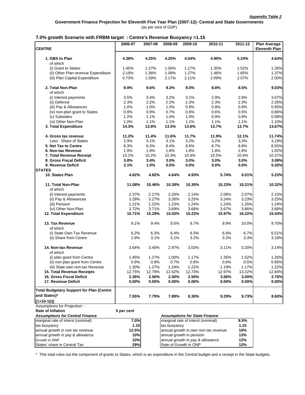|                                                 | 2006-07    | 2007-08  | 2008-09      | 2009-10                              | 2010-11                              | 2011-12  | <b>Plan Average</b>  |
|-------------------------------------------------|------------|----------|--------------|--------------------------------------|--------------------------------------|----------|----------------------|
| <b>CENTRE</b>                                   |            |          |              |                                      |                                      |          | <b>Eleventh Plan</b> |
| 1. GBS to Plan                                  | 4.38%      | 4.25%    | 4.25%        | 4.54%                                | 4.90%                                | 5.24%    | 4.64%                |
| of which                                        |            |          |              |                                      |                                      |          |                      |
| (i) Grant to States                             | 1.45%      | 1.27%    | 1.00%        | 1.17%                                | 1.35%                                | 1.52%    | 1.26%                |
| (ii) Other Plan revenue Expenditure             | 2.19%      | 1.38%    | 1.08%        | 1.27%                                | 1.46%                                | 1.65%    | 1.37%                |
| (iii) Plan Capital Expenditure                  | 0.73%      | 1.59%    | 2.17%        | 2.11%                                | 2.09%                                | 2.07%    | 2.00%                |
| 2. Total Non-Plan<br>of which                   | 9.9%       | 9.6%     | 9.3%         | 9.0%                                 | 8.8%                                 | 8.5%     | 9.03%                |
| (i) Interest payments                           | 3.5%       | 3.4%     | 3.2%         | 3.1%                                 | 2.9%                                 | 2.8%     | 3.07%                |
| (ii) Defence                                    | 2.3%       | 2.2%     | 2.2%         | 2.3%                                 | 2.3%                                 | 2.3%     | 2.26%                |
| (iii) Pay & Allowances                          | 1.0%       | 1.0%     | 1.0%         | 0.9%                                 | 0.9%                                 | 0.9%     | 0.95%                |
| (iv) non-plan grant to States                   | 0.9%       | 0.9%     | 0.7%         | 0.6%                                 | 0.6%                                 | 0.5%     | 0.66%                |
| (v) Subsidies                                   | 1.2%       | 1.1%     | 1.0%         | 1.0%                                 | 0.9%                                 | 0.9%     | 0.99%                |
| (vi) Other Non-Plan                             | 1.0%       | 1.1%     | 1.1%         | 1.1%                                 | 1.1%                                 | 1.1%     | 1.10%                |
| 3. Total Expenditure                            | 14.3%      | 13.8%    | 13.5%        | 13.6%                                | 13.7%                                | 13.7%    | 13.67%               |
|                                                 |            |          |              |                                      |                                      |          |                      |
| 4. Gross tax revenue                            | 11.2%      | 11.4%    | 11.6%        | 11.7%                                | 11.9%                                | 12.1%    | 11.74%               |
| Less: Share of States                           | 2.9%       | 3.1%     | 3.1%         | 3.2%                                 | 3.2%                                 | 3.3%     | 3.19%                |
| 5. Net Tax to Centre                            | 8.3%       | 8.3%     | 8.4%         | 8.6%                                 | 8.7%                                 | 8.8%     | 8.55%                |
| 6. Non-tax Revenue                              | 1.9%       | 1.9%     | 1.8%         | 1.8%                                 | 1.8%                                 | 1.8%     | 1.82%                |
| 7. Total Revenue Receipt                        | 10.2%      | 10.2%    | 10.3%        | 10.4%                                | 10.5%                                | 10.6%    | 10.37%               |
| 8. Gross Fiscal Deficit                         | 3.8%       | 3.4%     | 3.0%         | 3.0%                                 | 3.0%                                 | 3.0%     | 3.08%                |
| 9. Revenue Deficit                              | 2.1%       | 1.0%     | 0.0%         | 0.0%                                 | 0.0%                                 | 0.0%     | 0.20%                |
| <b>STATES</b>                                   |            |          |              |                                      |                                      |          |                      |
| 10. States Plan                                 | 4.62%      | 4.82%    | 4.64%        | 4.93%                                | 5.74%                                | 6.01%    | 5.23%                |
| 11. Total Non-Plan<br>of which                  | 11.08%     | 10.46%   | 10.38%       | 10.30%                               | 10.23%                               | 10.21%   | 10.32%               |
| (i) Interest payments                           | 2.37%      | 2.27%    | 2.20%        | 2.14%                                | 2.08%                                | 2.07%    | 2.15%                |
| (ii) Pay & Allowances                           | 3.28%      | 3.27%    | 3.26%        | 3.25%                                | 3.24%                                | 3.23%    | 3.25%                |
| (iii) Pension                                   | 1.21%      | 1.22%    | 1.23%        | 1.24%                                | 1.24%                                | 1.25%    | 1.24%                |
| (iv) Other Non-Plan                             | 3.72%      | 3.71%    | 3.69%        | 3.68%                                | 3.67%                                | 3.66%    | 3.68%                |
|                                                 |            |          |              |                                      |                                      |          |                      |
| 12. Total Expenditure                           | 15.71%     | 15.29%   | 15.02%       | 15.23%                               | 15.97%                               | 16.22%   | 15.54%               |
| 13. Tax Revenue<br>of which                     | 9.1%       | 9.4%     | 9.5%         | 9.7%                                 | 9.9%                                 | 10.0%    | 9.70%                |
| (i) State Own Tax Revenue                       | 6.2%       | 6.3%     | 6.4%         | 6.5%                                 | 6.6%                                 | 6.7%     | 6.51%                |
| (ii) Share from Centre                          | 2.9%       | 3.1%     | 3.1%         | 3.2%                                 | 3.2%                                 | 3.3%     | 3.19%                |
| 14. Non-tax Revenue<br>of which                 | 3.64%      | 3.40%    | 2.97%        | 3.03%                                | 3.11%                                | 3.20%    | 3.14%                |
| (i) plan grant from Centre                      | 1.45%      | 1.27%    | 1.00%        | 1.17%                                | 1.35%                                | 1.52%    | 1.26%                |
| (ii) non plan grant from Centre                 | 0.9%       | 0.9%     | 0.7%         | 0.6%                                 | 0.6%                                 | 0.5%     | 0.66%                |
| (iii) State own non-tax Revenue                 | 1.30%      | 1.27%    | 1.24%        | 1.22%                                | 1.19%                                | 1.17%    | 1.22%                |
| 15. Total Revenue Receipts                      | 12.75%     | 12.79%   | 12.52%       | 12.73%                               | 12.97%                               | 13.22%   | 12.84%               |
| <b>16. Gross Fiscal Deficit</b>                 | 2.35%      | 2.50%    | 2.50%        | 2.50%                                | 3.00%                                | 3.00%    | 2.70%                |
| 17. Revenue Deficit                             | $0.00\%$   | $0.00\%$ | $0.00\%$     | $0.00\%$                             | $0.00\%$                             | $0.00\%$ | 0.00%                |
| <b>Total Budgetary Support for Plan (Centre</b> |            |          |              |                                      |                                      |          |                      |
| and States)*                                    | 7.55%      | 7.79%    | 7.89%        | 8.30%                                | 9.29%                                | 9.73%    | 8.60%                |
| $[1+10-1(i)]$                                   |            |          |              |                                      |                                      |          |                      |
| Assumptions for Projection: -                   |            |          |              |                                      |                                      |          |                      |
| <b>Rate of Inflation</b>                        | 5 per cent |          |              |                                      |                                      |          |                      |
| <b>Assumptions for Central Finance</b>          |            |          |              | <b>Assumptions for State Finance</b> |                                      |          |                      |
| marginal rate of interst (nominal)              | 7.0%       |          |              | marginal rate of interst (nominal)   |                                      | 8.5%     |                      |
| tax buoyancy                                    | 1.15       |          | tax buoyancy |                                      |                                      | 1.15     |                      |
| annual growth in non tax revenue                | 12.5%      |          |              |                                      | annual growth in own non tax revenue | 10%      |                      |
| annual growth in pay & allowance                | 10%        |          |              | annual growth in pension             |                                      | 13%      |                      |
| Growth in ONP                                   |            |          |              |                                      |                                      |          |                      |
|                                                 | 10%        |          |              | annual growth in pay & allowance     |                                      | 12%      |                      |
| States' share in Central Tax                    | 29%        |          |              | Rate of Growth in ONP                |                                      | 12%      |                      |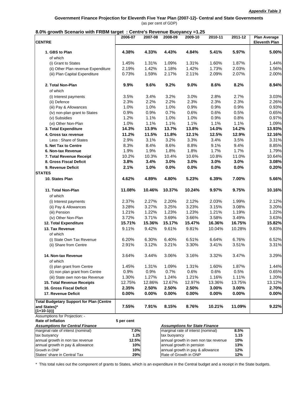**Government Finance Projection for Eleventh Five Year Plan (2007-12)- Central and State Governments** (as per cent of GDP)

### **8.0% growth Scenario with FRBM target : Centre's Revenue Buoyancy =1.25**

| <b>CENTRE</b>                                                                | 2006-07    | 2007-08 | 2008-09      | 2009-10                                                                    | 2010-11                              | 2011-12  | <b>Plan Average</b><br><b>Eleventh Plan</b> |
|------------------------------------------------------------------------------|------------|---------|--------------|----------------------------------------------------------------------------|--------------------------------------|----------|---------------------------------------------|
| 1. GBS to Plan<br>of which                                                   | 4.38%      | 4.33%   | 4.43%        | 4.84%                                                                      | 5.41%                                | 5.97%    | 5.00%                                       |
| (i) Grant to States                                                          | 1.45%      | 1.31%   | 1.09%        | 1.31%                                                                      | 1.60%                                | 1.87%    | 1.44%                                       |
| (ii) Other Plan revenue Expenditure                                          | 2.19%      | 1.42%   | 1.18%        | 1.42%                                                                      | 1.73%                                | 2.03%    | 1.56%                                       |
| (iii) Plan Capital Expenditure                                               | 0.73%      | 1.59%   | 2.17%        | 2.11%                                                                      | 2.09%                                | 2.07%    | 2.00%                                       |
| 2. Total Non-Plan<br>of which                                                | 9.9%       | 9.6%    | 9.2%         | 9.0%                                                                       | 8.6%                                 | 8.2%     | 8.94%                                       |
| (i) Interest payments                                                        | 3.5%       | 3.4%    | 3.2%         | 3.0%                                                                       | 2.8%                                 | 2.7%     | 3.03%                                       |
| (ii) Defence                                                                 | 2.3%       | 2.2%    | 2.2%         | 2.3%                                                                       | 2.3%                                 | 2.3%     | 2.26%                                       |
| (iii) Pay & Allowances                                                       | 1.0%       | 1.0%    | 1.0%         | 0.9%                                                                       | 0.9%                                 | 0.9%     | 0.93%                                       |
| (iv) non-plan grant to States                                                | 0.9%       | 0.9%    | 0.7%         | 0.6%                                                                       | 0.6%                                 | 0.5%     | 0.65%                                       |
| (v) Subsidies                                                                | 1.2%       | 1.1%    | 1.0%         | 1.0%                                                                       | 0.9%                                 | 0.8%     | 0.97%                                       |
| (vi) Other Non-Plan                                                          | 1.0%       | 1.1%    | 1.1%         | 1.1%                                                                       | 1.1%                                 | 1.1%     | 1.09%                                       |
| 3. Total Expenditure                                                         | 14.3%      | 13.9%   | 13.7%        | 13.8%                                                                      | 14.0%                                | 14.2%    | 13.93%                                      |
| 4. Gross tax revenue                                                         | 11.2%      | 11.5%   | 11.8%        | 12.1%                                                                      | 12.5%                                | 12.9%    | 12.16%                                      |
| Less: Share of States                                                        | 2.9%       | 3.1%    | 3.2%         | 3.3%                                                                       | 3.4%                                 | 3.5%     | 3.31%                                       |
| 5. Net Tax to Centre                                                         | 8.3%       | 8.4%    | 8.6%         | 8.8%                                                                       | 9.1%                                 | 9.4%     | 8.85%                                       |
| 6. Non-tax Revenue                                                           | 1.9%       | 1.9%    | 1.8%         | 1.8%                                                                       | 1.7%                                 | 1.7%     | 1.79%                                       |
| 7. Total Revenue Receipt                                                     | 10.2%      | 10.3%   | 10.4%        | 10.6%                                                                      | 10.8%                                | 11.0%    | 10.64%                                      |
| 8. Gross Fiscal Deficit                                                      | 3.8%       | 3.4%    | 3.0%         | 3.0%                                                                       | 3.0%                                 | 3.0%     | 3.08%                                       |
| 9. Revenue Deficit                                                           | 2.1%       | 1.0%    | 0.0%         | 0.0%                                                                       | 0.0%                                 | 0.0%     | 0.20%                                       |
| <b>STATES</b>                                                                |            |         |              |                                                                            |                                      |          |                                             |
| 10. States Plan                                                              | 4.62%      | 4.89%   | 4.80%        | 5.23%                                                                      | 6.39%                                | 7.00%    | 5.66%                                       |
| 11. Total Non-Plan<br>of which                                               | 11.08%     | 10.46%  | 10.37%       | 10.24%                                                                     | 9.97%                                | 9.75%    | 10.16%                                      |
| (i) Interest payments                                                        | 2.37%      | 2.27%   | 2.20%        | 2.12%                                                                      | 2.03%                                | 1.99%    | 2.12%                                       |
| (ii) Pay & Allowances                                                        | 3.28%      | 3.27%   | 3.25%        | 3.23%                                                                      | 3.15%                                | 3.08%    | 3.20%                                       |
| (iii) Pension                                                                | 1.21%      | 1.22%   | 1.23%        | 1.23%                                                                      | 1.21%                                | 1.19%    | 1.22%                                       |
| (iv) Other Non-Plan                                                          | 3.72%      | 3.71%   | 3.69%        | 3.66%                                                                      | 3.58%                                | 3.49%    | 3.63%                                       |
| 12. Total Expenditure                                                        | 15.71%     | 15.36%  | 15.17%       | 15.47%                                                                     | 16.36%                               | 16.75%   | 15.82%                                      |
| 13. Tax Revenue<br>of which                                                  | 9.11%      | 9.42%   | 9.61%        | 9.81%                                                                      | 10.04%                               | 10.28%   | 9.83%                                       |
| (i) State Own Tax Revenue                                                    | 6.20%      | 6.30%   | 6.40%        | 6.51%                                                                      | 6.64%                                | 6.76%    | 6.52%                                       |
| (ii) Share from Centre                                                       | 2.91%      | 3.12%   | 3.21%        | 3.30%                                                                      | 3.41%                                | 3.51%    | 3.31%                                       |
| 14. Non-tax Revenue<br>of which                                              | 3.64%      | 3.44%   | 3.06%        | 3.16%                                                                      | 3.32%                                | 3.47%    | 3.29%                                       |
| (i) plan grant from Centre                                                   | 1.45%      | 1.31%   | 1.09%        | 1.31%                                                                      | 1.60%                                | 1.87%    | 1.44%                                       |
| (ii) non plan grant from Centre                                              | 0.9%       | 0.9%    | 0.7%         | 0.6%                                                                       | 0.6%                                 | 0.5%     | 0.65%                                       |
| (iii) State own non-tax Revenue                                              | 1.30%      | 1.27%   | 1.24%        | 1.21%                                                                      | 1.16%                                | 1.11%    | 1.20%                                       |
| 15. Total Revenue Receipts                                                   | 12.75%     | 12.86%  | 12.67%       | 12.97%                                                                     | 13.36%                               | 13.75%   | 13.12%                                      |
| 16. Gross Fiscal Deficit                                                     | 2.35%      | 2.50%   | 2.50%        | 2.50%                                                                      | 3.00%                                | 3.00%    | 2.70%                                       |
| 17. Revenue Deficit                                                          | 0.00%      | 0.00%   | $0.00\%$     | 0.00%                                                                      | $0.00\%$                             | $0.00\%$ | $0.00\%$                                    |
| <b>Total Budgetary Support for Plan (Centre</b>                              |            |         |              |                                                                            |                                      |          |                                             |
| and States)*<br>[1+10-1(i)]                                                  | 7.55%      | 7.91%   | 8.15%        | 8.76%                                                                      | 10.21%                               | 11.09%   | 9.22%                                       |
| Assumptions for Projection: -                                                |            |         |              |                                                                            |                                      |          |                                             |
| <b>Rate of Inflation</b>                                                     | 5 per cent |         |              |                                                                            |                                      |          |                                             |
| <b>Assumptions for Central Finance</b><br>marginal rate of interst (nominal) | 7.0%       |         |              | <b>Assumptions for State Finance</b><br>marginal rate of interst (nominal) |                                      | 8.5%     |                                             |
| tax buoyancy                                                                 | 1.25       |         | tax buoyancy |                                                                            |                                      | 1.15     |                                             |
| annual growth in non tax revenue                                             | 12.5%      |         |              |                                                                            | annual growth in own non tax revenue | 10%      |                                             |
| annual growth in pay & allowance                                             | 10%        |         |              | annual growth in pension                                                   |                                      | 13%      |                                             |
| Growth in ONP                                                                | 10%        |         |              | annual growth in pay & allowance                                           |                                      | 12%      |                                             |
| States' share in Central Tax                                                 | 29%        |         |              | Rate of Growth in ONP                                                      |                                      | 12%      |                                             |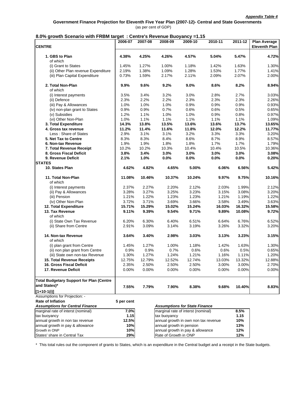| own occurrito with I Kom target. Ochtre 3 Revenue Duoyancy – 1.15            |            |         |                          |                                      |         |         |                                             |
|------------------------------------------------------------------------------|------------|---------|--------------------------|--------------------------------------|---------|---------|---------------------------------------------|
| <b>CENTRE</b>                                                                | 2006-07    | 2007-08 | 2008-09                  | 2009-10                              | 2010-11 | 2011-12 | <b>Plan Average</b><br><b>Eleventh Plan</b> |
| 1. GBS to Plan<br>of which                                                   | 4.38%      | 4.25%   | 4.26%                    | 4.57%                                | 5.04%   | 5.47%   | 4.72%                                       |
| (i) Grant to States                                                          | 1.45%      | 1.27%   | 1.00%                    | 1.18%                                | 1.42%   | 1.63%   | 1.30%                                       |
| (ii) Other Plan revenue Expenditure                                          | 2.19%      | 1.38%   | 1.09%                    | 1.28%                                | 1.53%   | 1.77%   | 1.41%                                       |
| (iii) Plan Capital Expenditure                                               | 0.73%      | 1.59%   | 2.17%                    | 2.11%                                | 2.09%   | 2.07%   | 2.00%                                       |
| 2. Total Non-Plan<br>of which                                                | 9.9%       | 9.6%    | 9.2%                     | 9.0%                                 | 8.6%    | 8.2%    | 8.94%                                       |
| (i) Interest payments                                                        | 3.5%       | 3.4%    | 3.2%                     | 3.0%                                 | 2.8%    | 2.7%    | 3.03%                                       |
| (ii) Defence                                                                 | 2.3%       | 2.2%    | 2.2%                     | 2.3%                                 | 2.3%    | 2.3%    | 2.26%                                       |
| (iii) Pay & Allowances                                                       | 1.0%       | 1.0%    | 1.0%                     | 0.9%                                 | 0.9%    | 0.9%    | 0.93%                                       |
| (iv) non-plan grant to States                                                | 0.9%       | 0.9%    | 0.7%                     | 0.6%                                 | 0.6%    | 0.5%    | 0.65%                                       |
| (v) Subsidies                                                                | 1.2%       | 1.1%    | 1.0%                     | 1.0%                                 | 0.9%    | 0.8%    | 0.97%                                       |
| (vi) Other Non-Plan                                                          | 1.0%       | 1.1%    | 1.1%                     | 1.1%                                 | 1.1%    | 1.1%    | 1.09%                                       |
| 3. Total Expenditure                                                         | 14.3%      | 13.8%   | 13.5%                    | 13.6%                                | 13.6%   | 13.7%   | 13.65%                                      |
| 4. Gross tax revenue                                                         | 11.2%      | 11.4%   | 11.6%                    | 11.8%                                | 12.0%   | 12.2%   | 11.77%                                      |
| Less: Share of States                                                        | 2.9%       | 3.1%    | 3.1%                     | 3.2%                                 | 3.3%    | 3.3%    | 3.20%                                       |
| 5. Net Tax to Centre                                                         | 8.3%       | 8.3%    | 8.4%                     | 8.6%                                 | 8.7%    | 8.9%    | 8.57%                                       |
| 6. Non-tax Revenue                                                           | 1.9%       | 1.9%    | 1.8%                     | 1.8%                                 | 1.7%    | 1.7%    | 1.79%                                       |
| 7. Total Revenue Receipt                                                     | 10.2%      | 10.2%   | 10.3%                    | 10.4%                                | 10.4%   | 10.5%   | 10.36%                                      |
| 8. Gross Fiscal Deficit                                                      | 3.8%       | 3.4%    | 3.0%                     | 3.0%                                 | 3.0%    | 3.0%    | 3.08%                                       |
| 9. Revenue Deficit                                                           | 2.1%       | 1.0%    | 0.0%                     | 0.0%                                 | 0.0%    | 0.0%    | 0.20%                                       |
| <b>STATES</b>                                                                |            |         |                          |                                      |         |         |                                             |
| 10. States Plan                                                              | 4.62%      | 4.82%   | 4.65%                    | 5.00%                                | 6.06%   | 6.56%   | 5.42%                                       |
| 11. Total Non-Plan<br>of which                                               | 11.08%     | 10.46%  | 10.37%                   | 10.24%                               | 9.97%   | 9.75%   | 10.16%                                      |
| (i) Interest payments                                                        | 2.37%      | 2.27%   | 2.20%                    | 2.12%                                | 2.03%   | 1.99%   | 2.12%                                       |
| (ii) Pay & Allowances                                                        | 3.28%      | 3.27%   | 3.25%                    | 3.23%                                | 3.15%   | 3.08%   | 3.20%                                       |
| (iii) Pension                                                                | 1.21%      | 1.22%   | 1.23%                    | 1.23%                                | 1.21%   | 1.19%   | 1.22%                                       |
| (iv) Other Non-Plan                                                          | 3.72%      | 3.71%   | 3.69%                    | 3.66%                                | 3.58%   | 3.49%   | 3.63%                                       |
| 12. Total Expenditure                                                        | 15.71%     | 15.29%  | 15.02%                   | 15.24%                               | 16.03%  | 16.32%  | 15.58%                                      |
| 13. Tax Revenue                                                              | 9.11%      | 9.39%   | 9.54%                    | 9.71%                                | 9.89%   | 10.08%  | 9.72%                                       |
| of which                                                                     |            |         |                          |                                      |         |         |                                             |
| (i) State Own Tax Revenue                                                    | 6.20%      | 6.30%   | 6.40%                    | 6.51%                                | 6.64%   | 6.76%   | 6.52%                                       |
| (ii) Share from Centre                                                       | 2.91%      | 3.09%   | 3.14%                    | 3.19%                                | 3.26%   | 3.32%   | 3.20%                                       |
| 14. Non-tax Revenue<br>of which                                              | 3.64%      | 3.40%   | 2.98%                    | 3.03%                                | 3.13%   | 3.23%   | 3.15%                                       |
| (i) plan grant from Centre                                                   | 1.45%      | 1.27%   | 1.00%                    | 1.18%                                | 1.42%   | 1.63%   | 1.30%                                       |
| (ii) non plan grant from Centre                                              | 0.9%       | 0.9%    | 0.7%                     | 0.6%                                 | 0.6%    | 0.5%    | 0.65%                                       |
| (iii) State own non-tax Revenue                                              | 1.30%      | 1.27%   | 1.24%                    | 1.21%                                | 1.16%   | 1.11%   | 1.20%                                       |
| 15. Total Revenue Receipts                                                   | 12.75%     | 12.79%  | 12.52%                   | 12.74%                               | 13.03%  | 13.32%  | 12.88%                                      |
| 16. Gross Fiscal Deficit                                                     | 2.35%      | 2.50%   | 2.50%                    | 2.50%                                | 3.00%   | 3.00%   | 2.70%                                       |
| 17. Revenue Deficit                                                          | 0.00%      | 0.00%   | 0.00%                    | 0.00%                                | 0.00%   | 0.00%   | 0.00%                                       |
| <b>Total Budgetary Support for Plan (Centre</b>                              |            |         |                          |                                      |         |         |                                             |
| and States)*                                                                 | 7.55%      | 7.79%   | 7.90%                    | 8.38%                                | 9.68%   | 10.40%  | 8.83%                                       |
| $[1+10-1(i)]$                                                                |            |         |                          |                                      |         |         |                                             |
| Assumptions for Projection: -                                                |            |         |                          |                                      |         |         |                                             |
| <b>Rate of Inflation</b>                                                     |            |         |                          |                                      |         |         |                                             |
|                                                                              | 5 per cent |         |                          | <b>Assumptions for State Finance</b> |         |         |                                             |
| <b>Assumptions for Central Finance</b><br>marginal rate of interst (nominal) | 7.0%       |         |                          |                                      |         | 8.5%    |                                             |
|                                                                              |            |         |                          | marginal rate of interst (nominal)   |         |         |                                             |
| tax buoyancy                                                                 | 1.15       |         | tax buoyancy             |                                      |         | 1.15    |                                             |
| annual growth in non tax revenue                                             | 12.5%      |         |                          | annual growth in own non tax revenue |         | 10%     |                                             |
| annual growth in pay & allowance                                             | 10%        |         | annual growth in pension |                                      |         | 13%     |                                             |
| Growth in ONP                                                                | 10%        |         |                          | annual growth in pay & allowance     |         | 12%     |                                             |
| States' share in Central Tax                                                 | 29%        |         | Rate of Growth in ONP    |                                      |         | 12%     |                                             |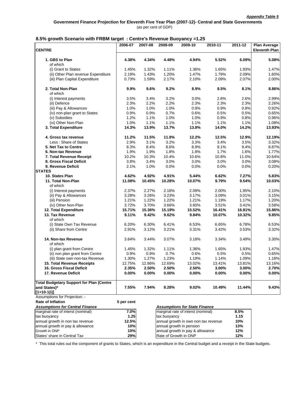|                                                               | 2006-07        | 2007-08       | 2008-09               | 2009-10                              | 2010-11        | 2011-12         | <b>Plan Average</b>  |
|---------------------------------------------------------------|----------------|---------------|-----------------------|--------------------------------------|----------------|-----------------|----------------------|
| <b>CENTRE</b>                                                 |                |               |                       |                                      |                |                 | <b>Eleventh Plan</b> |
| 1. GBS to Plan<br>of which                                    | 4.38%          | 4.34%         | 4.48%                 | 4.94%                                | 5.52%          | 6.09%           | 5.08%                |
| (i) Grant to States                                           | 1.45%          | 1.32%         | 1.11%                 | 1.36%                                | 1.65%          | 1.93%           | 1.47%                |
| (ii) Other Plan revenue Expenditure                           | 2.19%          | 1.43%         | 1.20%                 | 1.47%                                | 1.79%          | 2.09%           | 1.60%                |
| (iii) Plan Capital Expenditure                                | 0.73%          | 1.59%         | 2.17%                 | 2.10%                                | 2.09%          | 2.07%           | 2.00%                |
| 2. Total Non-Plan                                             | 9.9%           | 9.6%          | 9.2%                  | 8.9%                                 | 8.5%           | 8.1%            | 8.86%                |
| of which                                                      |                |               |                       |                                      |                |                 |                      |
| (i) Interest payments                                         | 3.5%           | 3.4%          | 3.2%                  | 3.0%                                 | 2.8%           | 2.6%            | 2.99%                |
| (ii) Defence                                                  | 2.3%           | 2.2%          | 2.2%                  | 2.3%                                 | 2.3%           | 2.3%            | 2.26%                |
| (iii) Pay & Allowances                                        | 1.0%           | 1.0%          | 1.0%                  | 0.9%                                 | 0.9%           | 0.8%            | 0.92%                |
| (iv) non-plan grant to States                                 | 0.9%           | 0.9%          | 0.7%                  | 0.6%                                 | 0.5%           | 0.5%            | 0.65%                |
| (v) Subsidies                                                 | 1.2%           | 1.1%          | 1.0%                  | 1.0%                                 | 0.9%           | 0.8%            | 0.96%                |
| (vi) Other Non-Plan                                           | 1.0%           | 1.1%          | 1.1%                  | 1.1%                                 | 1.1%           | 1.1%            | 1.08%                |
| 3. Total Expenditure                                          | 14.3%          | 13.9%         | 13.7%                 | 13.8%                                | 14.0%          | 14.2%           | 13.93%               |
| 4. Gross tax revenue                                          | 11.2%          | 11.5%         | 11.8%                 | 12.2%                                | 12.5%          | 12.9%           | 12.19%               |
| Less: Share of States                                         | 2.9%           | 3.1%          | 3.2%                  | 3.3%                                 | 3.4%           | 3.5%            | 3.32%                |
| 5. Net Tax to Centre                                          | 8.3%           | 8.4%          | 8.6%                  | 8.9%                                 | 9.1%           | 9.4%            | 8.87%                |
| 6. Non-tax Revenue                                            | 1.9%           | 1.9%          | 1.8%                  | 1.8%                                 | 1.7%           | 1.6%            | 1.77%                |
| 7. Total Revenue Receipt                                      | 10.2%          | 10.3%         | 10.4%                 | 10.6%                                | 10.8%          | 11.0%           | 10.64%               |
| 8. Gross Fiscal Deficit                                       | 3.8%           | 3.4%          | 3.0%                  | 3.0%                                 | 3.0%           | 3.0%            | 3.08%                |
| 9. Revenue Deficit                                            | 2.1%           | 1.0%          | 0.0%                  | 0.0%                                 | 0.0%           | 0.0%            | 0.20%                |
| <b>STATES</b>                                                 |                |               |                       |                                      |                |                 |                      |
| 10. States Plan                                               | 4.62%          | 4.92%         | 4.91%                 | 5.44%                                | 6.62%          | 7.27%           | 5.83%                |
| 11. Total Non-Plan                                            | 11.08%         | 10.45%        | 10.28%                | 10.07%                               | 9.79%          | 9.54%           | 10.03%               |
| of which                                                      |                |               |                       |                                      |                |                 |                      |
| (i) Interest payments                                         | 2.37%          | 2.27%         | 2.18%                 | 2.09%                                | 2.00%          | 1.95%           | 2.10%                |
| (ii) Pay & Allowances                                         | 3.28%          | 3.26%         | 3.23%                 | 3.17%                                | 3.09%          | 3.01%           | 3.15%                |
| (iii) Pension                                                 | 1.21%          | 1.22%         | 1.22%                 | 1.21%                                | 1.19%          | 1.17%           | 1.20%                |
| (iv) Other Non-Plan                                           | 3.72%          | 3.70%         | 3.66%                 | 3.60%                                | 3.51%          | 3.41%           | 3.58%                |
| 12. Total Expenditure                                         | 15.71%         | 15.36%        | 15.19%                | 15.52%                               | 16.41%         | 16.81%          | 15.86%               |
| 13. Tax Revenue                                               | 9.11%          | 9.42%         | 9.62%                 | 9.84%                                | 10.07%         | 10.32%          | 9.85%                |
| of which                                                      |                |               |                       |                                      |                |                 |                      |
| (i) State Own Tax Revenue                                     | 6.20%          | 6.30%         | 6.41%                 | 6.53%                                | 6.65%          | 6.78%           | 6.53%                |
| (ii) Share from Centre                                        | 2.91%          | 3.12%         | 3.21%                 | 3.31%                                | 3.42%          | 3.53%           | 3.32%                |
|                                                               |                |               |                       |                                      |                |                 |                      |
| 14. Non-tax Revenue                                           | 3.64%          | 3.44%         | 3.07%                 | 3.18%                                | 3.34%          | 3.49%           | 3.30%                |
| of which                                                      |                |               |                       |                                      |                |                 |                      |
| (i) plan grant from Centre<br>(ii) non plan grant from Centre | 1.45%<br>0.9%  | 1.32%<br>0.9% | 1.11%<br>0.7%         | 1.36%<br>0.6%                        | 1.65%<br>0.5%  | 1.93%<br>0.5%   | 1.47%<br>0.65%       |
| (iii) State own non-tax Revenue                               | 1.30%          | 1.27%         | 1.23%                 | 1.19%                                | 1.14%          | 1.09%           | 1.18%                |
| <b>15. Total Revenue Receipts</b>                             | 12.75%         | 12.86%        | 12.69%                | 13.02%                               | 13.41%         |                 | 13.16%               |
| 16. Gross Fiscal Deficit                                      |                | 2.50%         |                       | 2.50%                                |                | 13.81%<br>3.00% |                      |
| 17. Revenue Deficit                                           | 2.35%<br>0.00% | 0.00%         | 2.50%<br>0.00%        | 0.00%                                | 3.00%<br>0.00% | $0.00\%$        | 2.70%<br>0.00%       |
| <b>Total Budgetary Support for Plan (Centre</b>               |                |               |                       |                                      |                |                 |                      |
| and States)*                                                  | 7.55%          | 7.94%         | 8.28%                 | 9.02%                                | 10.49%         | 11.44%          | 9.43%                |
| [1+10-1(i)]                                                   |                |               |                       |                                      |                |                 |                      |
| Assumptions for Projection: -                                 |                |               |                       |                                      |                |                 |                      |
| <b>Rate of Inflation</b>                                      | 5 per cent     |               |                       |                                      |                |                 |                      |
| <b>Assumptions for Central Finance</b>                        |                |               |                       | <b>Assumptions for State Finance</b> |                |                 |                      |
| marginal rate of interst (nominal)                            | 7.0%           |               |                       | marginal rate of interst (nominal)   |                | 8.5%            |                      |
| tax buoyancy                                                  | 1.25           |               | tax buoyancy          |                                      |                | 1.15            |                      |
| annual growth in non tax revenue                              | 12.5%          |               |                       | annual growth in own non tax revenue |                | 10%             |                      |
| annual growth in pay & allowance                              | 10%            |               |                       | annual growth in pension             |                | 13%             |                      |
| Growth in ONP                                                 | 10%            |               |                       | annual growth in pay & allowance     |                | 12%             |                      |
| States' share in Central Tax                                  | 29%            |               | Rate of Growth in ONP |                                      |                | 12%             |                      |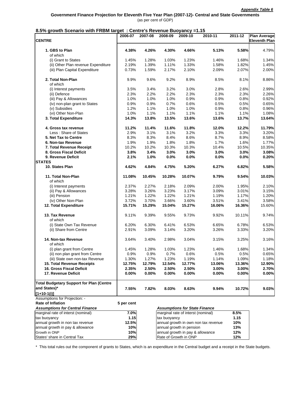| <b>CENTRE</b><br><b>Eleventh Plan</b><br>1. GBS to Plan<br>4.30%<br>4.66%<br>5.13%<br>5.58%<br>4.79%<br>4.38%<br>4.26%<br>of which<br>(i) Grant to States<br>1.45%<br>1.28%<br>1.03%<br>1.23%<br>1.46%<br>1.68%<br>1.34%<br>(ii) Other Plan revenue Expenditure<br>1.33%<br>1.82%<br>2.19%<br>1.39%<br>1.11%<br>1.58%<br>1.45%<br>(iii) Plan Capital Expenditure<br>0.73%<br>1.59%<br>2.17%<br>2.10%<br>2.09%<br>2.07%<br>2.00%<br>2. Total Non-Plan<br>9.6%<br>9.2%<br>8.9%<br>8.5%<br>8.1%<br>8.86%<br>9.9%<br>of which<br>3.4%<br>3.2%<br>3.0%<br>2.8%<br>2.6%<br>2.99%<br>3.5%<br>(i) Interest payments<br>2.3%<br>2.3%<br>2.2%<br>2.2%<br>2.3%<br>2.3%<br>2.26%<br>(ii) Defence<br>(iii) Pay & Allowances<br>1.0%<br>1.0%<br>1.0%<br>0.9%<br>0.9%<br>0.8%<br>0.92%<br>(iv) non-plan grant to States<br>0.9%<br>0.9%<br>0.7%<br>0.6%<br>0.5%<br>0.5%<br>0.65%<br>(v) Subsidies<br>1.2%<br>1.1%<br>1.0%<br>1.0%<br>0.9%<br>0.8%<br>0.96%<br>(vi) Other Non-Plan<br>1.1%<br>1.1%<br>1.1%<br>1.0%<br>1.1%<br>1.1%<br>1.08%<br>13.5%<br>13.6%<br>3. Total Expenditure<br>14.3%<br>13.8%<br>13.6%<br>13.7%<br>11.2%<br>11.4%<br>11.6%<br>11.8%<br>12.0%<br>12.2%<br>11.79%<br>4. Gross tax revenue<br>3.2%<br>Less: Share of States<br>2.9%<br>3.1%<br>3.1%<br>3.3%<br>3.3%<br>3.20%<br>8.6%<br>8.7%<br>8.9%<br>5. Net Tax to Centre<br>8.3%<br>8.3%<br>8.4%<br>8.58%<br>1.9%<br>1.9%<br>1.8%<br>1.8%<br>1.7%<br>1.6%<br>1.77%<br>6. Non-tax Revenue<br>7. Total Revenue Receipt<br>10.2%<br>10.2%<br>10.3%<br>10.3%<br>10.4%<br>10.5%<br>10.35%<br>8. Gross Fiscal Deficit<br>3.8%<br>3.4%<br>3.0%<br>3.0%<br>3.0%<br>3.0%<br>3.08%<br>9. Revenue Deficit<br>2.1%<br>1.0%<br>0.0%<br>0.0%<br>0.0%<br>0.0%<br><b>STATES</b><br>10. States Plan<br>4.62%<br>4.84%<br>4.75%<br>5.20%<br>6.27%<br>6.82%<br>5.58%<br>11. Total Non-Plan<br>11.08%<br>10.45%<br>10.28%<br>10.07%<br>9.79%<br>9.54%<br>10.03%<br>of which<br>2.37%<br>2.27%<br>2.18%<br>2.09%<br>2.00%<br>1.95%<br>(i) Interest payments<br>3.28%<br>3.26%<br>3.23%<br>3.17%<br>3.09%<br>3.01%<br>3.15%<br>(ii) Pay & Allowances<br>1.22%<br>(iii) Pension<br>1.21%<br>1.22%<br>1.21%<br>1.19%<br>1.17%<br>1.20%<br>(iv) Other Non-Plan<br>3.72%<br>3.70%<br>3.66%<br>3.60%<br>3.51%<br>3.58%<br>3.41%<br>12. Total Expenditure<br>15.71%<br>15.29%<br>15.04%<br>15.27%<br>16.36%<br>15.60%<br>16.06%<br>13. Tax Revenue<br>9.11%<br>9.39%<br>9.55%<br>9.73%<br>9.92%<br>10.11%<br>of which<br>(i) State Own Tax Revenue<br>6.20%<br>6.30%<br>6.41%<br>6.53%<br>6.65%<br>6.78%<br>6.53%<br>(ii) Share from Centre<br>2.91%<br>3.09%<br>3.14%<br>3.20%<br>3.26%<br>3.33%<br>14. Non-tax Revenue<br>3.64%<br>3.40%<br>2.98%<br>3.04%<br>3.15%<br>3.25%<br>of which<br>(i) plan grant from Centre<br>1.45%<br>1.28%<br>1.03%<br>1.23%<br>1.46%<br>1.68%<br>1.34%<br>0.6%<br>0.5%<br>0.5%<br>(ii) non plan grant from Centre<br>0.9%<br>0.9%<br>0.7%<br>1.23%<br>1.19%<br>1.14%<br>1.09%<br>1.30%<br>1.27%<br>(iii) State own non-tax Revenue<br>15. Total Revenue Receipts<br>12.75%<br>12.79%<br>12.54%<br>12.77%<br>13.06%<br>13.36%<br>16. Gross Fiscal Deficit<br>2.35%<br>2.50%<br>2.50%<br>2.50%<br>3.00%<br>3.00%<br>17. Revenue Deficit<br>$0.00\%$<br>$0.00\%$<br>$0.00\%$<br>$0.00\%$<br>$0.00\%$<br>$0.00\%$<br><b>Total Budgetary Support for Plan (Centre</b><br>and States)*<br>7.82%<br>8.63%<br>10.72%<br>7.55%<br>8.03%<br>9.94%<br>$[1+10-1(i)]$<br>Assumptions for Projection: -<br><b>Rate of Inflation</b><br>5 per cent<br><b>Assumptions for Central Finance</b><br><b>Assumptions for State Finance</b><br>marginal rate of interst (nominal)<br>marginal rate of interst (nominal)<br>7.0%<br>8.5%<br>1.15<br>tax buoyancy<br>1.15<br>tax buoyancy<br>annual growth in non tax revenue<br>12.5%<br>annual growth in own non tax revenue<br>10%<br>annual growth in pay & allowance<br>10%<br>annual growth in pension<br>13%<br>Growth in ONP<br>annual growth in pay & allowance<br>12%<br>10%<br>Rate of Growth in ONP |                              | 2006-07 | 2007-08 | 2008-09 | 2009-10 | 2010-11 | 2011-12 | <b>Plan Average</b> |
|---------------------------------------------------------------------------------------------------------------------------------------------------------------------------------------------------------------------------------------------------------------------------------------------------------------------------------------------------------------------------------------------------------------------------------------------------------------------------------------------------------------------------------------------------------------------------------------------------------------------------------------------------------------------------------------------------------------------------------------------------------------------------------------------------------------------------------------------------------------------------------------------------------------------------------------------------------------------------------------------------------------------------------------------------------------------------------------------------------------------------------------------------------------------------------------------------------------------------------------------------------------------------------------------------------------------------------------------------------------------------------------------------------------------------------------------------------------------------------------------------------------------------------------------------------------------------------------------------------------------------------------------------------------------------------------------------------------------------------------------------------------------------------------------------------------------------------------------------------------------------------------------------------------------------------------------------------------------------------------------------------------------------------------------------------------------------------------------------------------------------------------------------------------------------------------------------------------------------------------------------------------------------------------------------------------------------------------------------------------------------------------------------------------------------------------------------------------------------------------------------------------------------------------------------------------------------------------------------------------------------------------------------------------------------------------------------------------------------------------------------------------------------------------------------------------------------------------------------------------------------------------------------------------------------------------------------------------------------------------------------------------------------------------------------------------------------------------------------------------------------------------------------------------------------------------------------------------------------------------------------------------------------------------------------------------------------------------------------------------------------------------------------------------------------------------------------------------------------------------------------------------------------------------------------------------------------------------------------------------------------------------------------------------------------------------------------------------------------------------------------------------------------------------------------------------------------------------------------------------------------------------------------------------------------------------------------------------------------------------------------------|------------------------------|---------|---------|---------|---------|---------|---------|---------------------|
|                                                                                                                                                                                                                                                                                                                                                                                                                                                                                                                                                                                                                                                                                                                                                                                                                                                                                                                                                                                                                                                                                                                                                                                                                                                                                                                                                                                                                                                                                                                                                                                                                                                                                                                                                                                                                                                                                                                                                                                                                                                                                                                                                                                                                                                                                                                                                                                                                                                                                                                                                                                                                                                                                                                                                                                                                                                                                                                                                                                                                                                                                                                                                                                                                                                                                                                                                                                                                                                                                                                                                                                                                                                                                                                                                                                                                                                                                                                                                                                                         |                              |         |         |         |         |         |         |                     |
|                                                                                                                                                                                                                                                                                                                                                                                                                                                                                                                                                                                                                                                                                                                                                                                                                                                                                                                                                                                                                                                                                                                                                                                                                                                                                                                                                                                                                                                                                                                                                                                                                                                                                                                                                                                                                                                                                                                                                                                                                                                                                                                                                                                                                                                                                                                                                                                                                                                                                                                                                                                                                                                                                                                                                                                                                                                                                                                                                                                                                                                                                                                                                                                                                                                                                                                                                                                                                                                                                                                                                                                                                                                                                                                                                                                                                                                                                                                                                                                                         |                              |         |         |         |         |         |         |                     |
|                                                                                                                                                                                                                                                                                                                                                                                                                                                                                                                                                                                                                                                                                                                                                                                                                                                                                                                                                                                                                                                                                                                                                                                                                                                                                                                                                                                                                                                                                                                                                                                                                                                                                                                                                                                                                                                                                                                                                                                                                                                                                                                                                                                                                                                                                                                                                                                                                                                                                                                                                                                                                                                                                                                                                                                                                                                                                                                                                                                                                                                                                                                                                                                                                                                                                                                                                                                                                                                                                                                                                                                                                                                                                                                                                                                                                                                                                                                                                                                                         |                              |         |         |         |         |         |         |                     |
|                                                                                                                                                                                                                                                                                                                                                                                                                                                                                                                                                                                                                                                                                                                                                                                                                                                                                                                                                                                                                                                                                                                                                                                                                                                                                                                                                                                                                                                                                                                                                                                                                                                                                                                                                                                                                                                                                                                                                                                                                                                                                                                                                                                                                                                                                                                                                                                                                                                                                                                                                                                                                                                                                                                                                                                                                                                                                                                                                                                                                                                                                                                                                                                                                                                                                                                                                                                                                                                                                                                                                                                                                                                                                                                                                                                                                                                                                                                                                                                                         |                              |         |         |         |         |         |         |                     |
|                                                                                                                                                                                                                                                                                                                                                                                                                                                                                                                                                                                                                                                                                                                                                                                                                                                                                                                                                                                                                                                                                                                                                                                                                                                                                                                                                                                                                                                                                                                                                                                                                                                                                                                                                                                                                                                                                                                                                                                                                                                                                                                                                                                                                                                                                                                                                                                                                                                                                                                                                                                                                                                                                                                                                                                                                                                                                                                                                                                                                                                                                                                                                                                                                                                                                                                                                                                                                                                                                                                                                                                                                                                                                                                                                                                                                                                                                                                                                                                                         |                              |         |         |         |         |         |         |                     |
|                                                                                                                                                                                                                                                                                                                                                                                                                                                                                                                                                                                                                                                                                                                                                                                                                                                                                                                                                                                                                                                                                                                                                                                                                                                                                                                                                                                                                                                                                                                                                                                                                                                                                                                                                                                                                                                                                                                                                                                                                                                                                                                                                                                                                                                                                                                                                                                                                                                                                                                                                                                                                                                                                                                                                                                                                                                                                                                                                                                                                                                                                                                                                                                                                                                                                                                                                                                                                                                                                                                                                                                                                                                                                                                                                                                                                                                                                                                                                                                                         |                              |         |         |         |         |         |         |                     |
|                                                                                                                                                                                                                                                                                                                                                                                                                                                                                                                                                                                                                                                                                                                                                                                                                                                                                                                                                                                                                                                                                                                                                                                                                                                                                                                                                                                                                                                                                                                                                                                                                                                                                                                                                                                                                                                                                                                                                                                                                                                                                                                                                                                                                                                                                                                                                                                                                                                                                                                                                                                                                                                                                                                                                                                                                                                                                                                                                                                                                                                                                                                                                                                                                                                                                                                                                                                                                                                                                                                                                                                                                                                                                                                                                                                                                                                                                                                                                                                                         |                              |         |         |         |         |         |         |                     |
|                                                                                                                                                                                                                                                                                                                                                                                                                                                                                                                                                                                                                                                                                                                                                                                                                                                                                                                                                                                                                                                                                                                                                                                                                                                                                                                                                                                                                                                                                                                                                                                                                                                                                                                                                                                                                                                                                                                                                                                                                                                                                                                                                                                                                                                                                                                                                                                                                                                                                                                                                                                                                                                                                                                                                                                                                                                                                                                                                                                                                                                                                                                                                                                                                                                                                                                                                                                                                                                                                                                                                                                                                                                                                                                                                                                                                                                                                                                                                                                                         |                              |         |         |         |         |         |         |                     |
| 13.64%<br>0.20%<br>2.10%<br>9.74%<br>3.20%<br>3.16%<br>0.65%<br>1.18%<br>12.90%<br>2.70%<br>0.00%<br>9.03%                                                                                                                                                                                                                                                                                                                                                                                                                                                                                                                                                                                                                                                                                                                                                                                                                                                                                                                                                                                                                                                                                                                                                                                                                                                                                                                                                                                                                                                                                                                                                                                                                                                                                                                                                                                                                                                                                                                                                                                                                                                                                                                                                                                                                                                                                                                                                                                                                                                                                                                                                                                                                                                                                                                                                                                                                                                                                                                                                                                                                                                                                                                                                                                                                                                                                                                                                                                                                                                                                                                                                                                                                                                                                                                                                                                                                                                                                              |                              |         |         |         |         |         |         |                     |
|                                                                                                                                                                                                                                                                                                                                                                                                                                                                                                                                                                                                                                                                                                                                                                                                                                                                                                                                                                                                                                                                                                                                                                                                                                                                                                                                                                                                                                                                                                                                                                                                                                                                                                                                                                                                                                                                                                                                                                                                                                                                                                                                                                                                                                                                                                                                                                                                                                                                                                                                                                                                                                                                                                                                                                                                                                                                                                                                                                                                                                                                                                                                                                                                                                                                                                                                                                                                                                                                                                                                                                                                                                                                                                                                                                                                                                                                                                                                                                                                         |                              |         |         |         |         |         |         |                     |
|                                                                                                                                                                                                                                                                                                                                                                                                                                                                                                                                                                                                                                                                                                                                                                                                                                                                                                                                                                                                                                                                                                                                                                                                                                                                                                                                                                                                                                                                                                                                                                                                                                                                                                                                                                                                                                                                                                                                                                                                                                                                                                                                                                                                                                                                                                                                                                                                                                                                                                                                                                                                                                                                                                                                                                                                                                                                                                                                                                                                                                                                                                                                                                                                                                                                                                                                                                                                                                                                                                                                                                                                                                                                                                                                                                                                                                                                                                                                                                                                         |                              |         |         |         |         |         |         |                     |
|                                                                                                                                                                                                                                                                                                                                                                                                                                                                                                                                                                                                                                                                                                                                                                                                                                                                                                                                                                                                                                                                                                                                                                                                                                                                                                                                                                                                                                                                                                                                                                                                                                                                                                                                                                                                                                                                                                                                                                                                                                                                                                                                                                                                                                                                                                                                                                                                                                                                                                                                                                                                                                                                                                                                                                                                                                                                                                                                                                                                                                                                                                                                                                                                                                                                                                                                                                                                                                                                                                                                                                                                                                                                                                                                                                                                                                                                                                                                                                                                         |                              |         |         |         |         |         |         |                     |
|                                                                                                                                                                                                                                                                                                                                                                                                                                                                                                                                                                                                                                                                                                                                                                                                                                                                                                                                                                                                                                                                                                                                                                                                                                                                                                                                                                                                                                                                                                                                                                                                                                                                                                                                                                                                                                                                                                                                                                                                                                                                                                                                                                                                                                                                                                                                                                                                                                                                                                                                                                                                                                                                                                                                                                                                                                                                                                                                                                                                                                                                                                                                                                                                                                                                                                                                                                                                                                                                                                                                                                                                                                                                                                                                                                                                                                                                                                                                                                                                         |                              |         |         |         |         |         |         |                     |
|                                                                                                                                                                                                                                                                                                                                                                                                                                                                                                                                                                                                                                                                                                                                                                                                                                                                                                                                                                                                                                                                                                                                                                                                                                                                                                                                                                                                                                                                                                                                                                                                                                                                                                                                                                                                                                                                                                                                                                                                                                                                                                                                                                                                                                                                                                                                                                                                                                                                                                                                                                                                                                                                                                                                                                                                                                                                                                                                                                                                                                                                                                                                                                                                                                                                                                                                                                                                                                                                                                                                                                                                                                                                                                                                                                                                                                                                                                                                                                                                         |                              |         |         |         |         |         |         |                     |
|                                                                                                                                                                                                                                                                                                                                                                                                                                                                                                                                                                                                                                                                                                                                                                                                                                                                                                                                                                                                                                                                                                                                                                                                                                                                                                                                                                                                                                                                                                                                                                                                                                                                                                                                                                                                                                                                                                                                                                                                                                                                                                                                                                                                                                                                                                                                                                                                                                                                                                                                                                                                                                                                                                                                                                                                                                                                                                                                                                                                                                                                                                                                                                                                                                                                                                                                                                                                                                                                                                                                                                                                                                                                                                                                                                                                                                                                                                                                                                                                         |                              |         |         |         |         |         |         |                     |
|                                                                                                                                                                                                                                                                                                                                                                                                                                                                                                                                                                                                                                                                                                                                                                                                                                                                                                                                                                                                                                                                                                                                                                                                                                                                                                                                                                                                                                                                                                                                                                                                                                                                                                                                                                                                                                                                                                                                                                                                                                                                                                                                                                                                                                                                                                                                                                                                                                                                                                                                                                                                                                                                                                                                                                                                                                                                                                                                                                                                                                                                                                                                                                                                                                                                                                                                                                                                                                                                                                                                                                                                                                                                                                                                                                                                                                                                                                                                                                                                         |                              |         |         |         |         |         |         |                     |
|                                                                                                                                                                                                                                                                                                                                                                                                                                                                                                                                                                                                                                                                                                                                                                                                                                                                                                                                                                                                                                                                                                                                                                                                                                                                                                                                                                                                                                                                                                                                                                                                                                                                                                                                                                                                                                                                                                                                                                                                                                                                                                                                                                                                                                                                                                                                                                                                                                                                                                                                                                                                                                                                                                                                                                                                                                                                                                                                                                                                                                                                                                                                                                                                                                                                                                                                                                                                                                                                                                                                                                                                                                                                                                                                                                                                                                                                                                                                                                                                         |                              |         |         |         |         |         |         |                     |
|                                                                                                                                                                                                                                                                                                                                                                                                                                                                                                                                                                                                                                                                                                                                                                                                                                                                                                                                                                                                                                                                                                                                                                                                                                                                                                                                                                                                                                                                                                                                                                                                                                                                                                                                                                                                                                                                                                                                                                                                                                                                                                                                                                                                                                                                                                                                                                                                                                                                                                                                                                                                                                                                                                                                                                                                                                                                                                                                                                                                                                                                                                                                                                                                                                                                                                                                                                                                                                                                                                                                                                                                                                                                                                                                                                                                                                                                                                                                                                                                         |                              |         |         |         |         |         |         |                     |
|                                                                                                                                                                                                                                                                                                                                                                                                                                                                                                                                                                                                                                                                                                                                                                                                                                                                                                                                                                                                                                                                                                                                                                                                                                                                                                                                                                                                                                                                                                                                                                                                                                                                                                                                                                                                                                                                                                                                                                                                                                                                                                                                                                                                                                                                                                                                                                                                                                                                                                                                                                                                                                                                                                                                                                                                                                                                                                                                                                                                                                                                                                                                                                                                                                                                                                                                                                                                                                                                                                                                                                                                                                                                                                                                                                                                                                                                                                                                                                                                         |                              |         |         |         |         |         |         |                     |
|                                                                                                                                                                                                                                                                                                                                                                                                                                                                                                                                                                                                                                                                                                                                                                                                                                                                                                                                                                                                                                                                                                                                                                                                                                                                                                                                                                                                                                                                                                                                                                                                                                                                                                                                                                                                                                                                                                                                                                                                                                                                                                                                                                                                                                                                                                                                                                                                                                                                                                                                                                                                                                                                                                                                                                                                                                                                                                                                                                                                                                                                                                                                                                                                                                                                                                                                                                                                                                                                                                                                                                                                                                                                                                                                                                                                                                                                                                                                                                                                         |                              |         |         |         |         |         |         |                     |
|                                                                                                                                                                                                                                                                                                                                                                                                                                                                                                                                                                                                                                                                                                                                                                                                                                                                                                                                                                                                                                                                                                                                                                                                                                                                                                                                                                                                                                                                                                                                                                                                                                                                                                                                                                                                                                                                                                                                                                                                                                                                                                                                                                                                                                                                                                                                                                                                                                                                                                                                                                                                                                                                                                                                                                                                                                                                                                                                                                                                                                                                                                                                                                                                                                                                                                                                                                                                                                                                                                                                                                                                                                                                                                                                                                                                                                                                                                                                                                                                         |                              |         |         |         |         |         |         |                     |
|                                                                                                                                                                                                                                                                                                                                                                                                                                                                                                                                                                                                                                                                                                                                                                                                                                                                                                                                                                                                                                                                                                                                                                                                                                                                                                                                                                                                                                                                                                                                                                                                                                                                                                                                                                                                                                                                                                                                                                                                                                                                                                                                                                                                                                                                                                                                                                                                                                                                                                                                                                                                                                                                                                                                                                                                                                                                                                                                                                                                                                                                                                                                                                                                                                                                                                                                                                                                                                                                                                                                                                                                                                                                                                                                                                                                                                                                                                                                                                                                         |                              |         |         |         |         |         |         |                     |
|                                                                                                                                                                                                                                                                                                                                                                                                                                                                                                                                                                                                                                                                                                                                                                                                                                                                                                                                                                                                                                                                                                                                                                                                                                                                                                                                                                                                                                                                                                                                                                                                                                                                                                                                                                                                                                                                                                                                                                                                                                                                                                                                                                                                                                                                                                                                                                                                                                                                                                                                                                                                                                                                                                                                                                                                                                                                                                                                                                                                                                                                                                                                                                                                                                                                                                                                                                                                                                                                                                                                                                                                                                                                                                                                                                                                                                                                                                                                                                                                         |                              |         |         |         |         |         |         |                     |
|                                                                                                                                                                                                                                                                                                                                                                                                                                                                                                                                                                                                                                                                                                                                                                                                                                                                                                                                                                                                                                                                                                                                                                                                                                                                                                                                                                                                                                                                                                                                                                                                                                                                                                                                                                                                                                                                                                                                                                                                                                                                                                                                                                                                                                                                                                                                                                                                                                                                                                                                                                                                                                                                                                                                                                                                                                                                                                                                                                                                                                                                                                                                                                                                                                                                                                                                                                                                                                                                                                                                                                                                                                                                                                                                                                                                                                                                                                                                                                                                         |                              |         |         |         |         |         |         |                     |
|                                                                                                                                                                                                                                                                                                                                                                                                                                                                                                                                                                                                                                                                                                                                                                                                                                                                                                                                                                                                                                                                                                                                                                                                                                                                                                                                                                                                                                                                                                                                                                                                                                                                                                                                                                                                                                                                                                                                                                                                                                                                                                                                                                                                                                                                                                                                                                                                                                                                                                                                                                                                                                                                                                                                                                                                                                                                                                                                                                                                                                                                                                                                                                                                                                                                                                                                                                                                                                                                                                                                                                                                                                                                                                                                                                                                                                                                                                                                                                                                         |                              |         |         |         |         |         |         |                     |
|                                                                                                                                                                                                                                                                                                                                                                                                                                                                                                                                                                                                                                                                                                                                                                                                                                                                                                                                                                                                                                                                                                                                                                                                                                                                                                                                                                                                                                                                                                                                                                                                                                                                                                                                                                                                                                                                                                                                                                                                                                                                                                                                                                                                                                                                                                                                                                                                                                                                                                                                                                                                                                                                                                                                                                                                                                                                                                                                                                                                                                                                                                                                                                                                                                                                                                                                                                                                                                                                                                                                                                                                                                                                                                                                                                                                                                                                                                                                                                                                         |                              |         |         |         |         |         |         |                     |
|                                                                                                                                                                                                                                                                                                                                                                                                                                                                                                                                                                                                                                                                                                                                                                                                                                                                                                                                                                                                                                                                                                                                                                                                                                                                                                                                                                                                                                                                                                                                                                                                                                                                                                                                                                                                                                                                                                                                                                                                                                                                                                                                                                                                                                                                                                                                                                                                                                                                                                                                                                                                                                                                                                                                                                                                                                                                                                                                                                                                                                                                                                                                                                                                                                                                                                                                                                                                                                                                                                                                                                                                                                                                                                                                                                                                                                                                                                                                                                                                         |                              |         |         |         |         |         |         |                     |
|                                                                                                                                                                                                                                                                                                                                                                                                                                                                                                                                                                                                                                                                                                                                                                                                                                                                                                                                                                                                                                                                                                                                                                                                                                                                                                                                                                                                                                                                                                                                                                                                                                                                                                                                                                                                                                                                                                                                                                                                                                                                                                                                                                                                                                                                                                                                                                                                                                                                                                                                                                                                                                                                                                                                                                                                                                                                                                                                                                                                                                                                                                                                                                                                                                                                                                                                                                                                                                                                                                                                                                                                                                                                                                                                                                                                                                                                                                                                                                                                         |                              |         |         |         |         |         |         |                     |
|                                                                                                                                                                                                                                                                                                                                                                                                                                                                                                                                                                                                                                                                                                                                                                                                                                                                                                                                                                                                                                                                                                                                                                                                                                                                                                                                                                                                                                                                                                                                                                                                                                                                                                                                                                                                                                                                                                                                                                                                                                                                                                                                                                                                                                                                                                                                                                                                                                                                                                                                                                                                                                                                                                                                                                                                                                                                                                                                                                                                                                                                                                                                                                                                                                                                                                                                                                                                                                                                                                                                                                                                                                                                                                                                                                                                                                                                                                                                                                                                         |                              |         |         |         |         |         |         |                     |
|                                                                                                                                                                                                                                                                                                                                                                                                                                                                                                                                                                                                                                                                                                                                                                                                                                                                                                                                                                                                                                                                                                                                                                                                                                                                                                                                                                                                                                                                                                                                                                                                                                                                                                                                                                                                                                                                                                                                                                                                                                                                                                                                                                                                                                                                                                                                                                                                                                                                                                                                                                                                                                                                                                                                                                                                                                                                                                                                                                                                                                                                                                                                                                                                                                                                                                                                                                                                                                                                                                                                                                                                                                                                                                                                                                                                                                                                                                                                                                                                         |                              |         |         |         |         |         |         |                     |
|                                                                                                                                                                                                                                                                                                                                                                                                                                                                                                                                                                                                                                                                                                                                                                                                                                                                                                                                                                                                                                                                                                                                                                                                                                                                                                                                                                                                                                                                                                                                                                                                                                                                                                                                                                                                                                                                                                                                                                                                                                                                                                                                                                                                                                                                                                                                                                                                                                                                                                                                                                                                                                                                                                                                                                                                                                                                                                                                                                                                                                                                                                                                                                                                                                                                                                                                                                                                                                                                                                                                                                                                                                                                                                                                                                                                                                                                                                                                                                                                         |                              |         |         |         |         |         |         |                     |
|                                                                                                                                                                                                                                                                                                                                                                                                                                                                                                                                                                                                                                                                                                                                                                                                                                                                                                                                                                                                                                                                                                                                                                                                                                                                                                                                                                                                                                                                                                                                                                                                                                                                                                                                                                                                                                                                                                                                                                                                                                                                                                                                                                                                                                                                                                                                                                                                                                                                                                                                                                                                                                                                                                                                                                                                                                                                                                                                                                                                                                                                                                                                                                                                                                                                                                                                                                                                                                                                                                                                                                                                                                                                                                                                                                                                                                                                                                                                                                                                         |                              |         |         |         |         |         |         |                     |
|                                                                                                                                                                                                                                                                                                                                                                                                                                                                                                                                                                                                                                                                                                                                                                                                                                                                                                                                                                                                                                                                                                                                                                                                                                                                                                                                                                                                                                                                                                                                                                                                                                                                                                                                                                                                                                                                                                                                                                                                                                                                                                                                                                                                                                                                                                                                                                                                                                                                                                                                                                                                                                                                                                                                                                                                                                                                                                                                                                                                                                                                                                                                                                                                                                                                                                                                                                                                                                                                                                                                                                                                                                                                                                                                                                                                                                                                                                                                                                                                         |                              |         |         |         |         |         |         |                     |
|                                                                                                                                                                                                                                                                                                                                                                                                                                                                                                                                                                                                                                                                                                                                                                                                                                                                                                                                                                                                                                                                                                                                                                                                                                                                                                                                                                                                                                                                                                                                                                                                                                                                                                                                                                                                                                                                                                                                                                                                                                                                                                                                                                                                                                                                                                                                                                                                                                                                                                                                                                                                                                                                                                                                                                                                                                                                                                                                                                                                                                                                                                                                                                                                                                                                                                                                                                                                                                                                                                                                                                                                                                                                                                                                                                                                                                                                                                                                                                                                         |                              |         |         |         |         |         |         |                     |
|                                                                                                                                                                                                                                                                                                                                                                                                                                                                                                                                                                                                                                                                                                                                                                                                                                                                                                                                                                                                                                                                                                                                                                                                                                                                                                                                                                                                                                                                                                                                                                                                                                                                                                                                                                                                                                                                                                                                                                                                                                                                                                                                                                                                                                                                                                                                                                                                                                                                                                                                                                                                                                                                                                                                                                                                                                                                                                                                                                                                                                                                                                                                                                                                                                                                                                                                                                                                                                                                                                                                                                                                                                                                                                                                                                                                                                                                                                                                                                                                         |                              |         |         |         |         |         |         |                     |
|                                                                                                                                                                                                                                                                                                                                                                                                                                                                                                                                                                                                                                                                                                                                                                                                                                                                                                                                                                                                                                                                                                                                                                                                                                                                                                                                                                                                                                                                                                                                                                                                                                                                                                                                                                                                                                                                                                                                                                                                                                                                                                                                                                                                                                                                                                                                                                                                                                                                                                                                                                                                                                                                                                                                                                                                                                                                                                                                                                                                                                                                                                                                                                                                                                                                                                                                                                                                                                                                                                                                                                                                                                                                                                                                                                                                                                                                                                                                                                                                         |                              |         |         |         |         |         |         |                     |
|                                                                                                                                                                                                                                                                                                                                                                                                                                                                                                                                                                                                                                                                                                                                                                                                                                                                                                                                                                                                                                                                                                                                                                                                                                                                                                                                                                                                                                                                                                                                                                                                                                                                                                                                                                                                                                                                                                                                                                                                                                                                                                                                                                                                                                                                                                                                                                                                                                                                                                                                                                                                                                                                                                                                                                                                                                                                                                                                                                                                                                                                                                                                                                                                                                                                                                                                                                                                                                                                                                                                                                                                                                                                                                                                                                                                                                                                                                                                                                                                         |                              |         |         |         |         |         |         |                     |
|                                                                                                                                                                                                                                                                                                                                                                                                                                                                                                                                                                                                                                                                                                                                                                                                                                                                                                                                                                                                                                                                                                                                                                                                                                                                                                                                                                                                                                                                                                                                                                                                                                                                                                                                                                                                                                                                                                                                                                                                                                                                                                                                                                                                                                                                                                                                                                                                                                                                                                                                                                                                                                                                                                                                                                                                                                                                                                                                                                                                                                                                                                                                                                                                                                                                                                                                                                                                                                                                                                                                                                                                                                                                                                                                                                                                                                                                                                                                                                                                         |                              |         |         |         |         |         |         |                     |
|                                                                                                                                                                                                                                                                                                                                                                                                                                                                                                                                                                                                                                                                                                                                                                                                                                                                                                                                                                                                                                                                                                                                                                                                                                                                                                                                                                                                                                                                                                                                                                                                                                                                                                                                                                                                                                                                                                                                                                                                                                                                                                                                                                                                                                                                                                                                                                                                                                                                                                                                                                                                                                                                                                                                                                                                                                                                                                                                                                                                                                                                                                                                                                                                                                                                                                                                                                                                                                                                                                                                                                                                                                                                                                                                                                                                                                                                                                                                                                                                         |                              |         |         |         |         |         |         |                     |
|                                                                                                                                                                                                                                                                                                                                                                                                                                                                                                                                                                                                                                                                                                                                                                                                                                                                                                                                                                                                                                                                                                                                                                                                                                                                                                                                                                                                                                                                                                                                                                                                                                                                                                                                                                                                                                                                                                                                                                                                                                                                                                                                                                                                                                                                                                                                                                                                                                                                                                                                                                                                                                                                                                                                                                                                                                                                                                                                                                                                                                                                                                                                                                                                                                                                                                                                                                                                                                                                                                                                                                                                                                                                                                                                                                                                                                                                                                                                                                                                         |                              |         |         |         |         |         |         |                     |
|                                                                                                                                                                                                                                                                                                                                                                                                                                                                                                                                                                                                                                                                                                                                                                                                                                                                                                                                                                                                                                                                                                                                                                                                                                                                                                                                                                                                                                                                                                                                                                                                                                                                                                                                                                                                                                                                                                                                                                                                                                                                                                                                                                                                                                                                                                                                                                                                                                                                                                                                                                                                                                                                                                                                                                                                                                                                                                                                                                                                                                                                                                                                                                                                                                                                                                                                                                                                                                                                                                                                                                                                                                                                                                                                                                                                                                                                                                                                                                                                         |                              |         |         |         |         |         |         |                     |
|                                                                                                                                                                                                                                                                                                                                                                                                                                                                                                                                                                                                                                                                                                                                                                                                                                                                                                                                                                                                                                                                                                                                                                                                                                                                                                                                                                                                                                                                                                                                                                                                                                                                                                                                                                                                                                                                                                                                                                                                                                                                                                                                                                                                                                                                                                                                                                                                                                                                                                                                                                                                                                                                                                                                                                                                                                                                                                                                                                                                                                                                                                                                                                                                                                                                                                                                                                                                                                                                                                                                                                                                                                                                                                                                                                                                                                                                                                                                                                                                         |                              |         |         |         |         |         |         |                     |
|                                                                                                                                                                                                                                                                                                                                                                                                                                                                                                                                                                                                                                                                                                                                                                                                                                                                                                                                                                                                                                                                                                                                                                                                                                                                                                                                                                                                                                                                                                                                                                                                                                                                                                                                                                                                                                                                                                                                                                                                                                                                                                                                                                                                                                                                                                                                                                                                                                                                                                                                                                                                                                                                                                                                                                                                                                                                                                                                                                                                                                                                                                                                                                                                                                                                                                                                                                                                                                                                                                                                                                                                                                                                                                                                                                                                                                                                                                                                                                                                         |                              |         |         |         |         |         |         |                     |
|                                                                                                                                                                                                                                                                                                                                                                                                                                                                                                                                                                                                                                                                                                                                                                                                                                                                                                                                                                                                                                                                                                                                                                                                                                                                                                                                                                                                                                                                                                                                                                                                                                                                                                                                                                                                                                                                                                                                                                                                                                                                                                                                                                                                                                                                                                                                                                                                                                                                                                                                                                                                                                                                                                                                                                                                                                                                                                                                                                                                                                                                                                                                                                                                                                                                                                                                                                                                                                                                                                                                                                                                                                                                                                                                                                                                                                                                                                                                                                                                         |                              |         |         |         |         |         |         |                     |
|                                                                                                                                                                                                                                                                                                                                                                                                                                                                                                                                                                                                                                                                                                                                                                                                                                                                                                                                                                                                                                                                                                                                                                                                                                                                                                                                                                                                                                                                                                                                                                                                                                                                                                                                                                                                                                                                                                                                                                                                                                                                                                                                                                                                                                                                                                                                                                                                                                                                                                                                                                                                                                                                                                                                                                                                                                                                                                                                                                                                                                                                                                                                                                                                                                                                                                                                                                                                                                                                                                                                                                                                                                                                                                                                                                                                                                                                                                                                                                                                         |                              |         |         |         |         |         |         |                     |
|                                                                                                                                                                                                                                                                                                                                                                                                                                                                                                                                                                                                                                                                                                                                                                                                                                                                                                                                                                                                                                                                                                                                                                                                                                                                                                                                                                                                                                                                                                                                                                                                                                                                                                                                                                                                                                                                                                                                                                                                                                                                                                                                                                                                                                                                                                                                                                                                                                                                                                                                                                                                                                                                                                                                                                                                                                                                                                                                                                                                                                                                                                                                                                                                                                                                                                                                                                                                                                                                                                                                                                                                                                                                                                                                                                                                                                                                                                                                                                                                         |                              |         |         |         |         |         |         |                     |
|                                                                                                                                                                                                                                                                                                                                                                                                                                                                                                                                                                                                                                                                                                                                                                                                                                                                                                                                                                                                                                                                                                                                                                                                                                                                                                                                                                                                                                                                                                                                                                                                                                                                                                                                                                                                                                                                                                                                                                                                                                                                                                                                                                                                                                                                                                                                                                                                                                                                                                                                                                                                                                                                                                                                                                                                                                                                                                                                                                                                                                                                                                                                                                                                                                                                                                                                                                                                                                                                                                                                                                                                                                                                                                                                                                                                                                                                                                                                                                                                         |                              |         |         |         |         |         |         |                     |
|                                                                                                                                                                                                                                                                                                                                                                                                                                                                                                                                                                                                                                                                                                                                                                                                                                                                                                                                                                                                                                                                                                                                                                                                                                                                                                                                                                                                                                                                                                                                                                                                                                                                                                                                                                                                                                                                                                                                                                                                                                                                                                                                                                                                                                                                                                                                                                                                                                                                                                                                                                                                                                                                                                                                                                                                                                                                                                                                                                                                                                                                                                                                                                                                                                                                                                                                                                                                                                                                                                                                                                                                                                                                                                                                                                                                                                                                                                                                                                                                         |                              |         |         |         |         |         |         |                     |
|                                                                                                                                                                                                                                                                                                                                                                                                                                                                                                                                                                                                                                                                                                                                                                                                                                                                                                                                                                                                                                                                                                                                                                                                                                                                                                                                                                                                                                                                                                                                                                                                                                                                                                                                                                                                                                                                                                                                                                                                                                                                                                                                                                                                                                                                                                                                                                                                                                                                                                                                                                                                                                                                                                                                                                                                                                                                                                                                                                                                                                                                                                                                                                                                                                                                                                                                                                                                                                                                                                                                                                                                                                                                                                                                                                                                                                                                                                                                                                                                         |                              |         |         |         |         |         |         |                     |
|                                                                                                                                                                                                                                                                                                                                                                                                                                                                                                                                                                                                                                                                                                                                                                                                                                                                                                                                                                                                                                                                                                                                                                                                                                                                                                                                                                                                                                                                                                                                                                                                                                                                                                                                                                                                                                                                                                                                                                                                                                                                                                                                                                                                                                                                                                                                                                                                                                                                                                                                                                                                                                                                                                                                                                                                                                                                                                                                                                                                                                                                                                                                                                                                                                                                                                                                                                                                                                                                                                                                                                                                                                                                                                                                                                                                                                                                                                                                                                                                         |                              |         |         |         |         |         |         |                     |
|                                                                                                                                                                                                                                                                                                                                                                                                                                                                                                                                                                                                                                                                                                                                                                                                                                                                                                                                                                                                                                                                                                                                                                                                                                                                                                                                                                                                                                                                                                                                                                                                                                                                                                                                                                                                                                                                                                                                                                                                                                                                                                                                                                                                                                                                                                                                                                                                                                                                                                                                                                                                                                                                                                                                                                                                                                                                                                                                                                                                                                                                                                                                                                                                                                                                                                                                                                                                                                                                                                                                                                                                                                                                                                                                                                                                                                                                                                                                                                                                         |                              |         |         |         |         |         |         |                     |
|                                                                                                                                                                                                                                                                                                                                                                                                                                                                                                                                                                                                                                                                                                                                                                                                                                                                                                                                                                                                                                                                                                                                                                                                                                                                                                                                                                                                                                                                                                                                                                                                                                                                                                                                                                                                                                                                                                                                                                                                                                                                                                                                                                                                                                                                                                                                                                                                                                                                                                                                                                                                                                                                                                                                                                                                                                                                                                                                                                                                                                                                                                                                                                                                                                                                                                                                                                                                                                                                                                                                                                                                                                                                                                                                                                                                                                                                                                                                                                                                         |                              |         |         |         |         |         |         |                     |
|                                                                                                                                                                                                                                                                                                                                                                                                                                                                                                                                                                                                                                                                                                                                                                                                                                                                                                                                                                                                                                                                                                                                                                                                                                                                                                                                                                                                                                                                                                                                                                                                                                                                                                                                                                                                                                                                                                                                                                                                                                                                                                                                                                                                                                                                                                                                                                                                                                                                                                                                                                                                                                                                                                                                                                                                                                                                                                                                                                                                                                                                                                                                                                                                                                                                                                                                                                                                                                                                                                                                                                                                                                                                                                                                                                                                                                                                                                                                                                                                         | States' share in Central Tax | 29%     |         |         |         |         | 12%     |                     |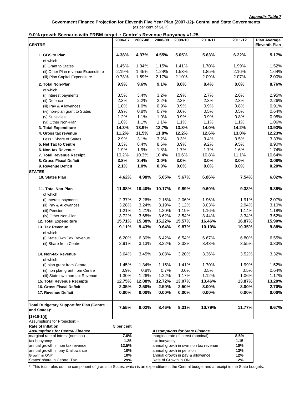#### **Government Finance Projection for Eleventh Five Year Plan (2007-12)- Central and State Governments** (as per cent of GDP)

#### **9.0% growth Scenario with FRBM target : Centre's Revenue Buoyancy =1.25**

|                                                                 | 2006-07    | 2007-08 | 2008-09      | 2009-10                              | 2010-11                              | 2011-12 | <b>Plan Average</b>  |
|-----------------------------------------------------------------|------------|---------|--------------|--------------------------------------|--------------------------------------|---------|----------------------|
| <b>CENTRE</b>                                                   |            |         |              |                                      |                                      |         | <b>Eleventh Plan</b> |
| 1. GBS to Plan<br>of which                                      | 4.38%      | 4.37%   | 4.55%        | 5.05%                                | 5.63%                                | 6.22%   | 5.17%                |
| (i) Grant to States                                             | 1.45%      | 1.34%   | 1.15%        | 1.41%                                | 1.70%                                | 1.99%   | 1.52%                |
| (ii) Other Plan revenue Expenditure                             | 2.19%      | 1.45%   | 1.24%        | 1.53%                                | 1.85%                                | 2.16%   | 1.64%                |
| (iii) Plan Capital Expenditure                                  | 0.73%      | 1.59%   | 2.17%        | 2.10%                                | 2.09%                                | 2.07%   | 2.00%                |
| 2. Total Non-Plan                                               | 9.9%       | 9.6%    | 9.1%         | 8.8%                                 | 8.4%                                 | 8.0%    | 8.76%                |
| of which                                                        |            |         |              |                                      |                                      |         |                      |
| (i) Interest payments                                           | 3.5%       | 3.4%    | 3.2%         | 2.9%                                 | 2.7%                                 | 2.6%    | 2.95%                |
| (ii) Defence                                                    | 2.3%       | 2.2%    | 2.2%         | 2.3%                                 | 2.3%                                 | 2.3%    | 2.26%                |
| (iii) Pay & Allowances                                          | 1.0%       | 1.0%    | 0.9%         | 0.9%                                 | 0.9%                                 | 0.8%    | 0.91%                |
| (iv) non-plan grant to States                                   | 0.9%       | 0.8%    | 0.7%         | 0.6%                                 | 0.5%                                 | 0.5%    | 0.64%                |
| (v) Subsidies                                                   | 1.2%       | 1.1%    | 1.0%         | 0.9%                                 | 0.9%                                 | 0.8%    | 0.95%                |
| (vi) Other Non-Plan                                             | 1.0%       | 1.1%    | 1.1%         | 1.1%                                 | 1.1%                                 | 1.1%    | 1.06%                |
| 3. Total Expenditure                                            | 14.3%      | 13.9%   | 13.7%        | 13.8%                                | 14.0%                                | 14.2%   | 13.93%               |
| 4. Gross tax revenue                                            | 11.2%      | 11.5%   | 11.8%        | 12.2%                                | 12.6%                                | 13.0%   | 12.23%               |
| Less: Share of States                                           | 2.9%       | 3.1%    | 3.2%         | 3.3%                                 | 3.4%                                 | 3.5%    | 3.33%                |
| 5. Net Tax to Centre                                            | 8.3%       | 8.4%    | 8.6%         | 8.9%                                 | 9.2%                                 | 9.5%    | 8.90%                |
| 6. Non-tax Revenue                                              | 1.9%       | 1.9%    | 1.8%         | 1.7%                                 | 1.7%                                 | 1.6%    | 1.74%                |
| 7. Total Revenue Receipt                                        | 10.2%      | 10.3%   | 10.4%        | 10.6%                                | 10.8%                                | 11.1%   | 10.64%               |
| 8. Gross Fiscal Deficit                                         | 3.8%       | 3.4%    | 3.0%         | 3.0%                                 | 3.0%                                 | 3.0%    | 3.08%                |
| 9. Revenue Deficit                                              | 2.1%       | 1.0%    | 0.0%         | 0.0%                                 | 0.0%                                 | 0.0%    | 0.20%                |
| <b>STATES</b>                                                   |            |         |              |                                      |                                      |         |                      |
| 10. States Plan                                                 | 4.62%      | 4.98%   | 5.05%        | 5.67%                                | 6.86%                                | 7.54%   | 6.02%                |
| 11. Total Non-Plan                                              | 11.08%     | 10.40%  | 10.17%       | 9.89%                                | 9.60%                                | 9.33%   | 9.88%                |
| of which                                                        |            |         |              |                                      |                                      |         |                      |
| (i) Interest payments                                           | 2.37%      | 2.26%   | 2.16%        | 2.06%                                | 1.96%                                | 1.91%   | 2.07%                |
| (ii) Pay & Allowances                                           | 3.28%      | 3.24%   | 3.19%        | 3.12%                                | 3.03%                                | 2.94%   | 3.10%                |
| (iii) Pension                                                   | 1.21%      | 1.21%   | 1.20%        | 1.19%                                | 1.16%                                | 1.14%   | 1.18%                |
| (iv) Other Non-Plan                                             | 3.72%      | 3.68%   | 3.62%        | 3.54%                                | 3.44%                                | 3.34%   | 3.52%                |
| 12. Total Expenditure                                           | 15.71%     | 15.38%  | 15.22%       | 15.57%                               | 16.46%                               | 16.87%  | 15.90%               |
| 13. Tax Revenue                                                 | 9.11%      | 9.43%   | 9.64%        | 9.87%                                | 10.10%                               | 10.35%  | 9.88%                |
| of which                                                        |            |         |              |                                      |                                      |         |                      |
| (i) State Own Tax Revenue                                       | 6.20%      | 6.30%   | 6.42%        | 6.54%                                | 6.67%                                | 6.80%   | 6.55%                |
| (ii) Share from Centre                                          | 2.91%      | 3.13%   | 3.22%        | 3.33%                                | 3.43%                                | 3.55%   | 3.33%                |
| 14. Non-tax Revenue                                             | 3.64%      | 3.45%   | 3.08%        | 3.20%                                | 3.36%                                | 3.52%   | 3.32%                |
| of which                                                        |            |         |              |                                      |                                      |         |                      |
| (i) plan grant from Centre                                      | 1.45%      | 1.34%   | 1.15%        | 1.41%                                | 1.70%                                | 1.99%   | 1.52%                |
| (ii) non plan grant from Centre                                 | 0.9%       | 0.8%    | 0.7%         | 0.6%                                 | 0.5%                                 | 0.5%    | 0.64%                |
| (iii) State own non-tax Revenue                                 | 1.30%      | 1.26%   | 1.22%        | 1.17%                                | 1.12%                                | 1.06%   | 1.17%                |
| 15. Total Revenue Receipts                                      | 12.75%     | 12.88%  | 12.72%       | 13.07%                               | 13.46%                               | 13.87%  | 13.20%               |
| 16. Gross Fiscal Deficit                                        | 2.35%      | 2.50%   | 2.50%        | 2.50%                                | 3.00%                                | 3.00%   | 2.70%                |
| 17. Revenue Deficit                                             | 0.00%      | 0.00%   | 0.00%        | 0.00%                                | 0.00%                                | 0.00%   | 0.00%                |
| <b>Total Budgetary Support for Plan (Centre</b><br>and States)* | 7.55%      | 8.02%   | 8.46%        | 9.31%                                | 10.79%                               | 11.77%  | 9.67%                |
| $[1+10-1(i)]$                                                   |            |         |              |                                      |                                      |         |                      |
| Assumptions for Projection: -                                   |            |         |              |                                      |                                      |         |                      |
| <b>Rate of Inflation</b>                                        | 5 per cent |         |              |                                      |                                      |         |                      |
| <b>Assumptions for Central Finance</b>                          |            |         |              | <b>Assumptions for State Finance</b> |                                      |         |                      |
| marginal rate of interst (nominal)                              | 7.0%       |         |              | marginal rate of interst (nominal)   |                                      | 8.5%    |                      |
| tax buoyancy                                                    | 1.25       |         | tax buoyancy |                                      |                                      | 1.15    |                      |
| annual growth in non tax revenue                                | 12.5%      |         |              |                                      | annual growth in own non tax revenue | 10%     |                      |
| annual growth in pay & allowance                                | 10%        |         |              | annual growth in pension             |                                      | 13%     |                      |
| Growth in ONP                                                   | 10%        |         |              | annual growth in pay & allowance     |                                      | 12%     |                      |
| States' share in Central Tax                                    | 29%        |         |              | Rate of Growth in ONP                |                                      | 12%     |                      |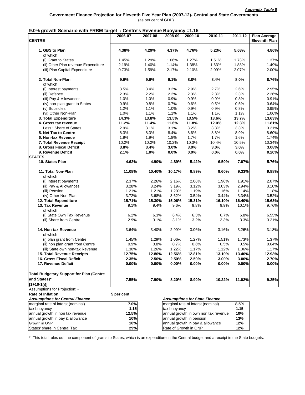| <b>CENTRE</b>                                   | 2006-07    | 2007-08 | 2008-09      | 2009-10                              | 2010-11                              | 2011-12 | <b>Plan Average</b><br><b>Eleventh Plan</b> |
|-------------------------------------------------|------------|---------|--------------|--------------------------------------|--------------------------------------|---------|---------------------------------------------|
| 1. GBS to Plan<br>of which                      | 4.38%      | 4.29%   | 4.37%        | 4.76%                                | 5.23%                                | 5.68%   | 4.86%                                       |
| (i) Grant to States                             | 1.45%      | 1.29%   | 1.06%        | 1.27%                                | 1.51%                                | 1.73%   | 1.37%                                       |
| (ii) Other Plan revenue Expenditure             | 2.19%      | 1.40%   | 1.14%        | 1.38%                                | 1.63%                                | 1.88%   | 1.49%                                       |
| (iii) Plan Capital Expenditure                  | 0.73%      | 1.59%   | 2.17%        | 2.10%                                | 2.09%                                | 2.07%   | 2.00%                                       |
| 2. Total Non-Plan<br>of which                   | 9.9%       | 9.6%    | 9.1%         | 8.8%                                 | 8.4%                                 | 8.0%    | 8.76%                                       |
| (i) Interest payments                           | 3.5%       | 3.4%    | 3.2%         | 2.9%                                 | 2.7%                                 | 2.6%    | 2.95%                                       |
| (ii) Defence                                    | 2.3%       | 2.2%    | 2.2%         | 2.3%                                 | 2.3%                                 | 2.3%    | 2.26%                                       |
| (iii) Pay & Allowances                          | 1.0%       | 1.0%    | 0.9%         | 0.9%                                 | 0.9%                                 | 0.8%    | 0.91%                                       |
| (iv) non-plan grant to States                   | 0.9%       | 0.8%    | 0.7%         | 0.6%                                 | 0.5%                                 | 0.5%    | 0.64%                                       |
| (v) Subsidies                                   | 1.2%       | 1.1%    | 1.0%         | 0.9%                                 | 0.9%                                 | 0.8%    | 0.95%                                       |
| (vi) Other Non-Plan                             | 1.0%       | 1.1%    | 1.1%         | 1.1%                                 | 1.1%                                 | 1.1%    | 1.06%                                       |
| 3. Total Expenditure                            | 14.3%      | 13.8%   | 13.5%        | 13.5%                                | 13.6%                                | 13.7%   | 13.63%                                      |
| 4. Gross tax revenue                            | 11.2%      | 11.4%   | 11.6%        | 11.8%                                | 12.0%                                | 12.3%   | 11.81%                                      |
| Less: Share of States                           | 2.9%       | 3.1%    | 3.1%         | 3.2%                                 | 3.3%                                 | 3.3%    | 3.21%                                       |
| 5. Net Tax to Centre                            | 8.3%       | 8.3%    | 8.4%         | 8.6%                                 | 8.8%                                 | 8.9%    | 8.60%                                       |
| 6. Non-tax Revenue                              | 1.9%       | 1.9%    | 1.8%         | 1.7%                                 | 1.7%                                 | 1.6%    | 1.74%                                       |
| 7. Total Revenue Receipt                        | 10.2%      | 10.2%   | 10.2%        | 10.3%                                | 10.4%                                | 10.5%   | 10.34%                                      |
| 8. Gross Fiscal Deficit                         | 3.8%       | 3.4%    | 3.0%         | 3.0%                                 | 3.0%                                 | 3.0%    | 3.08%                                       |
| 9. Revenue Deficit                              | 2.1%       | 1.0%    | 0.0%         | 0.0%                                 | 0.0%                                 | 0.0%    | 0.20%                                       |
| <b>STATES</b>                                   |            |         |              |                                      |                                      |         |                                             |
| 10. States Plan                                 | 4.62%      | 4.90%   | 4.89%        | 5.42%                                | 6.50%                                | 7.07%   | 5.76%                                       |
| 11. Total Non-Plan                              | 11.08%     | 10.40%  | 10.17%       | 9.89%                                | 9.60%                                | 9.33%   | 9.88%                                       |
| of which                                        |            |         |              |                                      |                                      |         |                                             |
| (i) Interest payments                           | 2.37%      | 2.26%   | 2.16%        | 2.06%                                | 1.96%                                | 1.91%   | 2.07%                                       |
| (ii) Pay & Allowances                           | 3.28%      | 3.24%   | 3.19%        | 3.12%                                | 3.03%                                | 2.94%   | 3.10%                                       |
| (iii) Pension                                   | 1.21%      | 1.21%   | 1.20%        | 1.19%                                | 1.16%                                | 1.14%   | 1.18%                                       |
| (iv) Other Non-Plan                             | 3.72%      | 3.68%   | 3.62%        | 3.54%                                | 3.44%                                | 3.34%   | 3.52%                                       |
| 12. Total Expenditure                           | 15.71%     | 15.30%  | 15.06%       | 15.31%                               | 16.10%                               | 16.40%  | 15.63%                                      |
| 13. Tax Revenue<br>of which                     | 9.1%       | 9.4%    | 9.6%         | 9.8%                                 | 9.9%                                 | 10.1%   | 9.76%                                       |
| (i) State Own Tax Revenue                       | 6.2%       | 6.3%    | 6.4%         | 6.5%                                 | $6.7\%$                              | 6.8%    | 6.55%                                       |
| (ii) Share from Centre                          | 2.9%       | 3.1%    | 3.1%         | 3.2%                                 | 3.3%                                 | 3.3%    | 3.21%                                       |
| 14. Non-tax Revenue<br>of which                 | 3.64%      | 3.40%   | 2.99%        | 3.06%                                | 3.16%                                | 3.26%   | 3.18%                                       |
| (i) plan grant from Centre                      | 1.45%      | 1.29%   | 1.06%        | 1.27%                                | 1.51%                                | 1.73%   | 1.37%                                       |
| (ii) non plan grant from Centre                 | 0.9%       | 0.8%    | 0.7%         | 0.6%                                 | 0.5%                                 | 0.5%    | 0.64%                                       |
| (iii) State own non-tax Revenue                 | 1.30%      | 1.26%   | 1.22%        | 1.17%                                | 1.12%                                | 1.06%   | 1.17%                                       |
| <b>15. Total Revenue Receipts</b>               | 12.75%     | 12.80%  | 12.56%       | 12.81%                               | 13.10%                               | 13.40%  | 12.93%                                      |
| 16. Gross Fiscal Deficit                        | 2.35%      | 2.50%   | 2.50%        | 2.50%                                | 3.00%                                | 3.00%   | 2.70%                                       |
| 17. Revenue Deficit                             | 0.00%      | 0.00%   | 0.00%        | 0.00%                                | 0.00%                                | 0.00%   | 0.00%                                       |
| <b>Total Budgetary Support for Plan (Centre</b> |            |         |              |                                      |                                      |         |                                             |
| and States)*                                    | 7.55%      | 7.90%   | 8.20%        | 8.90%                                | 10.22%                               | 11.02%  | 9.25%                                       |
| $[1+10-1(i)]$                                   |            |         |              |                                      |                                      |         |                                             |
| Assumptions for Projection: -                   |            |         |              |                                      |                                      |         |                                             |
| <b>Rate of Inflation</b>                        | 5 per cent |         |              |                                      |                                      |         |                                             |
| <b>Assumptions for Central Finance</b>          |            |         |              | <b>Assumptions for State Finance</b> |                                      |         |                                             |
| marginal rate of interst (nominal)              | 7.0%       |         |              | marginal rate of interst (nominal)   |                                      | 8.5%    |                                             |
| tax buoyancy                                    | 1.15       |         | tax buoyancy |                                      |                                      | 1.15    |                                             |
| annual growth in non tax revenue                | 12.5%      |         |              |                                      | annual growth in own non tax revenue | 10%     |                                             |
| annual growth in pay & allowance                | 10%        |         |              | annual growth in pension             |                                      | 13%     |                                             |
| Growth in ONP                                   | 10%        |         |              | annual growth in pay & allowance     |                                      | 12%     |                                             |
| States' share in Central Tax                    | 29%        |         |              | Rate of Growth in ONP                |                                      | 12%     |                                             |